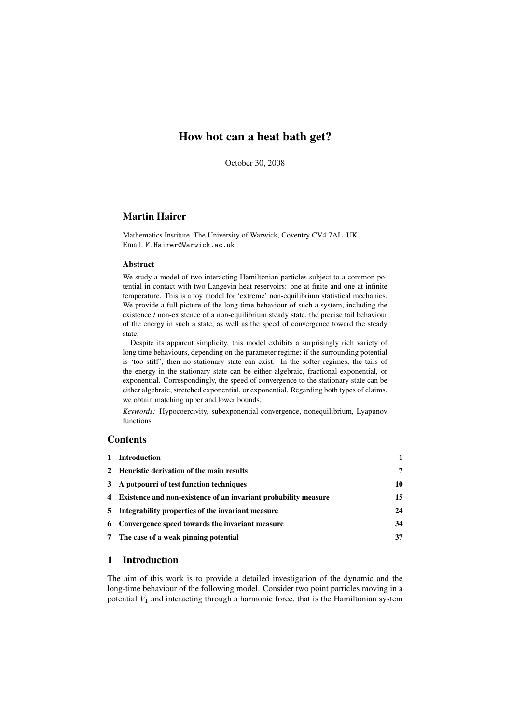# How hot can a heat bath get?

October 30, 2008

## Martin Hairer

Mathematics Institute, The University of Warwick, Coventry CV4 7AL, UK Email: M.Hairer@Warwick.ac.uk

#### Abstract

We study a model of two interacting Hamiltonian particles subject to a common potential in contact with two Langevin heat reservoirs: one at finite and one at infinite temperature. This is a toy model for 'extreme' non-equilibrium statistical mechanics. We provide a full picture of the long-time behaviour of such a system, including the existence / non-existence of a non-equilibrium steady state, the precise tail behaviour of the energy in such a state, as well as the speed of convergence toward the steady state.

Despite its apparent simplicity, this model exhibits a surprisingly rich variety of long time behaviours, depending on the parameter regime: if the surrounding potential is 'too stiff', then no stationary state can exist. In the softer regimes, the tails of the energy in the stationary state can be either algebraic, fractional exponential, or exponential. Correspondingly, the speed of convergence to the stationary state can be either algebraic, stretched exponential, or exponential. Regarding both types of claims, we obtain matching upper and lower bounds.

*Keywords:* Hypocoercivity, subexponential convergence, nonequilibrium, Lyapunov functions

## **Contents**

| 1 Introduction                                                    |    |
|-------------------------------------------------------------------|----|
| 2 Heuristic derivation of the main results                        | 7  |
| 3 A potpourri of test function techniques                         | 10 |
| 4 Existence and non-existence of an invariant probability measure | 15 |
| 5 Integrability properties of the invariant measure               | 24 |
| 6 Convergence speed towards the invariant measure                 | 34 |
| 7 The case of a weak pinning potential                            | 37 |

## 1 Introduction

The aim of this work is to provide a detailed investigation of the dynamic and the long-time behaviour of the following model. Consider two point particles moving in a potential  $V_1$  and interacting through a harmonic force, that is the Hamiltonian system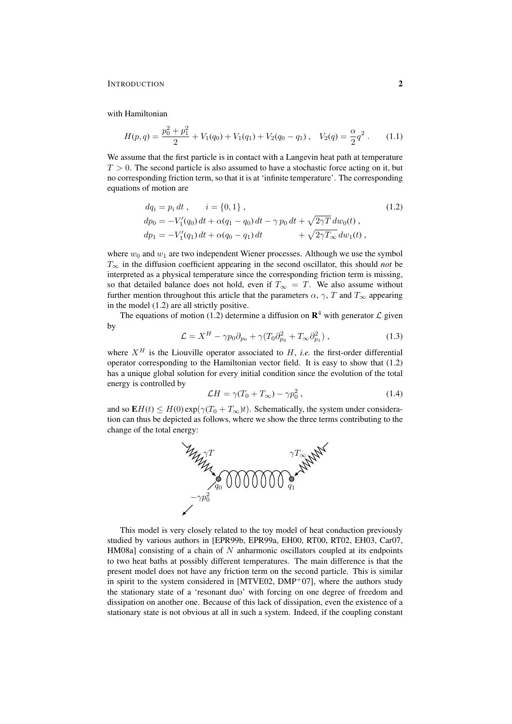with Hamiltonian

$$
H(p,q) = \frac{p_0^2 + p_1^2}{2} + V_1(q_0) + V_1(q_1) + V_2(q_0 - q_1), \quad V_2(q) = \frac{\alpha}{2}q^2. \tag{1.1}
$$

We assume that the first particle is in contact with a Langevin heat path at temperature  $T > 0$ . The second particle is also assumed to have a stochastic force acting on it, but no corresponding friction term, so that it is at 'infinite temperature'. The corresponding equations of motion are

$$
dq_i = p_i dt, \qquad i = \{0, 1\},
$$
  
\n
$$
dp_0 = -V'_1(q_0) dt + \alpha(q_1 - q_0) dt - \gamma p_0 dt + \sqrt{2\gamma T} dw_0(t),
$$
  
\n
$$
dp_1 = -V'_1(q_1) dt + \alpha(q_0 - q_1) dt + \sqrt{2\gamma T_\infty} dw_1(t),
$$
\n(1.2)

where  $w_0$  and  $w_1$  are two independent Wiener processes. Although we use the symbol  $T_{\infty}$  in the diffusion coefficient appearing in the second oscillator, this should *not* be interpreted as a physical temperature since the corresponding friction term is missing, so that detailed balance does not hold, even if  $T_{\infty} = T$ . We also assume without further mention throughout this article that the parameters  $\alpha$ ,  $\gamma$ , T and  $T_{\infty}$  appearing in the model (1.2) are all strictly positive.

The equations of motion (1.2) determine a diffusion on  $\mathbb{R}^4$  with generator  $\mathcal L$  given by

$$
\mathcal{L} = X^H - \gamma p_0 \partial_{p_0} + \gamma (T_0 \partial_{p_0}^2 + T_\infty \partial_{p_1}^2) , \qquad (1.3)
$$

where  $X^H$  is the Liouville operator associated to  $H$ , *i.e.* the first-order differential operator corresponding to the Hamiltonian vector field. It is easy to show that (1.2) has a unique global solution for every initial condition since the evolution of the total energy is controlled by

$$
\mathcal{L}H = \gamma (T_0 + T_\infty) - \gamma p_0^2 \,, \tag{1.4}
$$

and so  $\mathbf{E}H(t) \leq H(0) \exp(\gamma (T_0 + T_\infty)t)$ . Schematically, the system under consideration can thus be depicted as follows, where we show the three terms contributing to the change of the total energy:



This model is very closely related to the toy model of heat conduction previously studied by various authors in [EPR99b, EPR99a, EH00, RT00, RT02, EH03, Car07, HM08a] consisting of a chain of  $N$  anharmonic oscillators coupled at its endpoints to two heat baths at possibly different temperatures. The main difference is that the present model does not have any friction term on the second particle. This is similar in spirit to the system considered in  $[MTVE02, DMP<sup>+</sup>07]$ , where the authors study the stationary state of a 'resonant duo' with forcing on one degree of freedom and dissipation on another one. Because of this lack of dissipation, even the existence of a stationary state is not obvious at all in such a system. Indeed, if the coupling constant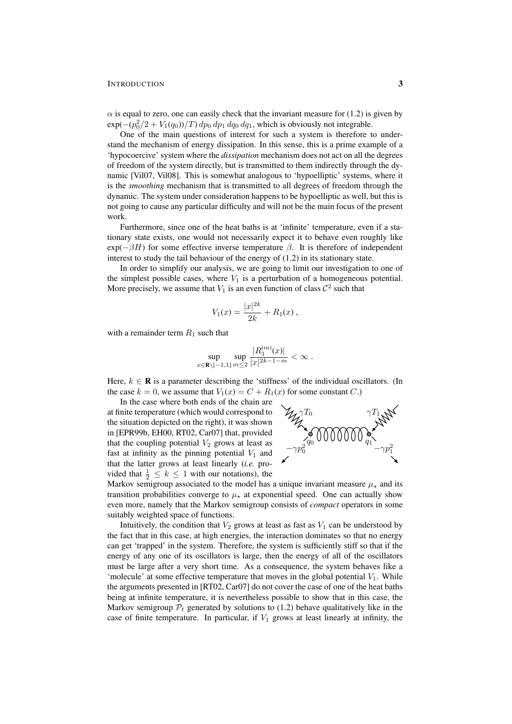$\alpha$  is equal to zero, one can easily check that the invariant measure for (1.2) is given by  $\exp(-(p_0^2/2 + V_1(q_0))/T) dp_0 dp_1 dq_0 dq_1$ , which is obviously not integrable.

One of the main questions of interest for such a system is therefore to understand the mechanism of energy dissipation. In this sense, this is a prime example of a 'hypocoercive' system where the *dissipation* mechanism does not act on all the degrees of freedom of the system directly, but is transmitted to them indirectly through the dynamic [Vil07, Vil08]. This is somewhat analogous to 'hypoelliptic' systems, where it is the *smoothing* mechanism that is transmitted to all degrees of freedom through the dynamic. The system under consideration happens to be hypoelliptic as well, but this is not going to cause any particular difficulty and will not be the main focus of the present work.

Furthermore, since one of the heat baths is at 'infinite' temperature, even if a stationary state exists, one would not necessarily expect it to behave even roughly like  $exp(-\beta H)$  for some effective inverse temperature  $\beta$ . It is therefore of independent interest to study the tail behaviour of the energy of (1.2) in its stationary state.

In order to simplify our analysis, we are going to limit our investigation to one of the simplest possible cases, where  $V_1$  is a perturbation of a homogeneous potential. More precisely, we assume that  $V_1$  is an even function of class  $\mathcal{C}^2$  such that

$$
V_1(x) = \frac{|x|^{2k}}{2k} + R_1(x) ,
$$

with a remainder term  $R_1$  such that

$$
\sup_{x \in \mathbf{R} \setminus [-1,1]} \sup_{m \leq 2} \frac{|R_1^{(m)}(x)|}{|x|^{2k-1-m}} < \infty.
$$

Here,  $k \in \mathbb{R}$  is a parameter describing the 'stiffness' of the individual oscillators. (In the case  $k = 0$ , we assume that  $V_1(x) = C + R_1(x)$  for some constant C.)

In the case where both ends of the chain are at finite temperature (which would correspond to the situation depicted on the right), it was shown in [EPR99b, EH00, RT02, Car07] that, provided that the coupling potential  $V_2$  grows at least as fast at infinity as the pinning potential  $V_1$  and that the latter grows at least linearly (*i.e.* provided that  $\frac{1}{2} \leq k \leq 1$  with our notations), the



Markov semigroup associated to the model has a unique invariant measure  $\mu_{\star}$  and its transition probabilities converge to  $\mu_{\star}$  at exponential speed. One can actually show even more, namely that the Markov semigroup consists of *compact* operators in some suitably weighted space of functions.

Intuitively, the condition that  $V_2$  grows at least as fast as  $V_1$  can be understood by the fact that in this case, at high energies, the interaction dominates so that no energy can get 'trapped' in the system. Therefore, the system is sufficiently stiff so that if the energy of any one of its oscillators is large, then the energy of all of the oscillators must be large after a very short time. As a consequence, the system behaves like a 'molecule' at some effective temperature that moves in the global potential  $V_1$ . While the arguments presented in [RT02, Car07] do not cover the case of one of the heat baths being at infinite temperature, it is nevertheless possible to show that in this case, the Markov semigroup  $\mathcal{P}_t$  generated by solutions to (1.2) behave qualitatively like in the case of finite temperature. In particular, if  $V_1$  grows at least linearly at infinity, the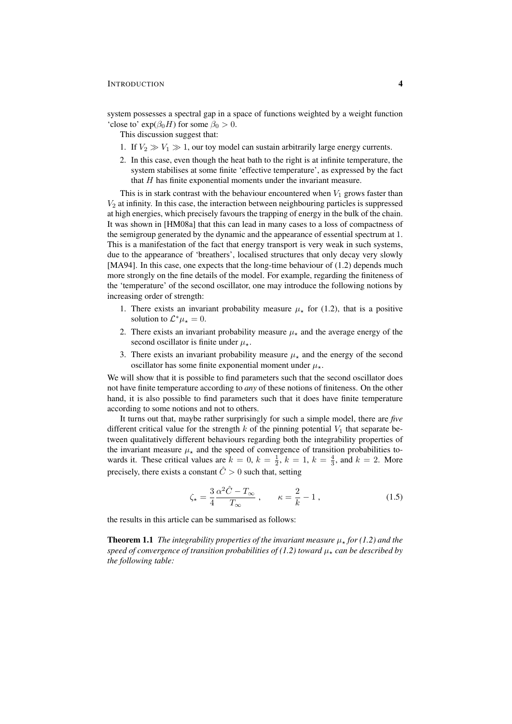system possesses a spectral gap in a space of functions weighted by a weight function 'close to'  $exp(\beta_0 H)$  for some  $\beta_0 > 0$ .

This discussion suggest that:

- 1. If  $V_2 \gg V_1 \gg 1$ , our toy model can sustain arbitrarily large energy currents.
- 2. In this case, even though the heat bath to the right is at infinite temperature, the system stabilises at some finite 'effective temperature', as expressed by the fact that  $H$  has finite exponential moments under the invariant measure.

This is in stark contrast with the behaviour encountered when  $V_1$  grows faster than  $V_2$  at infinity. In this case, the interaction between neighbouring particles is suppressed at high energies, which precisely favours the trapping of energy in the bulk of the chain. It was shown in [HM08a] that this can lead in many cases to a loss of compactness of the semigroup generated by the dynamic and the appearance of essential spectrum at 1. This is a manifestation of the fact that energy transport is very weak in such systems, due to the appearance of 'breathers', localised structures that only decay very slowly [MA94]. In this case, one expects that the long-time behaviour of (1.2) depends much more strongly on the fine details of the model. For example, regarding the finiteness of the 'temperature' of the second oscillator, one may introduce the following notions by increasing order of strength:

- 1. There exists an invariant probability measure  $\mu_{\star}$  for (1.2), that is a positive solution to  $\mathcal{L}^* \mu_* = 0$ .
- 2. There exists an invariant probability measure  $\mu_{\star}$  and the average energy of the second oscillator is finite under  $\mu_{\star}$ .
- 3. There exists an invariant probability measure  $\mu_{\star}$  and the energy of the second oscillator has some finite exponential moment under  $\mu_{\star}$ .

We will show that it is possible to find parameters such that the second oscillator does not have finite temperature according to *any* of these notions of finiteness. On the other hand, it is also possible to find parameters such that it does have finite temperature according to some notions and not to others.

It turns out that, maybe rather surprisingly for such a simple model, there are *five* different critical value for the strength k of the pinning potential  $V_1$  that separate between qualitatively different behaviours regarding both the integrability properties of the invariant measure  $\mu_{\star}$  and the speed of convergence of transition probabilities towards it. These critical values are  $k = 0$ ,  $k = \frac{1}{2}$ ,  $k = 1$ ,  $k = \frac{4}{3}$ , and  $k = 2$ . More precisely, there exists a constant  $\hat{C} > 0$  such that, setting

$$
\zeta_{\star} = \frac{3}{4} \frac{\alpha^2 \hat{C} - T_{\infty}}{T_{\infty}}, \qquad \kappa = \frac{2}{k} - 1, \tag{1.5}
$$

the results in this article can be summarised as follows:

**Theorem 1.1** *The integrability properties of the invariant measure*  $\mu_*$  *for* (1.2) and the *speed of convergence of transition probabilities of (1.2) toward*  $\mu_{\star}$  *can be described by the following table:*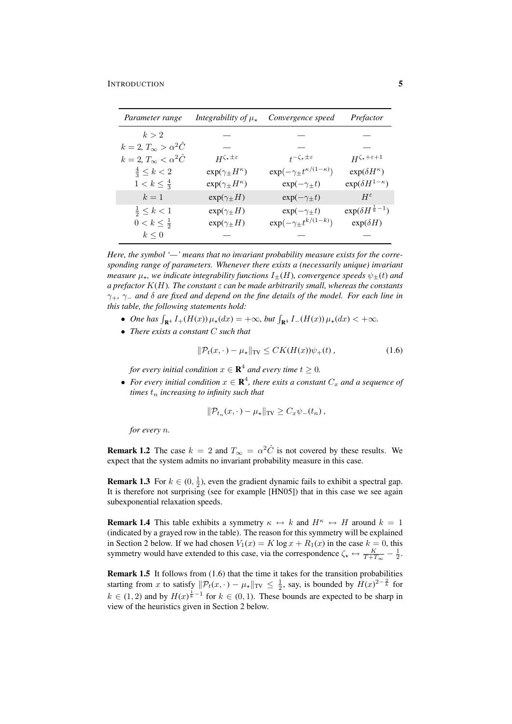| Parameter range                        | Integrability of $\mu_{\star}$    | Convergence speed                          | Prefactor                        |
|----------------------------------------|-----------------------------------|--------------------------------------------|----------------------------------|
| k>2                                    |                                   |                                            |                                  |
| $k = 2, T_{\infty} > \alpha^2 \hat{C}$ |                                   |                                            |                                  |
| $k=2, T_{\infty} < \alpha^2 \hat{C}$   | $H^{\zeta_\star \pm \varepsilon}$ | $t^{-\zeta_\star \pm \varepsilon}$         | $H^{\zeta_\star+\varepsilon+1}$  |
| $\frac{4}{3} \leq k < 2$               | $\exp(\gamma_{\pm}H^{\kappa})$    | $\exp(-\gamma_{\pm}t^{\kappa/(1-\kappa)})$ | $\exp(\delta H^{\kappa})$        |
| $1 < k \leq \frac{4}{3}$               | $\exp(\gamma_{\pm}H^{\kappa})$    | $\exp(-\gamma_{\pm}t)$                     | $\exp(\delta H^{1-\kappa})$      |
| $k=1$                                  | $exp(\gamma_{\pm}H)$              | $exp(-\gamma_{\pm}t)$                      | $H^{\varepsilon}$                |
| $\frac{1}{2} \leq k < 1$               | $exp(\gamma_{\pm}H)$              | $exp(-\gamma_{\pm}t)$                      | $\exp(\delta H^{\frac{1}{k}-1})$ |
| $0 < k \leq \frac{1}{2}$               | $exp(\gamma_{\pm}H)$              | $\exp(-\gamma_{\pm}t^{k/(1-k)})$           | $exp(\delta H)$                  |
| $k \leq 0$                             |                                   |                                            |                                  |

*Here, the symbol '—' means that no invariant probability measure exists for the corresponding range of parameters. Whenever there exists a (necessarily unique) invariant measure*  $\mu_{\star}$ *, we indicate integrability functions*  $I_{+}(H)$ *, convergence speeds*  $\psi_{+}(t)$  *and a prefactor* K(H)*. The constant* ε *can be made arbitrarily small, whereas the constants* γ+*,* γ<sup>−</sup> *and* δ *are fixed and depend on the fine details of the model. For each line in this table, the following statements hold:*

- One has  $\int_{\mathbf{R}^4} I_{+}(H(x)) \mu_{\star}(dx) = +\infty$ , but  $\int_{\mathbf{R}^4} I_{-}(H(x)) \mu_{\star}(dx) < +\infty$ .
- *There exists a constant* C *such that*

$$
\|\mathcal{P}_t(x,\cdot) - \mu_\star\|_{\text{TV}} \le CK(H(x))\psi_+(t) \,,\tag{1.6}
$$

for every initial condition  $x \in \mathbf{R}^4$  and every time  $t \geq 0$ .

• For every initial condition  $x \in \mathbf{R}^4$ , there exits a constant  $C_x$  and a sequence of *times*  $t_n$  *increasing to infinity such that* 

$$
\|\mathcal{P}_{t_n}(x,\cdot)-\mu_\star\|_{\text{TV}} \geq C_x \psi_-(t_n),
$$

*for every* n*.*

**Remark 1.2** The case  $k = 2$  and  $T_{\infty} = \alpha^2 \hat{C}$  is not covered by these results. We expect that the system admits no invariant probability measure in this case.

**Remark 1.3** For  $k \in (0, \frac{1}{2})$ , even the gradient dynamic fails to exhibit a spectral gap. It is therefore not surprising (see for example [HN05]) that in this case we see again subexponential relaxation speeds.

**Remark 1.4** This table exhibits a symmetry  $\kappa \leftrightarrow k$  and  $H^k \leftrightarrow H$  around  $k = 1$ (indicated by a grayed row in the table). The reason for this symmetry will be explained in Section 2 below. If we had chosen  $V_1(x) = K \log x + R_1(x)$  in the case  $k = 0$ , this symmetry would have extended to this case, via the correspondence  $\zeta_* \leftrightarrow \frac{K}{T + T_{\infty}} - \frac{1}{2}$ .

**Remark 1.5** It follows from  $(1.6)$  that the time it takes for the transition probabilities starting from x to satisfy  $\|\mathcal{P}_t(x, \cdot) - \mu_\star\|_{TV} \leq \frac{1}{2}$ , say, is bounded by  $H(x)^{2-\frac{2}{k}}$  for  $k \in (1, 2)$  and by  $H(x)^{\frac{1}{k}-1}$  for  $k \in (0, 1)$ . These bounds are expected to be sharp in view of the heuristics given in Section 2 below.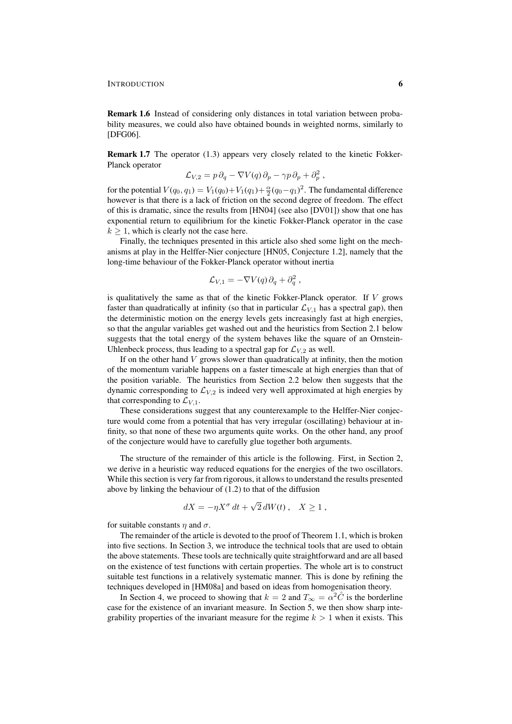Remark 1.6 Instead of considering only distances in total variation between probability measures, we could also have obtained bounds in weighted norms, similarly to [DFG06].

Remark 1.7 The operator (1.3) appears very closely related to the kinetic Fokker-Planck operator

$$
\mathcal{L}_{V,2} = p \, \partial_q - \nabla V(q) \, \partial_p - \gamma p \, \partial_p + \partial_p^2 \;,
$$

for the potential  $V(q_0, q_1) = V_1(q_0) + V_1(q_1) + \frac{\alpha}{2}(q_0 - q_1)^2$ . The fundamental difference however is that there is a lack of friction on the second degree of freedom. The effect of this is dramatic, since the results from [HN04] (see also [DV01]) show that one has exponential return to equilibrium for the kinetic Fokker-Planck operator in the case  $k > 1$ , which is clearly not the case here.

Finally, the techniques presented in this article also shed some light on the mechanisms at play in the Helffer-Nier conjecture [HN05, Conjecture 1.2], namely that the long-time behaviour of the Fokker-Planck operator without inertia

$$
\mathcal{L}_{V,1} = -\nabla V(q)\,\partial_q + \partial_q^2\;,
$$

is qualitatively the same as that of the kinetic Fokker-Planck operator. If  $V$  grows faster than quadratically at infinity (so that in particular  $\mathcal{L}_{V,1}$  has a spectral gap), then the deterministic motion on the energy levels gets increasingly fast at high energies, so that the angular variables get washed out and the heuristics from Section 2.1 below suggests that the total energy of the system behaves like the square of an Ornstein-Uhlenbeck process, thus leading to a spectral gap for  $\mathcal{L}_{V,2}$  as well.

If on the other hand  $V$  grows slower than quadratically at infinity, then the motion of the momentum variable happens on a faster timescale at high energies than that of the position variable. The heuristics from Section 2.2 below then suggests that the dynamic corresponding to  $\mathcal{L}_{V,2}$  is indeed very well approximated at high energies by that corresponding to  $\mathcal{L}_{V,1}$ .

These considerations suggest that any counterexample to the Helffer-Nier conjecture would come from a potential that has very irregular (oscillating) behaviour at infinity, so that none of these two arguments quite works. On the other hand, any proof of the conjecture would have to carefully glue together both arguments.

The structure of the remainder of this article is the following. First, in Section 2, we derive in a heuristic way reduced equations for the energies of the two oscillators. While this section is very far from rigorous, it allows to understand the results presented above by linking the behaviour of (1.2) to that of the diffusion

$$
dX = -\eta X^{\sigma} dt + \sqrt{2} dW(t) , \quad X \ge 1 ,
$$

for suitable constants  $\eta$  and  $\sigma$ .

The remainder of the article is devoted to the proof of Theorem 1.1, which is broken into five sections. In Section 3, we introduce the technical tools that are used to obtain the above statements. These tools are technically quite straightforward and are all based on the existence of test functions with certain properties. The whole art is to construct suitable test functions in a relatively systematic manner. This is done by refining the techniques developed in [HM08a] and based on ideas from homogenisation theory.

In Section 4, we proceed to showing that  $k = 2$  and  $T_{\infty} = \alpha^2 \hat{C}$  is the borderline case for the existence of an invariant measure. In Section 5, we then show sharp integrability properties of the invariant measure for the regime  $k > 1$  when it exists. This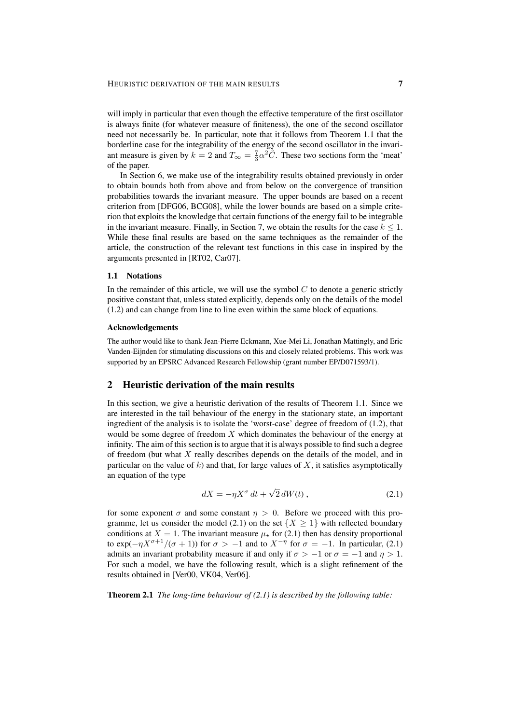#### HEURISTIC DERIVATION OF THE MAIN RESULTS **7**

will imply in particular that even though the effective temperature of the first oscillator is always finite (for whatever measure of finiteness), the one of the second oscillator need not necessarily be. In particular, note that it follows from Theorem 1.1 that the borderline case for the integrability of the energy of the second oscillator in the invariant measure is given by  $k = 2$  and  $T_{\infty} = \frac{7}{3} \alpha^2 \tilde{C}$ . These two sections form the 'meat' of the paper.

In Section 6, we make use of the integrability results obtained previously in order to obtain bounds both from above and from below on the convergence of transition probabilities towards the invariant measure. The upper bounds are based on a recent criterion from [DFG06, BCG08], while the lower bounds are based on a simple criterion that exploits the knowledge that certain functions of the energy fail to be integrable in the invariant measure. Finally, in Section 7, we obtain the results for the case  $k \leq 1$ . While these final results are based on the same techniques as the remainder of the article, the construction of the relevant test functions in this case in inspired by the arguments presented in [RT02, Car07].

#### 1.1 Notations

In the remainder of this article, we will use the symbol  $C$  to denote a generic strictly positive constant that, unless stated explicitly, depends only on the details of the model (1.2) and can change from line to line even within the same block of equations.

#### Acknowledgements

The author would like to thank Jean-Pierre Eckmann, Xue-Mei Li, Jonathan Mattingly, and Eric Vanden-Eijnden for stimulating discussions on this and closely related problems. This work was supported by an EPSRC Advanced Research Fellowship (grant number EP/D071593/1).

## 2 Heuristic derivation of the main results

In this section, we give a heuristic derivation of the results of Theorem 1.1. Since we are interested in the tail behaviour of the energy in the stationary state, an important ingredient of the analysis is to isolate the 'worst-case' degree of freedom of (1.2), that would be some degree of freedom  $X$  which dominates the behaviour of the energy at infinity. The aim of this section is to argue that it is always possible to find such a degree of freedom (but what  $X$  really describes depends on the details of the model, and in particular on the value of  $k$ ) and that, for large values of  $X$ , it satisfies asymptotically an equation of the type

$$
dX = -\eta X^{\sigma} dt + \sqrt{2} dW(t) , \qquad (2.1)
$$

for some exponent  $\sigma$  and some constant  $\eta > 0$ . Before we proceed with this programme, let us consider the model (2.1) on the set  $\{X \geq 1\}$  with reflected boundary conditions at  $X = 1$ . The invariant measure  $\mu_{\star}$  for (2.1) then has density proportional to  $\exp(-\eta X^{\sigma+1}/(\sigma+1))$  for  $\sigma > -1$  and to  $X^{-\eta}$  for  $\sigma = -1$ . In particular, (2.1) admits an invariant probability measure if and only if  $\sigma > -1$  or  $\sigma = -1$  and  $\eta > 1$ . For such a model, we have the following result, which is a slight refinement of the results obtained in [Ver00, VK04, Ver06].

Theorem 2.1 *The long-time behaviour of (2.1) is described by the following table:*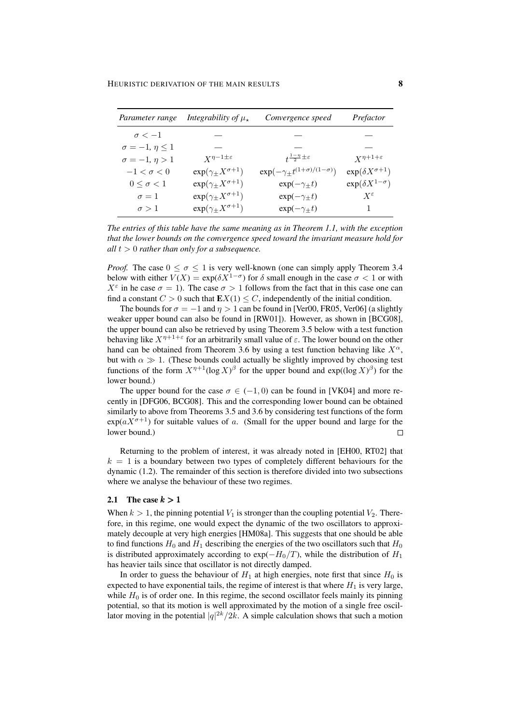| Parameter range            | Integrability of $\mu_{\star}$    | Convergence speed                              | Prefactor                   |
|----------------------------|-----------------------------------|------------------------------------------------|-----------------------------|
| $\sigma < -1$              |                                   |                                                |                             |
| $\sigma = -1, \eta \leq 1$ |                                   |                                                |                             |
| $\sigma = -1, \eta > 1$    | $X^{\eta-1\pm\varepsilon}$        | $t^{\frac{1-\eta}{2} \pm \varepsilon}$         | $X^{\eta+1+\varepsilon}$    |
| $-1 < \sigma < 0$          | $\exp(\gamma_{\pm} X^{\sigma+1})$ | $\exp(-\gamma_{\pm}t^{(1+\sigma)/(1-\sigma)})$ | $\exp(\delta X^{\sigma+1})$ |
| $0 \leq \sigma < 1$        | $\exp(\gamma_{\pm} X^{\sigma+1})$ | $exp(-\gamma_{\pm}t)$                          | $\exp(\delta X^{1-\sigma})$ |
| $\sigma = 1$               | $\exp(\gamma_{\pm} X^{\sigma+1})$ | $\exp(-\gamma_{\pm}t)$                         | $X^\varepsilon$             |
| $\sigma > 1$               | $\exp(\gamma_{\pm} X^{\sigma+1})$ | $\exp(-\gamma_{\pm}t)$                         |                             |

*The entries of this table have the same meaning as in Theorem 1.1, with the exception that the lower bounds on the convergence speed toward the invariant measure hold for*  $all t > 0$  *rather than only for a subsequence.* 

*Proof.* The case  $0 \le \sigma \le 1$  is very well-known (one can simply apply Theorem 3.4) below with either  $V(X) = \exp(\delta X^{1-\sigma})$  for  $\delta$  small enough in the case  $\sigma < 1$  or with  $X^{\varepsilon}$  in he case  $\sigma = 1$ ). The case  $\sigma > 1$  follows from the fact that in this case one can find a constant  $C > 0$  such that  $\mathbf{E}X(1) \leq C$ , independently of the initial condition.

The bounds for  $\sigma = -1$  and  $\eta > 1$  can be found in [Ver00, FR05, Ver06] (a slightly weaker upper bound can also be found in [RW01]). However, as shown in [BCG08], the upper bound can also be retrieved by using Theorem 3.5 below with a test function behaving like  $X^{\eta+1+\epsilon}$  for an arbitrarily small value of  $\varepsilon$ . The lower bound on the other hand can be obtained from Theorem 3.6 by using a test function behaving like  $X^{\alpha}$ , but with  $\alpha \gg 1$ . (These bounds could actually be slightly improved by choosing test functions of the form  $X^{\eta+1}(\log X)^\beta$  for the upper bound and  $\exp((\log X)^\beta)$  for the lower bound.)

The upper bound for the case  $\sigma \in (-1, 0)$  can be found in [VK04] and more recently in [DFG06, BCG08]. This and the corresponding lower bound can be obtained similarly to above from Theorems 3.5 and 3.6 by considering test functions of the form  $\exp(aX^{\sigma+1})$  for suitable values of a. (Small for the upper bound and large for the lower bound.)  $\Box$ 

Returning to the problem of interest, it was already noted in [EH00, RT02] that  $k = 1$  is a boundary between two types of completely different behaviours for the dynamic (1.2). The remainder of this section is therefore divided into two subsections where we analyse the behaviour of these two regimes.

#### 2.1 The case  $k > 1$

When  $k > 1$ , the pinning potential  $V_1$  is stronger than the coupling potential  $V_2$ . Therefore, in this regime, one would expect the dynamic of the two oscillators to approximately decouple at very high energies [HM08a]. This suggests that one should be able to find functions  $H_0$  and  $H_1$  describing the energies of the two oscillators such that  $H_0$ is distributed approximately according to  $\exp(-H_0/T)$ , while the distribution of  $H_1$ has heavier tails since that oscillator is not directly damped.

In order to guess the behaviour of  $H_1$  at high energies, note first that since  $H_0$  is expected to have exponential tails, the regime of interest is that where  $H_1$  is very large, while  $H_0$  is of order one. In this regime, the second oscillator feels mainly its pinning potential, so that its motion is well approximated by the motion of a single free oscillator moving in the potential  $|q|^{2k}/2k$ . A simple calculation shows that such a motion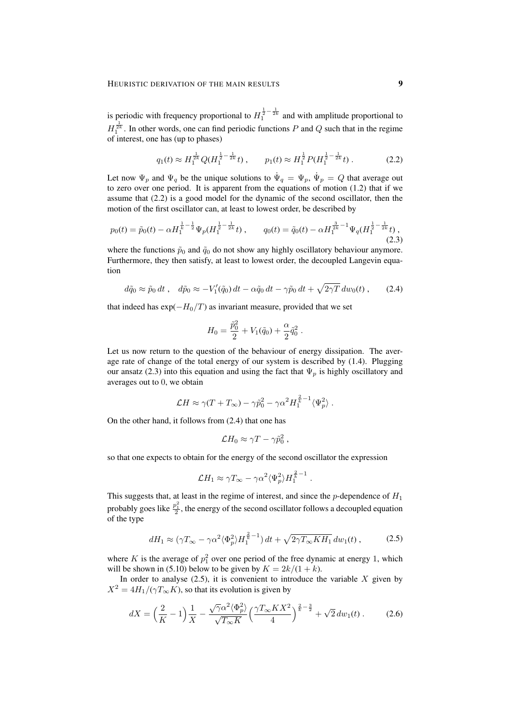is periodic with frequency proportional to  $H_1^{\frac{1}{2}-\frac{1}{2k}}$  and with amplitude proportional to  $H_1^{\frac{1}{2k}}$ . In other words, one can find periodic functions P and Q such that in the regime of interest, one has (up to phases)

$$
q_1(t) \approx H_1^{\frac{1}{2k}} Q(H_1^{\frac{1}{2}-\frac{1}{2k}}t) , \qquad p_1(t) \approx H_1^{\frac{1}{2}} P(H_1^{\frac{1}{2}-\frac{1}{2k}}t) . \tag{2.2}
$$

Let now  $\Psi_p$  and  $\Psi_q$  be the unique solutions to  $\dot{\Psi}_q = \Psi_p$ ,  $\dot{\Psi}_p = Q$  that average out to zero over one period. It is apparent from the equations of motion  $(1.2)$  that if we assume that (2.2) is a good model for the dynamic of the second oscillator, then the motion of the first oscillator can, at least to lowest order, be described by

$$
p_0(t) = \tilde{p}_0(t) - \alpha H_1^{\frac{1}{k} - \frac{1}{2}} \Psi_p(H_1^{\frac{1}{2} - \frac{1}{2k}} t) , \qquad q_0(t) = \tilde{q}_0(t) - \alpha H_1^{\frac{3}{2k} - 1} \Psi_q(H_1^{\frac{1}{2} - \frac{1}{2k}} t) ,
$$
\n(2.3)

where the functions  $\tilde{p}_0$  and  $\tilde{q}_0$  do not show any highly oscillatory behaviour anymore. Furthermore, they then satisfy, at least to lowest order, the decoupled Langevin equation

$$
d\tilde{q}_0 \approx \tilde{p}_0 dt , \quad d\tilde{p}_0 \approx -V_1'(\tilde{q}_0) dt - \alpha \tilde{q}_0 dt - \gamma \tilde{p}_0 dt + \sqrt{2\gamma T} dw_0(t) , \qquad (2.4)
$$

that indeed has  $\exp(-H_0/T)$  as invariant measure, provided that we set

$$
H_0 = \frac{\tilde{p}_0^2}{2} + V_1(\tilde{q}_0) + \frac{\alpha}{2} \tilde{q}_0^2.
$$

Let us now return to the question of the behaviour of energy dissipation. The average rate of change of the total energy of our system is described by (1.4). Plugging our ansatz (2.3) into this equation and using the fact that  $\Psi_p$  is highly oscillatory and averages out to 0, we obtain

$$
\mathcal{L}H \approx \gamma (T + T_{\infty}) - \gamma \tilde{p}_0^2 - \gamma \alpha^2 H_1^{\frac{2}{k} - 1} \langle \Psi_p^2 \rangle.
$$

On the other hand, it follows from (2.4) that one has

$$
\mathcal{L}H_0\approx \gamma T-\gamma \tilde{p}_0^2,
$$

so that one expects to obtain for the energy of the second oscillator the expression

$$
\mathcal{L}H_1 \approx \gamma T_{\infty} - \gamma \alpha^2 \langle \Psi_p^2 \rangle H_1^{\frac{2}{k}-1} .
$$

This suggests that, at least in the regime of interest, and since the p-dependence of  $H_1$ probably goes like  $\frac{p_1^2}{2}$ , the energy of the second oscillator follows a decoupled equation of the type

$$
dH_1 \approx (\gamma T_{\infty} - \gamma \alpha^2 \langle \Phi_p^2 \rangle H_1^{\frac{2}{k}-1}) dt + \sqrt{2\gamma T_{\infty} K H_1} dw_1(t) , \qquad (2.5)
$$

where K is the average of  $p_1^2$  over one period of the free dynamic at energy 1, which will be shown in (5.10) below to be given by  $K = 2k/(1 + k)$ .

In order to analyse  $(2.5)$ , it is convenient to introduce the variable X given by  $X^2 = 4H_1/(\gamma T_{\infty} K)$ , so that its evolution is given by

$$
dX = \left(\frac{2}{K} - 1\right)\frac{1}{X} - \frac{\sqrt{\gamma}\alpha^2 \langle \Phi_p^2 \rangle}{\sqrt{T_{\infty}K}} \left(\frac{\gamma T_{\infty} K X^2}{4}\right)^{\frac{2}{k} - \frac{3}{2}} + \sqrt{2} \, dw_1(t) \,. \tag{2.6}
$$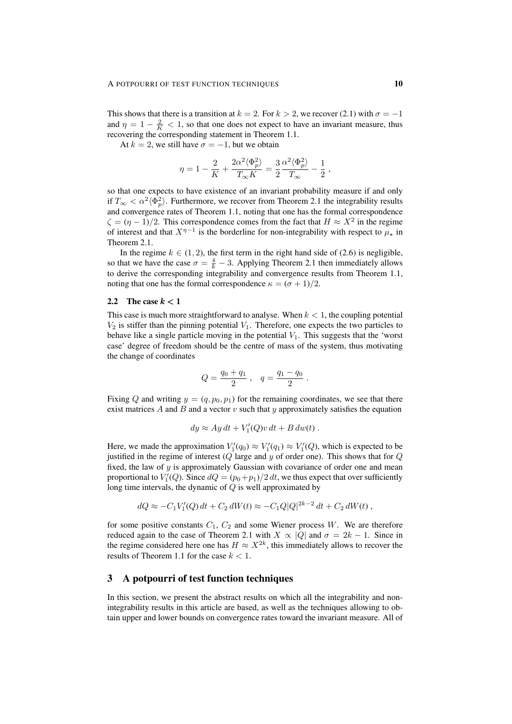This shows that there is a transition at  $k = 2$ . For  $k > 2$ , we recover (2.1) with  $\sigma = -1$ and  $\eta = 1 - \frac{2}{K} < 1$ , so that one does not expect to have an invariant measure, thus recovering the corresponding statement in Theorem 1.1.

At  $k = 2$ , we still have  $\sigma = -1$ , but we obtain

$$
\eta = 1 - \frac{2}{K} + \frac{2\alpha^2 \langle \Phi_p^2 \rangle}{T_\infty K} = \frac{3}{2} \frac{\alpha^2 \langle \Phi_p^2 \rangle}{T_\infty} - \frac{1}{2} \;,
$$

so that one expects to have existence of an invariant probability measure if and only if  $T_{\infty} < \alpha^2 \langle \Phi_p^2 \rangle$ . Furthermore, we recover from Theorem 2.1 the integrability results and convergence rates of Theorem 1.1, noting that one has the formal correspondence  $\zeta = (\eta - 1)/2$ . This correspondence comes from the fact that  $H \approx X^2$  in the regime of interest and that  $X^{\eta-1}$  is the borderline for non-integrability with respect to  $\mu_{\star}$  in Theorem 2.1.

In the regime  $k \in (1, 2)$ , the first term in the right hand side of (2.6) is negligible, so that we have the case  $\sigma = \frac{4}{k} - 3$ . Applying Theorem 2.1 then immediately allows to derive the corresponding integrability and convergence results from Theorem 1.1, noting that one has the formal correspondence  $\kappa = (\sigma + 1)/2$ .

#### 2.2 The case  $k < 1$

This case is much more straightforward to analyse. When  $k < 1$ , the coupling potential  $V_2$  is stiffer than the pinning potential  $V_1$ . Therefore, one expects the two particles to behave like a single particle moving in the potential  $V_1$ . This suggests that the 'worst case' degree of freedom should be the centre of mass of the system, thus motivating the change of coordinates

$$
Q = \frac{q_0 + q_1}{2} , \quad q = \frac{q_1 - q_0}{2} .
$$

Fixing Q and writing  $y = (q, p_0, p_1)$  for the remaining coordinates, we see that there exist matrices A and B and a vector v such that y approximately satisfies the equation

$$
dy \approx Ay dt + V'_1(Q)v dt + B dw(t) .
$$

Here, we made the approximation  $V_1'(q_0) \approx V_1'(q_1) \approx V_1'(Q)$ , which is expected to be justified in the regime of interest  $(Q)$  large and  $y$  of order one). This shows that for  $Q$ fixed, the law of  $y$  is approximately Gaussian with covariance of order one and mean proportional to  $V_1'(Q)$ . Since  $dQ = (p_0 + p_1)/2 dt$ , we thus expect that over sufficiently long time intervals, the dynamic of  $Q$  is well approximated by

$$
dQ \approx -C_1 V_1'(Q) dt + C_2 dW(t) \approx -C_1 Q |Q|^{2k-2} dt + C_2 dW(t) ,
$$

for some positive constants  $C_1$ ,  $C_2$  and some Wiener process W. We are therefore reduced again to the case of Theorem 2.1 with  $X \propto |Q|$  and  $\sigma = 2k - 1$ . Since in the regime considered here one has  $H \approx X^{2k}$ , this immediately allows to recover the results of Theorem 1.1 for the case  $k < 1$ .

## 3 A potpourri of test function techniques

In this section, we present the abstract results on which all the integrability and nonintegrability results in this article are based, as well as the techniques allowing to obtain upper and lower bounds on convergence rates toward the invariant measure. All of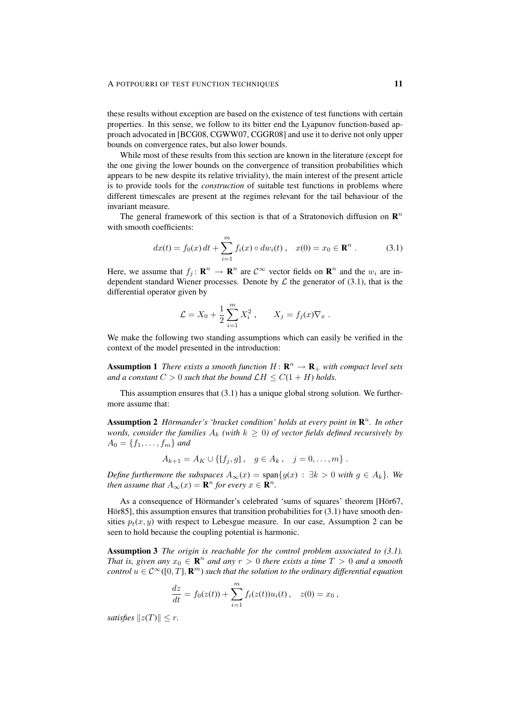#### A POTPOURRI OF TEST FUNCTION TECHNIQUES 11

these results without exception are based on the existence of test functions with certain properties. In this sense, we follow to its bitter end the Lyapunov function-based approach advocated in [BCG08, CGWW07, CGGR08] and use it to derive not only upper bounds on convergence rates, but also lower bounds.

While most of these results from this section are known in the literature (except for the one giving the lower bounds on the convergence of transition probabilities which appears to be new despite its relative triviality), the main interest of the present article is to provide tools for the *construction* of suitable test functions in problems where different timescales are present at the regimes relevant for the tail behaviour of the invariant measure.

The general framework of this section is that of a Stratonovich diffusion on  $\mathbb{R}^n$ with smooth coefficients:

$$
dx(t) = f_0(x) dt + \sum_{i=1}^{m} f_i(x) \circ dw_i(t) , \quad x(0) = x_0 \in \mathbf{R}^n .
$$
 (3.1)

Here, we assume that  $f_j: \mathbf{R}^n \to \mathbf{R}^n$  are  $\mathcal{C}^{\infty}$  vector fields on  $\mathbf{R}^n$  and the  $w_i$  are independent standard Wiener processes. Denote by  $\mathcal L$  the generator of (3.1), that is the differential operator given by

$$
\mathcal{L} = X_0 + \frac{1}{2} \sum_{i=1}^{m} X_i^2
$$
,  $X_j = f_j(x) \nabla_x$ .

We make the following two standing assumptions which can easily be verified in the context of the model presented in the introduction:

**Assumption 1** *There exists a smooth function*  $H: \mathbb{R}^n \to \mathbb{R}_+$  *with compact level sets and a constant*  $C > 0$  *such that the bound*  $\mathcal{L}H \leq C(1 + H)$  *holds.* 

This assumption ensures that (3.1) has a unique global strong solution. We furthermore assume that:

**Assumption 2** Hörmander's 'bracket condition' holds at every point in  $\mathbb{R}^n$ . In other *words, consider the families*  $A_k$  *(with*  $k \geq 0$ *) of vector fields defined recursively by*  $A_0 = \{f_1, \ldots, f_m\}$  and

$$
A_{k+1} = A_K \cup \{ [f_j, g] , g \in A_k , j = 0, ..., m \} .
$$

*Define furthermore the subspaces*  $A_{\infty}(x) = \text{span}\lbrace g(x) : \exists k > 0 \text{ with } g \in A_k \rbrace$ . We *then assume that*  $A_{\infty}(x) = \mathbf{R}^n$  *for every*  $x \in \mathbf{R}^n$ *.* 

As a consequence of Hörmander's celebrated 'sums of squares' theorem [Hör67, Hör85], this assumption ensures that transition probabilities for  $(3.1)$  have smooth densities  $p_t(x, y)$  with respect to Lebesgue measure. In our case, Assumption 2 can be seen to hold because the coupling potential is harmonic.

Assumption 3 *The origin is reachable for the control problem associated to (3.1). That is, given any*  $x_0 \in \mathbb{R}^n$  *and any*  $r > 0$  *there exists a time*  $T > 0$  *and a smooth control*  $u \in C^{\infty}([0,T], \mathbf{R}^m)$  *such that the solution to the ordinary differential equation* 

$$
\frac{dz}{dt} = f_0(z(t)) + \sum_{i=1}^m f_i(z(t))u_i(t), \quad z(0) = x_0,
$$

*satisfies*  $||z(T)|| < r$ *.*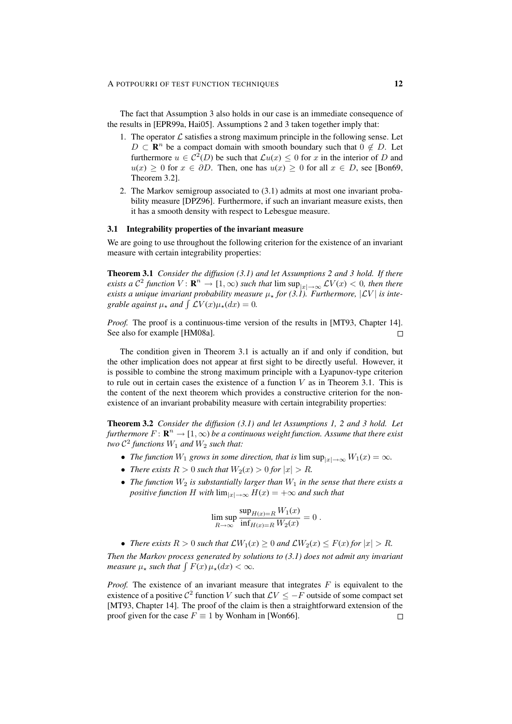The fact that Assumption 3 also holds in our case is an immediate consequence of the results in [EPR99a, Hai05]. Assumptions 2 and 3 taken together imply that:

- 1. The operator  $\mathcal L$  satisfies a strong maximum principle in the following sense. Let  $D \subset \mathbb{R}^n$  be a compact domain with smooth boundary such that  $0 \notin D$ . Let furthermore  $u \in C^2(D)$  be such that  $\mathcal{L}u(x) \leq 0$  for x in the interior of D and  $u(x) \geq 0$  for  $x \in \partial D$ . Then, one has  $u(x) \geq 0$  for all  $x \in D$ , see [Bon69, Theorem 3.2].
- 2. The Markov semigroup associated to (3.1) admits at most one invariant probability measure [DPZ96]. Furthermore, if such an invariant measure exists, then it has a smooth density with respect to Lebesgue measure.

#### 3.1 Integrability properties of the invariant measure

We are going to use throughout the following criterion for the existence of an invariant measure with certain integrability properties:

Theorem 3.1 *Consider the diffusion (3.1) and let Assumptions 2 and 3 hold. If there exists a*  $\mathcal{C}^2$  *function*  $V: \mathbf{R}^n \to [1, \infty)$  *such that*  $\limsup_{|x| \to \infty} \mathcal{L}V(x) < 0$ *, then there exists a unique invariant probability measure*  $\mu_*$  *for (3.1). Furthermore,*  $|\mathcal{L}V|$  *is integrable against*  $\mu$ <sup>\*</sup> *and*  $\int$   $\mathcal{L}V(x)\mu$ <sup>\*</sup> $(dx) = 0$ *.* 

*Proof.* The proof is a continuous-time version of the results in [MT93, Chapter 14]. See also for example [HM08a].  $\Box$ 

The condition given in Theorem 3.1 is actually an if and only if condition, but the other implication does not appear at first sight to be directly useful. However, it is possible to combine the strong maximum principle with a Lyapunov-type criterion to rule out in certain cases the existence of a function  $V$  as in Theorem 3.1. This is the content of the next theorem which provides a constructive criterion for the nonexistence of an invariant probability measure with certain integrability properties:

Theorem 3.2 *Consider the diffusion (3.1) and let Assumptions 1, 2 and 3 hold. Let* furthermore  $F \colon \mathbf{R}^n \to [1,\infty)$  be a continuous weight function. Assume that there exist  $two C<sup>2</sup>$  functions  $W_1$  and  $W_2$  such that:

- *The function*  $W_1$  *grows in some direction, that is*  $\limsup_{|x| \to \infty} W_1(x) = \infty$ *.*
- *There exists*  $R > 0$  *such that*  $W_2(x) > 0$  *for*  $|x| > R$ *.*
- *The function*  $W_2$  *is substantially larger than*  $W_1$  *in the sense that there exists a positive function* H *with*  $\lim_{|x| \to \infty} H(x) = +\infty$  *and such that*

$$
\limsup_{R\to\infty}\frac{\sup_{H(x)=R}W_1(x)}{\inf_{H(x)=R}W_2(x)}=0.
$$

• *There exists*  $R > 0$  *such that*  $\mathcal{L}W_1(x) > 0$  *and*  $\mathcal{L}W_2(x) \leq F(x)$  *for*  $|x| > R$ *.* 

*Then the Markov process generated by solutions to (3.1) does not admit any invariant measure*  $\mu$ <sub>*x</sub> such that*  $\int F(x) \mu$ <sub>*x*</sub>(dx) <  $\infty$ *.*</sub>

*Proof.* The existence of an invariant measure that integrates  $F$  is equivalent to the existence of a positive  $\mathcal{C}^2$  function V such that  $\mathcal{L}V \leq -F$  outside of some compact set [MT93, Chapter 14]. The proof of the claim is then a straightforward extension of the proof given for the case  $F \equiv 1$  by Wonham in [Won66].  $\Box$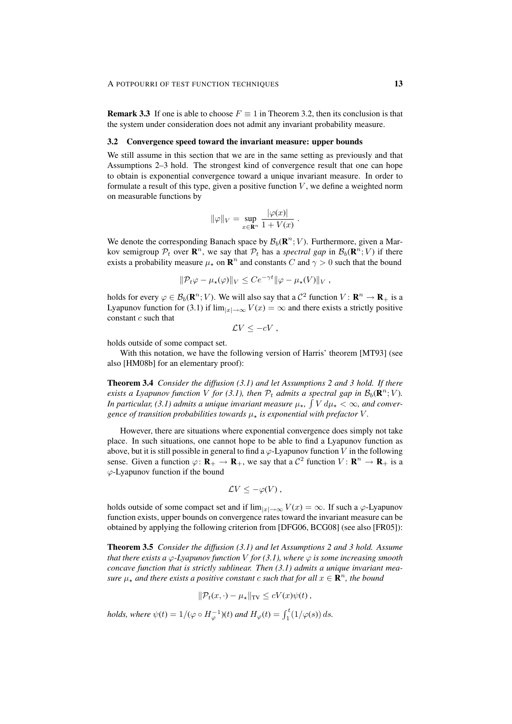**Remark 3.3** If one is able to choose  $F \equiv 1$  in Theorem 3.2, then its conclusion is that the system under consideration does not admit any invariant probability measure.

#### 3.2 Convergence speed toward the invariant measure: upper bounds

We still assume in this section that we are in the same setting as previously and that Assumptions 2–3 hold. The strongest kind of convergence result that one can hope to obtain is exponential convergence toward a unique invariant measure. In order to formulate a result of this type, given a positive function  $V$ , we define a weighted norm on measurable functions by

$$
\|\varphi\|_V = \sup_{x \in \mathbf{R}^n} \frac{|\varphi(x)|}{1 + V(x)}.
$$

We denote the corresponding Banach space by  $\mathcal{B}_b(\mathbf{R}^n; V)$ . Furthermore, given a Markov semigroup  $P_t$  over  $\mathbf{R}^n$ , we say that  $P_t$  has a *spectral gap* in  $\mathcal{B}_b(\mathbf{R}^n; V)$  if there exists a probability measure  $\mu_{\star}$  on  $\mathbf{R}^n$  and constants C and  $\gamma > 0$  such that the bound

$$
\|\mathcal{P}_t\varphi-\mu_\star(\varphi)\|_V\leq Ce^{-\gamma t}\|\varphi-\mu_\star(V)\|_V,
$$

holds for every  $\varphi \in \mathcal{B}_b(\mathbf{R}^n; V)$ . We will also say that a  $\mathcal{C}^2$  function  $V: \mathbf{R}^n \to \mathbf{R}_+$  is a Lyapunov function for (3.1) if  $\lim_{|x|\to\infty} V(x) = \infty$  and there exists a strictly positive constant c such that

$$
\mathcal{L}V\leq-cV,
$$

holds outside of some compact set.

With this notation, we have the following version of Harris' theorem [MT93] (see also [HM08b] for an elementary proof):

Theorem 3.4 *Consider the diffusion (3.1) and let Assumptions 2 and 3 hold. If there exists a Lyapunov function* V for (3.1), then  $P_t$  admits a spectral gap in  $\mathcal{B}_b(\mathbf{R}^n; V)$ . In particular, (3.1) admits a unique invariant measure  $\mu_{\star}$ ,  $\int V d\mu_{\star} < \infty$ , and conver*gence of transition probabilities towards*  $\mu_*$  *is exponential with prefactor* V.

However, there are situations where exponential convergence does simply not take place. In such situations, one cannot hope to be able to find a Lyapunov function as above, but it is still possible in general to find a  $\varphi$ -Lyapunov function V in the following sense. Given a function  $\varphi \colon \mathbf{R}_+ \to \mathbf{R}_+$ , we say that a  $\mathcal{C}^2$  function  $V \colon \mathbf{R}^n \to \mathbf{R}_+$  is a  $\varphi$ -Lyapunov function if the bound

$$
\mathcal{L}V\leq -\varphi(V)\,,
$$

holds outside of some compact set and if  $\lim_{|x| \to \infty} V(x) = \infty$ . If such a  $\varphi$ -Lyapunov function exists, upper bounds on convergence rates toward the invariant measure can be obtained by applying the following criterion from [DFG06, BCG08] (see also [FR05]):

Theorem 3.5 *Consider the diffusion (3.1) and let Assumptions 2 and 3 hold. Assume that there exists a*  $\varphi$ -Lyapunov function V for (3.1), where  $\varphi$  is some increasing smooth *concave function that is strictly sublinear. Then (3.1) admits a unique invariant measure*  $\mu_{\star}$  and there exists a positive constant c such that for all  $x \in \mathbb{R}^n$ , the bound

$$
\|\mathcal{P}_t(x,\cdot)-\mu_\star\|_{\text{TV}} \le cV(x)\psi(t),
$$

*holds, where*  $\psi(t) = 1/(\varphi \circ H_{\varphi}^{-1})(t)$  *and*  $H_{\varphi}(t) = \int_{1}^{t} (1/\varphi(s)) ds$ .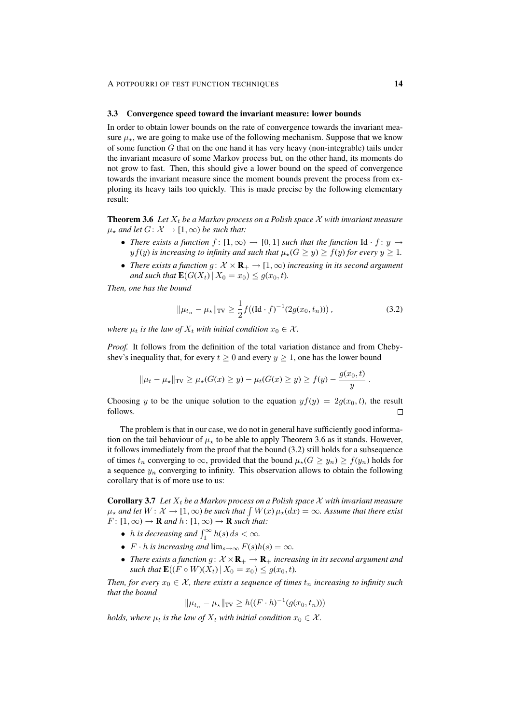#### 3.3 Convergence speed toward the invariant measure: lower bounds

In order to obtain lower bounds on the rate of convergence towards the invariant measure  $\mu_{\star}$ , we are going to make use of the following mechanism. Suppose that we know of some function  $G$  that on the one hand it has very heavy (non-integrable) tails under the invariant measure of some Markov process but, on the other hand, its moments do not grow to fast. Then, this should give a lower bound on the speed of convergence towards the invariant measure since the moment bounds prevent the process from exploring its heavy tails too quickly. This is made precise by the following elementary result:

**Theorem 3.6** Let  $X_t$  be a Markov process on a Polish space  $X$  with invariant measure  $\mu_*$  *and let*  $G: \mathcal{X} \to [1, \infty)$  *be such that:* 

- *There exists a function*  $f : [1, \infty) \to [0, 1]$  *such that the function* Id  $\cdot f : y \mapsto$  $y f(y)$  *is increasing to infinity and such that*  $\mu_{\star}(G \ge y) \ge f(y)$  *for every*  $y \ge 1$ *.*
- *There exists a function*  $g: \mathcal{X} \times \mathbf{R}_{+} \to [1, \infty)$  *increasing in its second argument and such that*  $\mathbf{E}(G(X_t) | X_0 = x_0) \leq g(x_0, t)$ *.*

*Then, one has the bound*

$$
\|\mu_{t_n} - \mu_{\star}\|_{\text{TV}} \ge \frac{1}{2} f((\text{Id} \cdot f)^{-1}(2g(x_0, t_n))) \,, \tag{3.2}
$$

*where*  $\mu_t$  *is the law of*  $X_t$  *with initial condition*  $x_0 \in \mathcal{X}$ *.* 

*Proof.* It follows from the definition of the total variation distance and from Chebyshev's inequality that, for every  $t \geq 0$  and every  $y \geq 1$ , one has the lower bound

$$
\|\mu_t - \mu_{\star}\|_{\text{TV}} \ge \mu_{\star}(G(x) \ge y) - \mu_t(G(x) \ge y) \ge f(y) - \frac{g(x_0, t)}{y}
$$

Choosing y to be the unique solution to the equation  $y f(y) = 2g(x_0, t)$ , the result follows.  $\Box$ 

The problem is that in our case, we do not in general have sufficiently good information on the tail behaviour of  $\mu_{\star}$  to be able to apply Theorem 3.6 as it stands. However, it follows immediately from the proof that the bound (3.2) still holds for a subsequence of times  $t_n$  converging to  $\infty$ , provided that the bound  $\mu_*(G \geq y_n) \geq f(y_n)$  holds for a sequence  $y_n$  converging to infinity. This observation allows to obtain the following corollary that is of more use to us:

**Corollary 3.7** Let  $X_t$  be a Markov process on a Polish space X with invariant measure  $\mu_\star$  and let  $W\colon{\mathcal X}\to[1,\infty)$  be such that  $\int W(x)\,\mu_\star(dx)=\infty$ . Assume that there exist  $F: [1, \infty) \to \mathbf{R}$  and  $h: [1, \infty) \to \mathbf{R}$  such that:

- *h* is decreasing and  $\int_1^{\infty} h(s) ds < \infty$ .
- $F \cdot h$  *is increasing and*  $\lim_{s \to \infty} F(s)h(s) = \infty$ *.*
- *There exists a function*  $g: \mathcal{X} \times \mathbf{R}_{+} \to \mathbf{R}_{+}$  *increasing in its second argument and such that*  $\mathbf{E}((F \circ W)(X_t) | X_0 = x_0) \leq g(x_0, t)$ *.*

*Then, for every*  $x_0 \in \mathcal{X}$ *, there exists a sequence of times*  $t_n$  *increasing to infinity such that the bound*

$$
\|\mu_{t_n} - \mu_{\star}\|_{\text{TV}} \ge h((F \cdot h)^{-1}(g(x_0, t_n)))
$$

*holds, where*  $\mu_t$  *is the law of*  $X_t$  *with initial condition*  $x_0 \in \mathcal{X}$ *.* 

.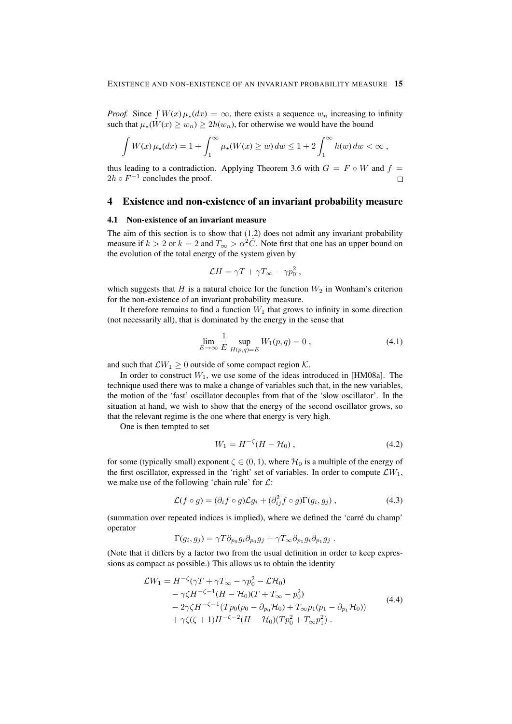*Proof.* Since  $\int W(x) \mu_*(dx) = \infty$ , there exists a sequence  $w_n$  increasing to infinity such that  $\mu_*(W(x) \geq w_n) \geq 2h(w_n)$ , for otherwise we would have the bound

$$
\int W(x)\,\mu_{\star}(dx) = 1 + \int_1^{\infty} \mu_{\star}(W(x) \ge w) \, dw \le 1 + 2 \int_1^{\infty} h(w) \, dw < \infty \,,
$$

thus leading to a contradiction. Applying Theorem 3.6 with  $G = F \circ W$  and  $f =$  $2h \circ F^{-1}$  concludes the proof.  $\Box$ 

## 4 Existence and non-existence of an invariant probability measure

#### 4.1 Non-existence of an invariant measure

The aim of this section is to show that (1.2) does not admit any invariant probability measure if  $k > 2$  or  $k = 2$  and  $T_{\infty} > \alpha^2 \hat{C}$ . Note first that one has an upper bound on the evolution of the total energy of the system given by

$$
\mathcal{L}H = \gamma T + \gamma T_{\infty} - \gamma p_0^2,
$$

which suggests that H is a natural choice for the function  $W_2$  in Wonham's criterion for the non-existence of an invariant probability measure.

It therefore remains to find a function  $W_1$  that grows to infinity in some direction (not necessarily all), that is dominated by the energy in the sense that

$$
\lim_{E \to \infty} \frac{1}{E} \sup_{H(p,q)=E} W_1(p,q) = 0 , \qquad (4.1)
$$

and such that  $\mathcal{L}W_1 \geq 0$  outside of some compact region  $\mathcal{K}$ .

In order to construct  $W_1$ , we use some of the ideas introduced in [HM08a]. The technique used there was to make a change of variables such that, in the new variables, the motion of the 'fast' oscillator decouples from that of the 'slow oscillator'. In the situation at hand, we wish to show that the energy of the second oscillator grows, so that the relevant regime is the one where that energy is very high.

One is then tempted to set

$$
W_1 = H^{-\zeta}(H - \mathcal{H}_0), \qquad (4.2)
$$

for some (typically small) exponent  $\zeta \in (0, 1)$ , where  $\mathcal{H}_0$  is a multiple of the energy of the first oscillator, expressed in the 'right' set of variables. In order to compute  $\mathcal{L}W_1$ , we make use of the following 'chain rule' for  $\mathcal{L}$ :

$$
\mathcal{L}(f \circ g) = (\partial_i f \circ g)\mathcal{L}g_i + (\partial_{ij}^2 f \circ g)\Gamma(g_i, g_j) , \qquad (4.3)
$$

(summation over repeated indices is implied), where we defined the 'carre du champ' ´ operator

$$
\Gamma(g_i, g_j) = \gamma T \partial_{p_0} g_i \partial_{p_0} g_j + \gamma T_{\infty} \partial_{p_1} g_i \partial_{p_1} g_j.
$$

(Note that it differs by a factor two from the usual definition in order to keep expressions as compact as possible.) This allows us to obtain the identity

$$
\mathcal{L}W_1 = H^{-\zeta}(\gamma T + \gamma T_{\infty} - \gamma p_0^2 - \mathcal{L}H_0) \n- \gamma \zeta H^{-\zeta - 1}(H - \mathcal{H}_0)(T + T_{\infty} - p_0^2) \n- 2\gamma \zeta H^{-\zeta - 1}(T p_0 (p_0 - \partial_{p_0} \mathcal{H}_0) + T_{\infty} p_1 (p_1 - \partial_{p_1} \mathcal{H}_0)) \n+ \gamma \zeta(\zeta + 1)H^{-\zeta - 2}(H - \mathcal{H}_0)(T p_0^2 + T_{\infty} p_1^2).
$$
\n(4.4)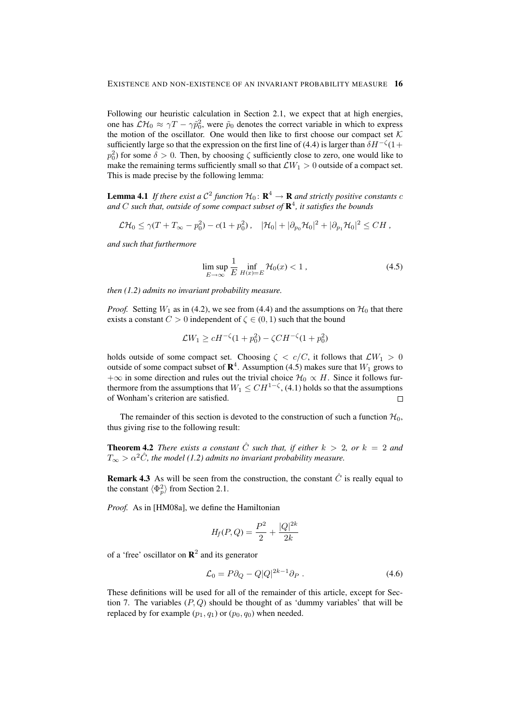Following our heuristic calculation in Section 2.1, we expect that at high energies, one has  $\mathcal{LH}_0 \approx \gamma T - \gamma \tilde{p}_0^2$ , were  $\tilde{p}_0$  denotes the correct variable in which to express the motion of the oscillator. One would then like to first choose our compact set  $K$ sufficiently large so that the expression on the first line of (4.4) is larger than  $\delta H^{-\zeta}(1+\zeta)$  $p_0^2$ ) for some  $\delta > 0$ . Then, by choosing  $\zeta$  sufficiently close to zero, one would like to make the remaining terms sufficiently small so that  $\mathcal{L}W_1 > 0$  outside of a compact set. This is made precise by the following lemma:

**Lemma 4.1** If there exist a  $C^2$  function  $H_0: \mathbf{R}^4 \to \mathbf{R}$  and strictly positive constants c *and* C *such that, outside of some compact subset of* R 4 *, it satisfies the bounds*

$$
\mathcal{LH}_0 \leq \gamma (T + T_{\infty} - p_0^2) - c(1 + p_0^2), \quad |\mathcal{H}_0| + |\partial_{p_0} \mathcal{H}_0|^2 + |\partial_{p_1} \mathcal{H}_0|^2 \leq CH
$$

*and such that furthermore*

$$
\limsup_{E \to \infty} \frac{1}{E} \inf_{H(x) = E} \mathcal{H}_0(x) < 1 \,, \tag{4.5}
$$

*then (1.2) admits no invariant probability measure.*

*Proof.* Setting  $W_1$  as in (4.2), we see from (4.4) and the assumptions on  $\mathcal{H}_0$  that there exists a constant  $C > 0$  independent of  $\zeta \in (0, 1)$  such that the bound

$$
\mathcal{L}W_1 \ge cH^{-\zeta}(1+p_0^2) - \zeta CH^{-\zeta}(1+p_0^2)
$$

holds outside of some compact set. Choosing  $\zeta < c/C$ , it follows that  $\mathcal{L}W_1 > 0$ outside of some compact subset of  $\mathbb{R}^4$ . Assumption (4.5) makes sure that  $W_1$  grows to  $+\infty$  in some direction and rules out the trivial choice  $\mathcal{H}_0 \propto H$ . Since it follows furthermore from the assumptions that  $W_1 \leq CH^{1-\zeta}$ , (4.1) holds so that the assumptions of Wonham's criterion are satisfied.

The remainder of this section is devoted to the construction of such a function  $\mathcal{H}_0$ , thus giving rise to the following result:

**Theorem 4.2** *There exists a constant*  $\hat{C}$  *such that, if either*  $k > 2$ *, or*  $k = 2$  *and*  $T_{\infty} > \alpha^2 \hat{C}$ , the model (1.2) admits no invariant probability measure.

**Remark 4.3** As will be seen from the construction, the constant  $\hat{C}$  is really equal to the constant  $\langle \Phi_p^2 \rangle$  from Section 2.1.

*Proof.* As in [HM08a], we define the Hamiltonian

$$
H_f(P,Q) = \frac{P^2}{2} + \frac{|Q|^{2k}}{2k}
$$

of a 'free' oscillator on  $\mathbb{R}^2$  and its generator

$$
\mathcal{L}_0 = P \partial_Q - Q|Q|^{2k-1} \partial_P. \tag{4.6}
$$

These definitions will be used for all of the remainder of this article, except for Section 7. The variables  $(P, Q)$  should be thought of as 'dummy variables' that will be replaced by for example  $(p_1, q_1)$  or  $(p_0, q_0)$  when needed.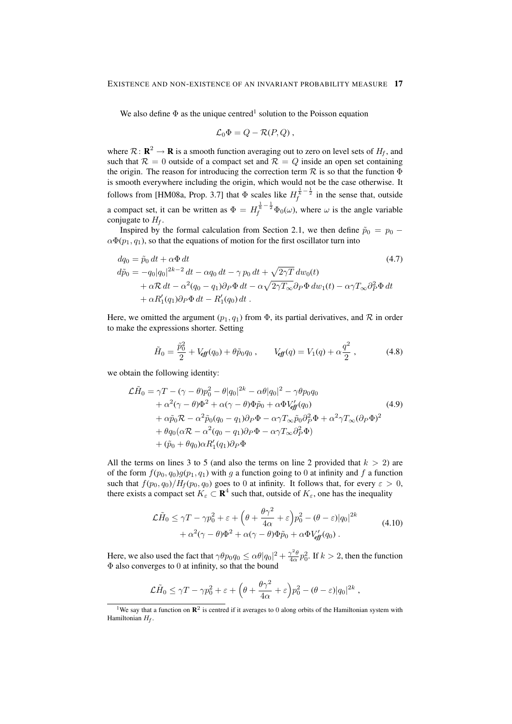We also define  $\Phi$  as the unique centred<sup>1</sup> solution to the Poisson equation

$$
\mathcal{L}_0 \Phi = Q - \mathcal{R}(P, Q) ,
$$

where  $\mathcal{R} \colon \mathbf{R}^2 \to \mathbf{R}$  is a smooth function averaging out to zero on level sets of  $H_f$ , and such that  $\mathcal{R} = 0$  outside of a compact set and  $\mathcal{R} = Q$  inside an open set containing the origin. The reason for introducing the correction term  $R$  is so that the function  $\Phi$ is smooth everywhere including the origin, which would not be the case otherwise. It follows from [HM08a, Prop. 3.7] that  $\Phi$  scales like  $H_f^{\frac{1}{k}-\frac{1}{2}}$  in the sense that, outside a compact set, it can be written as  $\Phi = H_f^{\frac{1}{k} - \frac{1}{2}} \Phi_0(\omega)$ , where  $\omega$  is the angle variable conjugate to  $H_f$ .

Inspired by the formal calculation from Section 2.1, we then define  $\tilde{p}_0 = p_0$  –  $\alpha \Phi(p_1, q_1)$ , so that the equations of motion for the first oscillator turn into

$$
dq_0 = \tilde{p}_0 dt + \alpha \Phi dt
$$
\n
$$
d\tilde{p}_0 = -q_0|q_0|^{2k-2} dt - \alpha q_0 dt - \gamma p_0 dt + \sqrt{2\gamma T} dw_0(t)
$$
\n
$$
+ \alpha \mathcal{R} dt - \alpha^2 (q_0 - q_1) \partial_P \Phi dt - \alpha \sqrt{2\gamma T_{\infty}} \partial_P \Phi dw_1(t) - \alpha \gamma T_{\infty} \partial_P^2 \Phi dt
$$
\n
$$
+ \alpha R'_1(q_1) \partial_P \Phi dt - R'_1(q_0) dt.
$$
\n(4.7)

Here, we omitted the argument  $(p_1, q_1)$  from  $\Phi$ , its partial derivatives, and  $\mathcal R$  in order to make the expressions shorter. Setting

$$
\tilde{H}_0 = \frac{\tilde{p}_0^2}{2} + V_{\text{eff}}(q_0) + \theta \tilde{p}_0 q_0 , \qquad V_{\text{eff}}(q) = V_1(q) + \alpha \frac{q^2}{2} , \qquad (4.8)
$$

we obtain the following identity:

$$
\mathcal{L}\tilde{H}_0 = \gamma T - (\gamma - \theta)p_0^2 - \theta|q_0|^{2k} - \alpha\theta|q_0|^2 - \gamma\theta p_0 q_0 \n+ \alpha^2(\gamma - \theta)\Phi^2 + \alpha(\gamma - \theta)\Phi\tilde{p}_0 + \alpha\Phi V_{eff}^{\prime}(q_0) \n+ \alpha\tilde{p}_0\mathcal{R} - \alpha^2\tilde{p}_0(q_0 - q_1)\partial_P\Phi - \alpha\gamma T_{\infty}\tilde{p}_0\partial_P^2\Phi + \alpha^2\gamma T_{\infty}(\partial_P\Phi)^2 \n+ \theta q_0(\alpha\mathcal{R} - \alpha^2(q_0 - q_1)\partial_P\Phi - \alpha\gamma T_{\infty}\partial_P^2\Phi) \n+ (\tilde{p}_0 + \theta q_0)\alpha R'_1(q_1)\partial_P\Phi
$$
\n(4.9)

All the terms on lines 3 to 5 (and also the terms on line 2 provided that  $k > 2$ ) are of the form  $f(p_0, q_0)g(p_1, q_1)$  with g a function going to 0 at infinity and f a function such that  $f(p_0, q_0)/H_f(p_0, q_0)$  goes to 0 at infinity. It follows that, for every  $\varepsilon > 0$ , there exists a compact set  $K_{\varepsilon} \subset \mathbf{R}^4$  such that, outside of  $K_{\varepsilon}$ , one has the inequality

$$
\mathcal{L}\tilde{H}_0 \leq \gamma T - \gamma p_0^2 + \varepsilon + \left(\theta + \frac{\theta \gamma^2}{4\alpha} + \varepsilon\right) p_0^2 - (\theta - \varepsilon)|q_0|^{2k} \n+ \alpha^2 (\gamma - \theta) \Phi^2 + \alpha (\gamma - \theta) \Phi \tilde{p}_0 + \alpha \Phi V_{\text{eff}}'(q_0).
$$
\n(4.10)

Here, we also used the fact that  $\gamma \theta p_0 q_0 \le \alpha \theta |q_0|^2 + \frac{\gamma^2 \theta}{4\alpha} p_0^2$ . If  $k > 2$ , then the function Φ also converges to 0 at infinity, so that the bound

$$
\mathcal{L}\widetilde{H}_0 \leq \gamma T - \gamma p_0^2 + \varepsilon + \left(\theta + \frac{\theta \gamma^2}{4\alpha} + \varepsilon\right) p_0^2 - (\theta - \varepsilon)|q_0|^{2k},
$$

<sup>&</sup>lt;sup>1</sup>We say that a function on  $\mathbb{R}^2$  is centred if it averages to 0 along orbits of the Hamiltonian system with Hamiltonian  $H_f$ .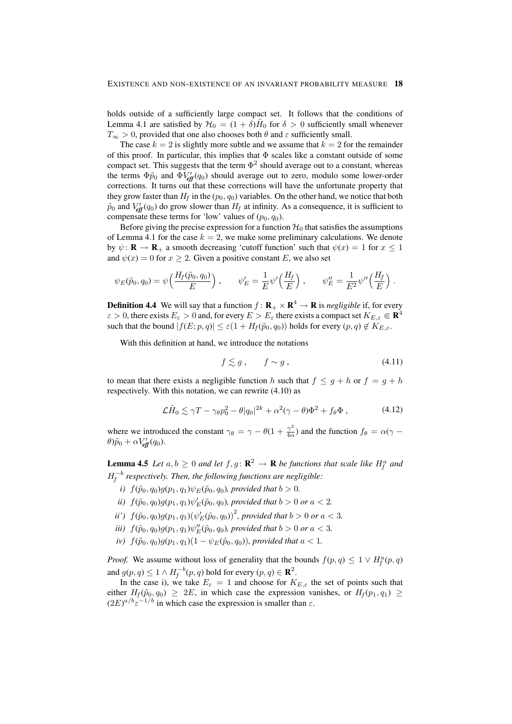holds outside of a sufficiently large compact set. It follows that the conditions of Lemma 4.1 are satisfied by  $\mathcal{H}_0 = (1 + \delta)\tilde{H}_0$  for  $\delta > 0$  sufficiently small whenever  $T_{\infty} > 0$ , provided that one also chooses both  $\theta$  and  $\varepsilon$  sufficiently small.

The case  $k = 2$  is slightly more subtle and we assume that  $k = 2$  for the remainder of this proof. In particular, this implies that  $\Phi$  scales like a constant outside of some compact set. This suggests that the term  $\Phi^2$  should average out to a constant, whereas the terms  $\Phi \tilde{p}_0$  and  $\Phi V_{\text{eff}}'(q_0)$  should average out to zero, modulo some lower-order corrections. It turns out that these corrections will have the unfortunate property that they grow faster than  $H_f$  in the  $(p_0, q_0)$  variables. On the other hand, we notice that both  $\tilde{p}_0$  and  $V_{\text{eff}}'(q_0)$  do grow slower than  $H_f$  at infinity. As a consequence, it is sufficient to compensate these terms for 'low' values of  $(p_0, q_0)$ .

Before giving the precise expression for a function  $H_0$  that satisfies the assumptions of Lemma 4.1 for the case  $k = 2$ , we make some preliminary calculations. We denote by  $\psi: \mathbf{R} \to \mathbf{R}_+$  a smooth decreasing 'cutoff function' such that  $\psi(x) = 1$  for  $x \le 1$ and  $\psi(x) = 0$  for  $x \ge 2$ . Given a positive constant E, we also set

$$
\psi_E(\tilde{p}_0, q_0) = \psi\left(\frac{H_f(\tilde{p}_0, q_0)}{E}\right), \qquad \psi_E' = \frac{1}{E} \psi'\left(\frac{H_f}{E}\right), \qquad \psi_E'' = \frac{1}{E^2} \psi''\left(\frac{H_f}{E}\right).
$$

**Definition 4.4** We will say that a function  $f: \mathbf{R}_{+} \times \mathbf{R}^{4} \to \mathbf{R}$  is *negligible* if, for every  $\varepsilon > 0$ , there exists  $E_\varepsilon > 0$  and, for every  $E > E_\varepsilon$  there exists a compact set  $K_{E,\varepsilon} \Subset \mathbf{R}^4$ such that the bound  $|f(E; p, q)| \leq \varepsilon (1 + H_f(\tilde{p}_0, q_0))$  holds for every  $(p, q) \notin K_{E, \varepsilon}$ .

With this definition at hand, we introduce the notations

$$
f \lesssim g \,, \qquad f \sim g \,, \tag{4.11}
$$

to mean that there exists a negligible function h such that  $f \leq g + h$  or  $f = g + h$ respectively. With this notation, we can rewrite (4.10) as

$$
\mathcal{L}\tilde{H}_0 \lesssim \gamma T - \gamma_\theta p_0^2 - \theta |q_0|^{2k} + \alpha^2 (\gamma - \theta) \Phi^2 + f_\theta \Phi , \qquad (4.12)
$$

where we introduced the constant  $\gamma_{\theta} = \gamma - \theta(1 + \frac{\gamma^2}{4\alpha})$  $\frac{\gamma^2}{4\alpha}$ ) and the function  $f_\theta = \alpha(\gamma - \gamma)$  $\theta$ ) $\tilde{p}_0 + \alpha V_{\text{eff}}'(q_0)$ .

**Lemma 4.5** Let  $a, b \ge 0$  and let  $f, g: \mathbb{R}^2 \to \mathbb{R}$  be functions that scale like  $H_f^a$  and  $H_f^{-b}$  respectively. Then, the following functions are negligible:

- *i*)  $f(\tilde{p}_0, q_0)g(p_1, q_1)\psi_E(\tilde{p}_0, q_0)$ *, provided that*  $b > 0$ *.*
- *ii*)  $f(\tilde{p}_0, q_0)g(p_1, q_1)\psi'_E(\tilde{p}_0, q_0)$ , provided that  $b > 0$  or  $a < 2$ .
- *ii'*)  $f(\tilde{p}_0, q_0)g(p_1, q_1)(\psi_E'(\tilde{p}_0, q_0))^2$ , provided that  $b > 0$  or  $a < 3$ .
- *iii*)  $f(\tilde{p}_0, q_0)g(p_1, q_1)\psi''_E(\tilde{p}_0, q_0)$ , provided that  $b > 0$  or  $a < 3$ .
- *iv*)  $f(\tilde{p}_0, q_0)g(p_1, q_1)(1 \psi_E(\tilde{p}_0, q_0))$ *, provided that*  $a < 1$ *.*

*Proof.* We assume without loss of generality that the bounds  $f(p,q) \leq 1 \vee H_f^a(p,q)$ and  $g(p,q) \leq 1 \wedge H_f^{-b}(p,q)$  hold for every  $(p,q) \in \mathbf{R}^2$ .

In the case i), we take  $E_{\varepsilon} = 1$  and choose for  $K_{E,\varepsilon}$  the set of points such that either  $H_f(\tilde{p}_0, q_0) \geq 2E$ , in which case the expression vanishes, or  $H_f(p_1, q_1) \geq$  $(2E)^{a/b} \varepsilon^{-1/b}$  in which case the expression is smaller than  $\varepsilon$ .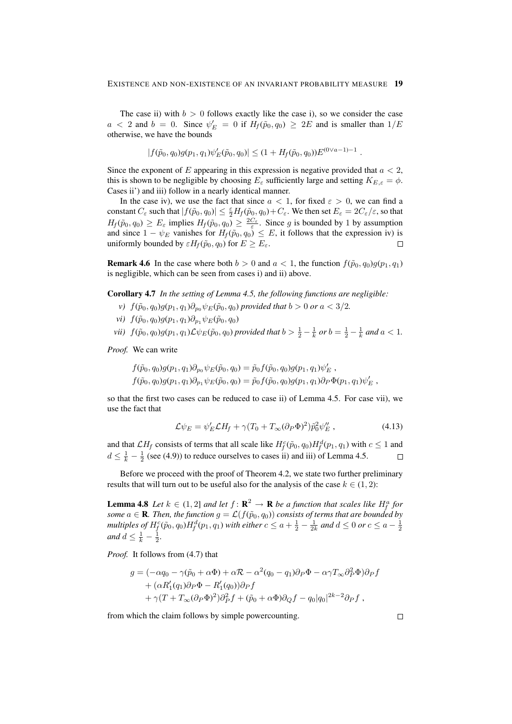The case ii) with  $b > 0$  follows exactly like the case i), so we consider the case  $a < 2$  and  $b = 0$ . Since  $\psi_E' = 0$  if  $H_f(\tilde{p}_0, q_0) \ge 2E$  and is smaller than  $1/E$ otherwise, we have the bounds

$$
|f(\tilde{p}_0, q_0)g(p_1, q_1)\psi'_E(\tilde{p}_0, q_0)| \le (1 + H_f(\tilde{p}_0, q_0))E^{(0 \vee a - 1) - 1}
$$

.

Since the exponent of  $E$  appearing in this expression is negative provided that  $a < 2$ , this is shown to be negligible by choosing  $E_{\varepsilon}$  sufficiently large and setting  $K_{E,\varepsilon} = \phi$ . Cases ii') and iii) follow in a nearly identical manner.

In the case iv), we use the fact that since  $a < 1$ , for fixed  $\varepsilon > 0$ , we can find a constant  $C_\varepsilon$  such that  $|f(\tilde{p}_0, q_0)| \leq \frac{\varepsilon}{2} H_f(\tilde{p}_0, q_0) + C_\varepsilon$ . We then set  $E_\varepsilon = 2C_\varepsilon/\varepsilon$ , so that  $H_f(\tilde{p}_0, q_0) \ge E_{\varepsilon}$  implies  $H_f(\tilde{p}_0, q_0) \ge \frac{2C_{\varepsilon}}{\varepsilon}$ . Since g is bounded by 1 by assumption and since  $1 - \psi_E$  vanishes for  $H_f(\tilde{p}_0, q_0) \leq E$ , it follows that the expression iv) is uniformly bounded by  $\varepsilon H_f(\tilde{p}_0, q_0)$  for  $E \geq E_{\varepsilon}$ .  $\Box$ 

**Remark 4.6** In the case where both  $b > 0$  and  $a < 1$ , the function  $f(\tilde{p}_0, q_0)g(p_1, q_1)$ is negligible, which can be seen from cases i) and ii) above.

Corollary 4.7 *In the setting of Lemma 4.5, the following functions are negligible:*

- *v*)  $f(\tilde{p}_0, q_0)g(p_1, q_1)\partial_{p_0}\psi_E(\tilde{p}_0, q_0)$  *provided that*  $b > 0$  *or*  $a < 3/2$ *.*
- *vi*)  $f(\tilde{p}_0, q_0)g(p_1, q_1)\partial_{p_1}\psi_E(\tilde{p}_0, q_0)$
- *vii*)  $f(\tilde{p}_0, q_0)g(p_1, q_1)\mathcal{L}\psi_E(\tilde{p}_0, q_0)$  *provided that*  $b > \frac{1}{2} \frac{1}{k}$  *or*  $b = \frac{1}{2} \frac{1}{k}$  *and*  $a < 1$ *.*

*Proof.* We can write

$$
f(\tilde{p}_0, q_0)g(p_1, q_1)\partial_{p_0}\psi_E(\tilde{p}_0, q_0) = \tilde{p}_0f(\tilde{p}_0, q_0)g(p_1, q_1)\psi'_E,
$$
  

$$
f(\tilde{p}_0, q_0)g(p_1, q_1)\partial_{p_1}\psi_E(\tilde{p}_0, q_0) = \tilde{p}_0f(\tilde{p}_0, q_0)g(p_1, q_1)\partial_P\Phi(p_1, q_1)\psi'_E,
$$

so that the first two cases can be reduced to case ii) of Lemma 4.5. For case vii), we use the fact that

$$
\mathcal{L}\psi_E = \psi_E' \mathcal{L}H_f + \gamma (T_0 + T_\infty (\partial_P \Phi)^2) \tilde{p}_0^2 \psi_E'', \qquad (4.13)
$$

and that  $\mathcal{L}H_f$  consists of terms that all scale like  $H_f^c(\tilde{p}_0, q_0)H_f^d(p_1, q_1)$  with  $c \le 1$  and  $d \leq \frac{1}{k} - \frac{1}{2}$  (see (4.9)) to reduce ourselves to cases ii) and iii) of Lemma 4.5.  $\Box$ 

Before we proceed with the proof of Theorem 4.2, we state two further preliminary results that will turn out to be useful also for the analysis of the case  $k \in (1, 2)$ :

**Lemma 4.8** Let  $k \in (1,2]$  and let  $f: \mathbb{R}^2 \to \mathbb{R}$  be a function that scales like  $H_f^a$  for *some*  $a \in \mathbf{R}$ *. Then, the function*  $g = \mathcal{L}(f(\tilde{p}_0, q_0))$  *consists of terms that are bounded by multiples of*  $H^c_f(\tilde{p}_0, q_0)H^d_f(p_1, q_1)$  *with either*  $c \le a+\frac{1}{2}-\frac{1}{2k}$  *and*  $d \le 0$  *or*  $c \le a-\frac{1}{2}$ *and*  $d \leq \frac{1}{k} - \frac{1}{2}$ *.* 

*Proof.* It follows from (4.7) that

$$
g = (-\alpha q_0 - \gamma(\tilde{p}_0 + \alpha \Phi) + \alpha \mathcal{R} - \alpha^2 (q_0 - q_1) \partial_P \Phi - \alpha \gamma T_{\infty} \partial_P^2 \Phi) \partial_P f + (\alpha R'_1(q_1) \partial_P \Phi - R'_1(q_0)) \partial_P f + \gamma (T + T_{\infty} (\partial_P \Phi)^2) \partial_P^2 f + (\tilde{p}_0 + \alpha \Phi) \partial_Q f - q_0 |q_0|^{2k-2} \partial_P f,
$$

from which the claim follows by simple powercounting.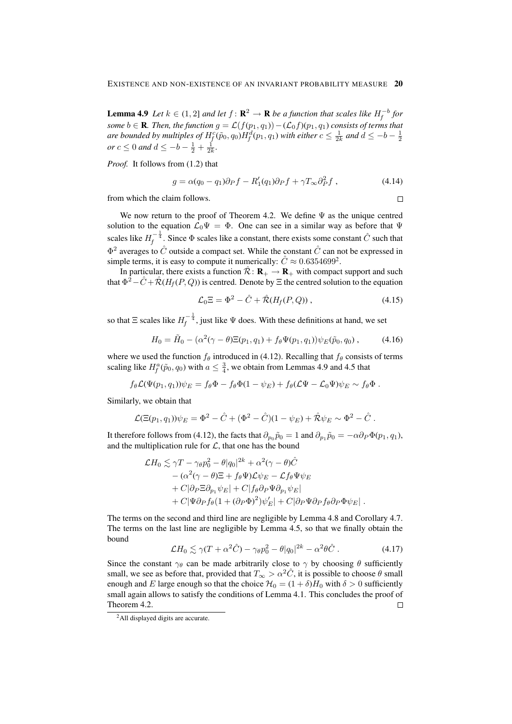**Lemma 4.9** Let  $k \in (1,2]$  and let  $f: \mathbb{R}^2 \to \mathbb{R}$  be a function that scales like  $H_f^{-b}$  for *some*  $b \in \mathbf{R}$ *. Then, the function*  $g = \mathcal{L}(f(p_1, q_1)) - (\mathcal{L}_0 f)(p_1, q_1)$  *consists of terms that* are bounded by multiples of  $H^c_f(\tilde p_0,q_0)H^d_f(p_1,q_1)$  with either  $c\leq \frac{1}{2k}$  and  $d\leq -b-\frac{1}{2}$ *or*  $c \le 0$  *and*  $d \le -b - \frac{1}{2} + \frac{1}{2k}$ *.* 

*Proof.* It follows from (1.2) that

$$
g = \alpha (q_0 - q_1) \partial_P f - R'_1(q_1) \partial_P f + \gamma T_\infty \partial_P^2 f , \qquad (4.14)
$$

 $\Box$ 

from which the claim follows.

We now return to the proof of Theorem 4.2. We define  $\Psi$  as the unique centred solution to the equation  $\mathcal{L}_0\Psi = \Phi$ . One can see in a similar way as before that  $\Psi$ scales like  $H_f^{-\frac{1}{4}}$ . Since  $\Phi$  scales like a constant, there exists some constant  $\hat{C}$  such that  $\Phi^2$  averages to  $\hat{C}$  outside a compact set. While the constant  $\hat{C}$  can not be expressed in simple terms, it is easy to compute it numerically:  $\hat{C} \approx 0.6354699^2$ .

In particular, there exists a function  $\mathcal{R}: \mathbf{R}_{+} \to \mathbf{R}_{+}$  with compact support and such that  $\Phi^2 - \hat{C} + \hat{\mathcal{R}}(H_f(P,Q))$  is centred. Denote by  $\Xi$  the centred solution to the equation

$$
\mathcal{L}_0 \Xi = \Phi^2 - \hat{C} + \hat{\mathcal{R}} (H_f(P, Q)), \qquad (4.15)
$$

so that  $\Xi$  scales like  $H_f^{-\frac{1}{4}}$ , just like  $\Psi$  does. With these definitions at hand, we set

$$
H_0 = \tilde{H}_0 - (\alpha^2(\gamma - \theta)\Xi(p_1, q_1) + f_{\theta}\Psi(p_1, q_1))\psi_E(\tilde{p}_0, q_0), \qquad (4.16)
$$

where we used the function  $f_\theta$  introduced in (4.12). Recalling that  $f_\theta$  consists of terms scaling like  $H_f^a(\tilde{p}_0, q_0)$  with  $a \leq \frac{3}{4}$ , we obtain from Lemmas 4.9 and 4.5 that

$$
f_{\theta} \mathcal{L}(\Psi(p_1,q_1)) \psi_E = f_{\theta} \Phi - f_{\theta} \Phi (1 - \psi_E) + f_{\theta} (\mathcal{L}\Psi - \mathcal{L}_0 \Psi) \psi_E \sim f_{\theta} \Phi.
$$

Similarly, we obtain that

$$
\mathcal{L}(\Xi(p_1,q_1))\psi_E = \Phi^2 - \hat{C} + (\Phi^2 - \hat{C})(1 - \psi_E) + \hat{\mathcal{R}}\psi_E \sim \Phi^2 - \hat{C}.
$$

It therefore follows from (4.12), the facts that  $\partial_{p_0} \tilde{p}_0 = 1$  and  $\partial_{p_1} \tilde{p}_0 = -\alpha \partial_P \Phi(p_1, q_1)$ , and the multiplication rule for  $\mathcal{L}$ , that one has the bound

$$
\mathcal{L}H_0 \lesssim \gamma T - \gamma_\theta p_0^2 - \theta |q_0|^{2k} + \alpha^2 (\gamma - \theta) \hat{C}
$$
  
\n
$$
- (\alpha^2 (\gamma - \theta) \Xi + f_\theta \Psi) \mathcal{L} \psi_E - \mathcal{L} f_\theta \Psi \psi_E
$$
  
\n
$$
+ C |\partial_P \Xi \partial_{p_1} \psi_E| + C |f_\theta \partial_P \Psi \partial_{p_1} \psi_E|
$$
  
\n
$$
+ C |\Psi \partial_P f_\theta (1 + (\partial_P \Phi)^2) \psi_E'| + C |\partial_P \Psi \partial_P f_\theta \partial_P \Phi \psi_E|.
$$

The terms on the second and third line are negligible by Lemma 4.8 and Corollary 4.7. The terms on the last line are negligible by Lemma 4.5, so that we finally obtain the bound

$$
\mathcal{L}H_0 \lesssim \gamma (T + \alpha^2 \hat{C}) - \gamma_\theta p_0^2 - \theta |q_0|^{2k} - \alpha^2 \theta \hat{C} \,. \tag{4.17}
$$

Since the constant  $\gamma_\theta$  can be made arbitrarily close to  $\gamma$  by choosing  $\theta$  sufficiently small, we see as before that, provided that  $T_{\infty} > \alpha^2 \hat{C}$ , it is possible to choose  $\theta$  small enough and E large enough so that the choice  $\mathcal{H}_0 = (1 + \delta)H_0$  with  $\delta > 0$  sufficiently small again allows to satisfy the conditions of Lemma 4.1. This concludes the proof of Theorem 4.2.  $\Box$ 

<sup>&</sup>lt;sup>2</sup>All displayed digits are accurate.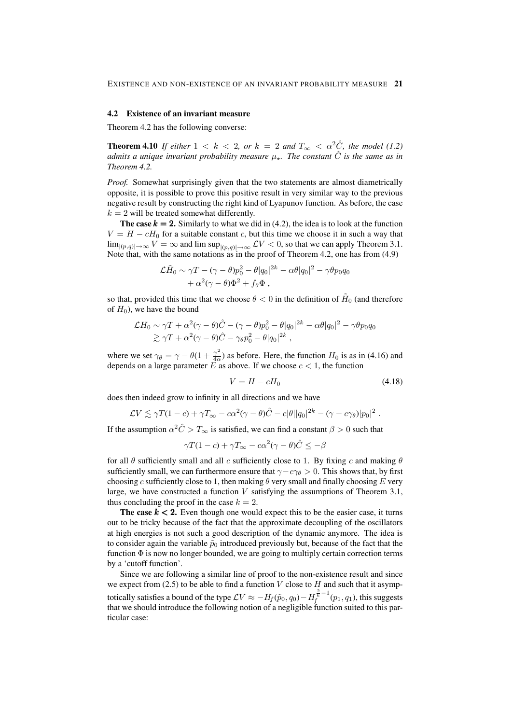#### 4.2 Existence of an invariant measure

Theorem 4.2 has the following converse:

**Theorem 4.10** *If either*  $1 < k < 2$ *, or*  $k = 2$  *and*  $T_{\infty} < \alpha^2 \hat{C}$ *, the model* (1.2) *admits a unique invariant probability measure* µ?*. The constant* Cˆ *is the same as in Theorem 4.2.*

*Proof.* Somewhat surprisingly given that the two statements are almost diametrically opposite, it is possible to prove this positive result in very similar way to the previous negative result by constructing the right kind of Lyapunov function. As before, the case  $k = 2$  will be treated somewhat differently.

The case  $k = 2$ . Similarly to what we did in (4.2), the idea is to look at the function  $V = H - cH_0$  for a suitable constant c, but this time we choose it in such a way that  $\lim_{|(p,q)|\to\infty} V = \infty$  and  $\limsup_{|(p,q)|\to\infty} \mathcal{L} V < 0$ , so that we can apply Theorem 3.1. Note that, with the same notations as in the proof of Theorem 4.2, one has from (4.9)

$$
\mathcal{L}\widetilde{H}_0 \sim \gamma T - (\gamma - \theta)p_0^2 - \theta|q_0|^{2k} - \alpha\theta|q_0|^2 - \gamma\theta p_0 q_0
$$
  
+ 
$$
\alpha^2(\gamma - \theta)\Phi^2 + f_\theta\Phi,
$$

so that, provided this time that we choose  $\theta < 0$  in the definition of  $H_0$  (and therefore of  $H_0$ ), we have the bound

$$
\mathcal{L}H_0 \sim \gamma T + \alpha^2 (\gamma - \theta) \hat{C} - (\gamma - \theta) p_0^2 - \theta |q_0|^{2k} - \alpha \theta |q_0|^2 - \gamma \theta p_0 q_0
$$
  
 
$$
\gtrsim \gamma T + \alpha^2 (\gamma - \theta) \hat{C} - \gamma_{\theta} p_0^2 - \theta |q_0|^{2k} ,
$$

where we set  $\gamma_{\theta} = \gamma - \theta(1 + \frac{\gamma^2}{4\alpha})$  $\frac{\gamma}{4\alpha}$ ) as before. Here, the function  $H_0$  is as in (4.16) and depends on a large parameter E as above. If we choose  $c < 1$ , the function

$$
V = H - cH_0 \tag{4.18}
$$

does then indeed grow to infinity in all directions and we have

$$
\mathcal{L}V \lesssim \gamma T(1-c) + \gamma T_{\infty} - c\alpha^2(\gamma - \theta)\hat{C} - c|\theta||q_0|^{2k} - (\gamma - c\gamma_{\theta})|p_0|^2.
$$

If the assumption  $\alpha^2 \hat{C} > T_{\infty}$  is satisfied, we can find a constant  $\beta > 0$  such that

$$
\gamma T(1-c) + \gamma T_{\infty} - c\alpha^2(\gamma - \theta)\hat{C} \le -\beta
$$

for all  $\theta$  sufficiently small and all c sufficiently close to 1. By fixing c and making  $\theta$ sufficiently small, we can furthermore ensure that  $\gamma - c\gamma_\theta > 0$ . This shows that, by first choosing c sufficiently close to 1, then making  $\theta$  very small and finally choosing E very large, we have constructed a function  $V$  satisfying the assumptions of Theorem 3.1, thus concluding the proof in the case  $k = 2$ .

The case  $k < 2$ . Even though one would expect this to be the easier case, it turns out to be tricky because of the fact that the approximate decoupling of the oscillators at high energies is not such a good description of the dynamic anymore. The idea is to consider again the variable  $\tilde{p}_0$  introduced previously but, because of the fact that the function  $\Phi$  is now no longer bounded, we are going to multiply certain correction terms by a 'cutoff function'.

Since we are following a similar line of proof to the non-existence result and since we expect from (2.5) to be able to find a function  $V$  close to  $H$  and such that it asymptotically satisfies a bound of the type  $\mathcal{L} V \approx -H_f(\tilde{p}_0,q_0) - H_f^{\frac{2}{k} - 1}(p_1,q_1)$ , this suggests that we should introduce the following notion of a negligible function suited to this particular case: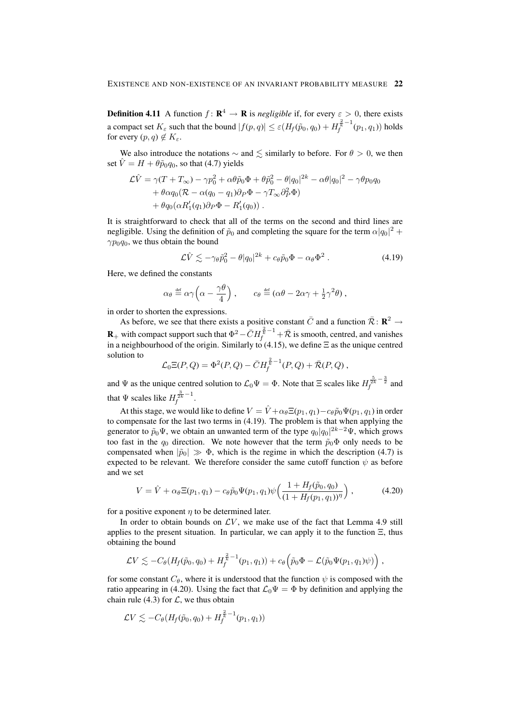**Definition 4.11** A function  $f: \mathbf{R}^4 \to \mathbf{R}$  is *negligible* if, for every  $\varepsilon > 0$ , there exists a compact set  $K_{\varepsilon}$  such that the bound  $|f(p,q)| \leq \varepsilon (H_f(\tilde{p}_0,q_0) + H_f^{\frac{2}{k}-1}(p_1,q_1))$  holds for every  $(p, q) \notin K_{\varepsilon}$ .

We also introduce the notations  $\sim$  and  $\leq$  similarly to before. For  $\theta > 0$ , we then set  $\hat{V} = H + \theta \tilde{p}_0 q_0$ , so that (4.7) yields

$$
\mathcal{L}\hat{V} = \gamma (T + T_{\infty}) - \gamma p_0^2 + \alpha \theta \tilde{p}_0 \Phi + \theta \tilde{p}_0^2 - \theta |q_0|^{2k} - \alpha \theta |q_0|^2 - \gamma \theta p_0 q_0 \n+ \theta \alpha q_0 (\mathcal{R} - \alpha (q_0 - q_1) \partial_P \Phi - \gamma T_{\infty} \partial_P^2 \Phi) \n+ \theta q_0 (\alpha R_1'(q_1) \partial_P \Phi - R_1'(q_0)).
$$

It is straightforward to check that all of the terms on the second and third lines are negligible. Using the definition of  $\tilde{p}_0$  and completing the square for the term  $\alpha |q_0|^2$  +  $\gamma p_0 q_0$ , we thus obtain the bound

$$
\mathcal{L}\hat{V} \lesssim -\gamma_{\theta}\tilde{p}_0^2 - \theta|q_0|^{2k} + c_{\theta}\tilde{p}_0\Phi - \alpha_{\theta}\Phi^2. \tag{4.19}
$$

Here, we defined the constants

$$
\alpha_{\theta} \stackrel{\text{def}}{=} \alpha \gamma \left( \alpha - \frac{\gamma \theta}{4} \right), \qquad c_{\theta} \stackrel{\text{def}}{=} (\alpha \theta - 2\alpha \gamma + \frac{1}{2} \gamma^2 \theta),
$$

in order to shorten the expressions.

As before, we see that there exists a positive constant  $\bar{C}$  and a function  $\bar{\mathcal{R}}$ :  $\mathbb{R}^2 \rightarrow$  ${\bf R}_+$  with compact support such that  $\Phi^2- \bar{C} H^{\frac{2}{\kappa}-1}_f + \bar{\cal R}$  is smooth, centred, and vanishes in a neighbourhood of the origin. Similarly to (4.15), we define  $\Xi$  as the unique centred solution to

$$
\mathcal{L}_0 \Xi(P, Q) = \Phi^2(P, Q) - \bar{C} H_f^{\frac{2}{k}-1}(P, Q) + \bar{\mathcal{R}}(P, Q) ,
$$

and  $\Psi$  as the unique centred solution to  $\mathcal{L}_0\Psi = \Phi$ . Note that  $\Xi$  scales like  $H_f^{\frac{5}{2k}-\frac{3}{2}}$  and that  $\Psi$  scales like  $H_f^{\frac{3}{2k}-1}$ .

At this stage, we would like to define  $V = \hat{V} + \alpha_{\theta} \Xi(p_1, q_1) - c_{\theta} \tilde{p}_0 \Psi(p_1, q_1)$  in order to compensate for the last two terms in (4.19). The problem is that when applying the generator to  $\tilde{p}_0\Psi$ , we obtain an unwanted term of the type  $q_0|q_0|^{2k-2}\Psi$ , which grows too fast in the  $q_0$  direction. We note however that the term  $\tilde{p}_0\Phi$  only needs to be compensated when  $|\tilde{p}_0| \gg \Phi$ , which is the regime in which the description (4.7) is expected to be relevant. We therefore consider the same cutoff function  $\psi$  as before and we set

$$
V = \hat{V} + \alpha_{\theta} \Xi(p_1, q_1) - c_{\theta} \tilde{p}_0 \Psi(p_1, q_1) \psi \left( \frac{1 + H_f(\tilde{p}_0, q_0)}{(1 + H_f(p_1, q_1))^{\eta}} \right), \tag{4.20}
$$

for a positive exponent  $\eta$  to be determined later.

In order to obtain bounds on  $LV$ , we make use of the fact that Lemma 4.9 still applies to the present situation. In particular, we can apply it to the function  $\Xi$ , thus obtaining the bound

$$
\mathcal{L}V \lesssim -C_{\theta}(H_f(\tilde{p}_0,q_0)+H_f^{\frac{2}{\kappa}-1}(p_1,q_1))+c_{\theta}\left(\tilde{p}_0\Phi-\mathcal{L}(\tilde{p}_0\Psi(p_1,q_1)\psi)\right),
$$

for some constant  $C_{\theta}$ , where it is understood that the function  $\psi$  is composed with the ratio appearing in (4.20). Using the fact that  $\mathcal{L}_0 \Psi = \Phi$  by definition and applying the chain rule (4.3) for  $\mathcal{L}$ , we thus obtain

$$
\mathcal{L}V \lesssim -C_{\theta}(H_f(\tilde{p}_0,q_0)+H_f^{\frac{2}{k}-1}(p_1,q_1))
$$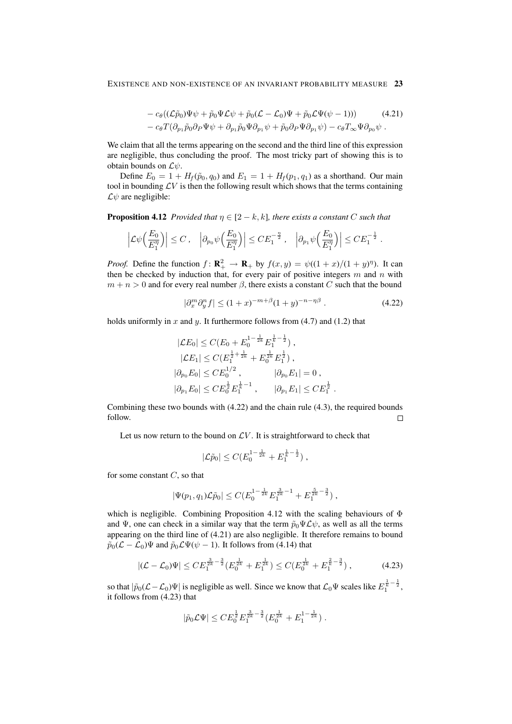$$
- c_{\theta}((\mathcal{L}\tilde{p}_0)\Psi\psi + \tilde{p}_0\Psi\mathcal{L}\psi + \tilde{p}_0(\mathcal{L} - \mathcal{L}_0)\Psi + \tilde{p}_0\mathcal{L}\Psi(\psi - 1))) \qquad (4.21)
$$
  

$$
- c_{\theta}T(\partial_{p_1}\tilde{p}_0\partial_P\Psi\psi + \partial_{p_1}\tilde{p}_0\Psi\partial_{p_1}\psi + \tilde{p}_0\partial_P\Psi\partial_{p_1}\psi) - c_{\theta}T_{\infty}\Psi\partial_{p_0}\psi.
$$

We claim that all the terms appearing on the second and the third line of this expression are negligible, thus concluding the proof. The most tricky part of showing this is to obtain bounds on  $\mathcal{L}\psi$ .

Define  $E_0 = 1 + H_f(\tilde{p}_0, q_0)$  and  $E_1 = 1 + H_f(p_1, q_1)$  as a shorthand. Our main tool in bounding  $\mathcal{L}V$  is then the following result which shows that the terms containing  $\mathcal{L}\psi$  are negligible:

**Proposition 4.12** *Provided that*  $\eta \in [2 - k, k]$ *, there exists a constant* C *such that* 

$$
\left| \mathcal{L}\psi\Big(\frac{E_0}{E_1^{\eta}}\Big) \right| \leq C \,, \quad \left| \partial_{p_0}\psi\Big(\frac{E_0}{E_1^{\eta}}\Big) \right| \leq C E_1^{-\frac{\eta}{2}} \,, \quad \left| \partial_{p_1}\psi\Big(\frac{E_0}{E_1^{\eta}}\Big) \right| \leq C E_1^{-\frac{1}{2}}
$$

*Proof.* Define the function  $f: \mathbf{R}_+^2 \to \mathbf{R}_+$  by  $f(x, y) = \psi((1 + x)/(1 + y)^{\eta})$ . It can then be checked by induction that, for every pair of positive integers  $m$  and  $n$  with  $m + n > 0$  and for every real number  $\beta$ , there exists a constant C such that the bound

$$
|\partial_x^m \partial_y^n f| \le (1+x)^{-m+\beta} (1+y)^{-n-\eta\beta} . \tag{4.22}
$$

.

holds uniformly in x and y. It furthermore follows from  $(4.7)$  and  $(1.2)$  that

$$
|\mathcal{L}E_0| \le C(E_0 + E_0^{1-\frac{1}{2k}} E_1^{\frac{1}{k} - \frac{1}{2}}),
$$
  
\n
$$
|\mathcal{L}E_1| \le C(E_1^{\frac{1}{2} + \frac{1}{2k}} + E_0^{\frac{1}{2k}} E_1^{\frac{1}{2}}),
$$
  
\n
$$
|\partial_{p_0} E_0| \le CE_0^{1/2}, \qquad |\partial_{p_0} E_1| = 0,
$$
  
\n
$$
|\partial_{p_1} E_0| \le CE_0^{\frac{1}{2}} E_1^{\frac{1}{k} - 1}, \qquad |\partial_{p_1} E_1| \le CE_1^{\frac{1}{2}}.
$$

Combining these two bounds with (4.22) and the chain rule (4.3), the required bounds follow.  $\Box$ 

Let us now return to the bound on  $\mathcal{L}V$ . It is straightforward to check that

$$
|\mathcal{L}\tilde{p}_0| \leq C(E_0^{1-\frac{1}{2k}} + E_1^{\frac{1}{k}-\frac{1}{2}}),
$$

for some constant  $C$ , so that

$$
|\Psi(p_1, q_1)\mathcal{L}\tilde{p}_0| \leq C(E_0^{1-\frac{1}{2k}} E_1^{\frac{3}{2k}-1} + E_1^{\frac{5}{2k}-\frac{3}{2}}),
$$

which is negligible. Combining Proposition 4.12 with the scaling behaviours of  $\Phi$ and Ψ, one can check in a similar way that the term  $\tilde{p}_0 \Psi \mathcal{L} \psi$ , as well as all the terms appearing on the third line of (4.21) are also negligible. It therefore remains to bound  $\tilde{p}_0(\mathcal{L} - \mathcal{L}_0)\Psi$  and  $\tilde{p}_0\mathcal{L}\Psi(\psi - 1)$ . It follows from (4.14) that

$$
|(\mathcal{L} - \mathcal{L}_0)\Psi| \le CE_1^{\frac{3}{2k} - \frac{3}{2}} (E_0^{\frac{1}{2k}} + E_1^{\frac{1}{2k}}) \le C(E_0^{\frac{1}{2k}} + E_1^{\frac{2}{k} - \frac{3}{2}}), \qquad (4.23)
$$

so that  $|\tilde{p}_0(L-\mathcal{L}_0)\Psi|$  is negligible as well. Since we know that  $\mathcal{L}_0\Psi$  scales like  $E_1^{\frac{1}{k}-\frac{1}{2}}$ , it follows from (4.23) that

$$
|\tilde{p}_0\mathcal{L}\Psi|\leq CE_0^{\frac{1}{2}}E_1^{\frac{3}{2k}-\frac{3}{2}}(E_0^{\frac{1}{2k}}+E_1^{1-\frac{1}{2k}})\;.
$$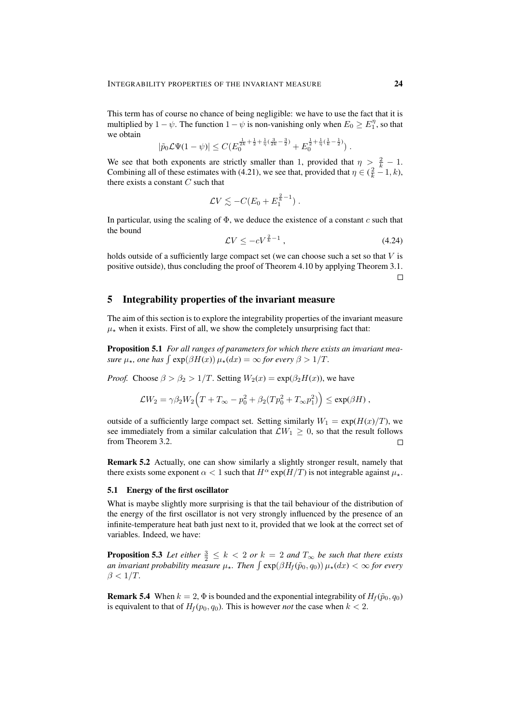This term has of course no chance of being negligible: we have to use the fact that it is multiplied by  $1 - \psi$ . The function  $1 - \psi$  is non-vanishing only when  $E_0 \ge E_1^{\eta}$ , so that we obtain

$$
|\tilde{p}_0 \mathcal{L} \Psi(1-\psi)| \leq C (E_0^{\frac{1}{2k}+\frac{1}{2}+\frac{1}{\eta}(\frac{3}{2k}-\frac{3}{2})} + E_0^{\frac{1}{2}+\frac{1}{\eta}(\frac{1}{k}-\frac{1}{2})}).
$$

We see that both exponents are strictly smaller than 1, provided that  $\eta > \frac{2}{k} - 1$ . Combining all of these estimates with (4.21), we see that, provided that  $\eta \in (\frac{2}{k} - 1, k)$ , there exists a constant  $C$  such that

$$
\mathcal{L}V \lesssim -C(E_0 + E_1^{\frac{2}{k}-1}).
$$

In particular, using the scaling of  $\Phi$ , we deduce the existence of a constant c such that the bound

$$
\mathcal{L}V \le -cV^{\frac{2}{k}-1} \,,\tag{4.24}
$$

holds outside of a sufficiently large compact set (we can choose such a set so that  $V$  is positive outside), thus concluding the proof of Theorem 4.10 by applying Theorem 3.1.  $\Box$ 

## 5 Integrability properties of the invariant measure

The aim of this section is to explore the integrability properties of the invariant measure  $\mu_{\star}$  when it exists. First of all, we show the completely unsurprising fact that:

Proposition 5.1 *For all ranges of parameters for which there exists an invariant measure*  $\mu_{\star}$ , one has  $\int \exp(\beta H(x)) \mu_{\star}(dx) = \infty$  *for every*  $\beta > 1/T$ *.* 

*Proof.* Choose  $\beta > \beta_2 > 1/T$ . Setting  $W_2(x) = \exp(\beta_2 H(x))$ , we have

$$
\mathcal{L}W_2 = \gamma \beta_2 W_2 \Big( T + T_\infty - p_0^2 + \beta_2 (T p_0^2 + T_\infty p_1^2) \Big) \le \exp(\beta H) ,
$$

outside of a sufficiently large compact set. Setting similarly  $W_1 = \exp(H(x)/T)$ , we see immediately from a similar calculation that  $\mathcal{L}W_1 \geq 0$ , so that the result follows from Theorem 3.2.  $\Box$ 

Remark 5.2 Actually, one can show similarly a slightly stronger result, namely that there exists some exponent  $\alpha < 1$  such that  $H^{\alpha}$  exp( $H/T$ ) is not integrable against  $\mu_{\star}$ .

#### 5.1 Energy of the first oscillator

What is maybe slightly more surprising is that the tail behaviour of the distribution of the energy of the first oscillator is not very strongly influenced by the presence of an infinite-temperature heat bath just next to it, provided that we look at the correct set of variables. Indeed, we have:

**Proposition 5.3** Let either  $\frac{3}{2} \leq k < 2$  or  $k = 2$  and  $T_{\infty}$  be such that there exists *an invariant probability measure*  $\mu_{\star}$ . Then  $\int \exp(\beta H_f(\tilde{p}_0, q_0)) \mu_{\star}(dx) < \infty$  for every  $\beta < 1/T$ .

**Remark 5.4** When  $k = 2$ ,  $\Phi$  is bounded and the exponential integrability of  $H_f(\tilde{p}_0, q_0)$ is equivalent to that of  $H_f(p_0, q_0)$ . This is however *not* the case when  $k < 2$ .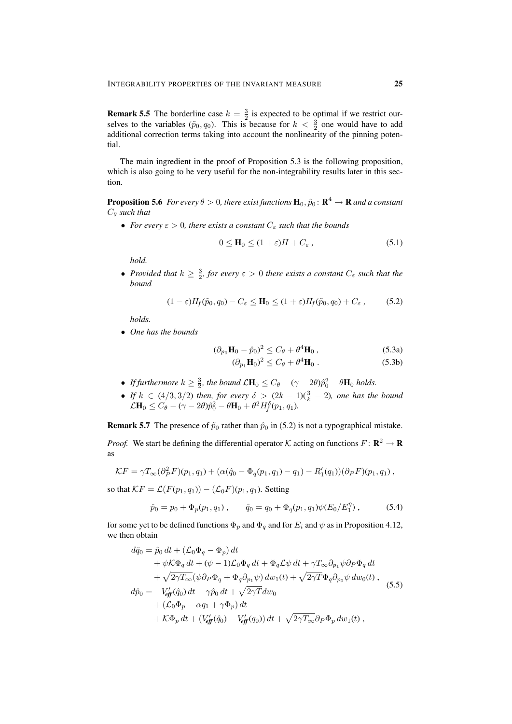**Remark 5.5** The borderline case  $k = \frac{3}{2}$  is expected to be optimal if we restrict ourselves to the variables  $(\tilde{p}_0, q_0)$ . This is because for  $k < \frac{3}{2}$  one would have to add additional correction terms taking into account the nonlinearity of the pinning potential.

The main ingredient in the proof of Proposition 5.3 is the following proposition, which is also going to be very useful for the non-integrability results later in this section.

**Proposition 5.6** For every  $\theta > 0$ , there exist functions  $\mathbf{H}_0, \hat{p}_0 \colon \mathbf{R}^4 \to \mathbf{R}$  and a constant C<sup>θ</sup> *such that*

• *For every*  $\varepsilon > 0$ *, there exists a constant*  $C_{\varepsilon}$  *such that the bounds* 

$$
0 \le \mathbf{H}_0 \le (1 + \varepsilon)H + C_{\varepsilon} \,, \tag{5.1}
$$

*hold.*

• *Provided that*  $k \geq \frac{3}{2}$ *, for every*  $\varepsilon > 0$  *there exists a constant*  $C_{\varepsilon}$  *such that the bound*

$$
(1 - \varepsilon)H_f(\tilde{p}_0, q_0) - C_{\varepsilon} \le \mathbf{H}_0 \le (1 + \varepsilon)H_f(\tilde{p}_0, q_0) + C_{\varepsilon}, \quad (5.2)
$$

*holds.*

• *One has the bounds*

$$
(\partial_{p_0} \mathbf{H}_0 - \hat{p}_0)^2 \le C_\theta + \theta^4 \mathbf{H}_0, (\partial_{p_1} \mathbf{H}_0)^2 \le C_\theta + \theta^4 \mathbf{H}_0.
$$
 (5.3a)

$$
(\partial_{p_1} \mathbf{H}_0)^2 \le C_\theta + \theta^4 \mathbf{H}_0 \tag{5.3}
$$

- If furthermore  $k \geq \frac{3}{2}$ , the bound  $\mathcal{L}H_0 \leq C_\theta (\gamma 2\theta)\hat{p}_0^2 \theta H_0$  holds.
- *If*  $k \in (4/3, 3/2)$  *then, for every*  $\delta > (2k 1)(\frac{3}{k} 2)$ *, one has the bound*  $\mathcal{L}H_0 \leq C_\theta - (\gamma - 2\theta)\hat{p}_0^2 - \theta H_0 + \theta^2 H_f^{\delta}(p_1, q_1).$

**Remark 5.7** The presence of  $\tilde{p}_0$  rather than  $\hat{p}_0$  in (5.2) is not a typographical mistake.

*Proof.* We start be defining the differential operator K acting on functions  $F: \mathbb{R}^2 \to \mathbb{R}$ as

$$
\mathcal{K}F = \gamma T_{\infty}(\partial_P^2 F)(p_1, q_1) + (\alpha(\hat{q}_0 - \Phi_q(p_1, q_1) - q_1) - R'_1(q_1))(\partial_P F)(p_1, q_1) ,
$$

so that  $\mathcal{K}F = \mathcal{L}(F(p_1, q_1)) - (\mathcal{L}_0F)(p_1, q_1)$ . Setting

$$
\hat{p}_0 = p_0 + \Phi_p(p_1, q_1), \qquad \hat{q}_0 = q_0 + \Phi_q(p_1, q_1) \psi(E_0/E_1^{\eta}), \qquad (5.4)
$$

for some yet to be defined functions  $\Phi_p$  and  $\Phi_q$  and for  $E_i$  and  $\psi$  as in Proposition 4.12, we then obtain

$$
d\hat{q}_0 = \hat{p}_0 dt + (\mathcal{L}_0 \Phi_q - \Phi_p) dt
$$
  
+  $\psi \mathcal{K} \Phi_q dt + (\psi - 1) \mathcal{L}_0 \Phi_q dt + \Phi_q \mathcal{L} \psi dt + \gamma T_\infty \partial_{p_1} \psi \partial_P \Phi_q dt$   
+  $\sqrt{2\gamma T_\infty} (\psi \partial_P \Phi_q + \Phi_q \partial_{p_1} \psi) dw_1(t) + \sqrt{2\gamma T} \Phi_q \partial_{p_0} \psi dw_0(t),$   
 $d\hat{p}_0 = -V_{eff}(\hat{q}_0) dt - \gamma \hat{p}_0 dt + \sqrt{2\gamma T} dw_0$   
+  $(\mathcal{L}_0 \Phi_p - \alpha q_1 + \gamma \Phi_p) dt$   
+  $\mathcal{K} \Phi_p dt + (V_{eff}(\hat{q}_0) - V_{eff}(\hat{q}_0)) dt + \sqrt{2\gamma T_\infty} \partial_P \Phi_p dw_1(t),$  (5.5)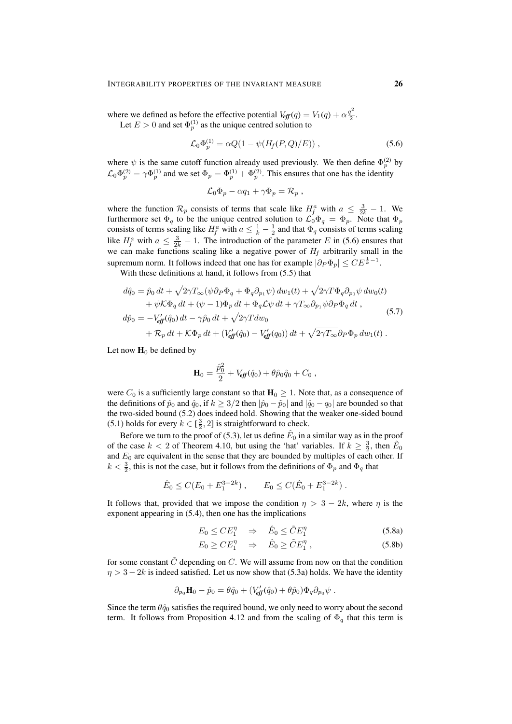where we defined as before the effective potential  $V_{eff}(q) = V_1(q) + \alpha \frac{q^2}{2}$  $\frac{1}{2}$ . Let  $E > 0$  and set  $\Phi_p^{(1)}$  as the unique centred solution to

$$
\mathcal{L}_0 \Phi_p^{(1)} = \alpha Q (1 - \psi (H_f(P, Q)/E)), \qquad (5.6)
$$

where  $\psi$  is the same cutoff function already used previously. We then define  $\Phi_p^{(2)}$  by  $\mathcal{L}_0 \Phi_p^{(2)} = \gamma \Phi_p^{(1)}$  and we set  $\Phi_p = \Phi_p^{(1)} + \Phi_p^{(2)}$ . This ensures that one has the identity

$$
\mathcal{L}_0 \Phi_p - \alpha q_1 + \gamma \Phi_p = \mathcal{R}_p ,
$$

where the function  $\mathcal{R}_p$  consists of terms that scale like  $H_f^a$  with  $a \leq \frac{3}{2k} - 1$ . We furthermore set  $\Phi_q$  to be the unique centred solution to  $\mathcal{L}_0 \Phi_q = \Phi_p$ . Note that  $\Phi_p$ consists of terms scaling like  $H_f^a$  with  $a \leq \frac{1}{k} - \frac{1}{2}$  and that  $\Phi_q$  consists of terms scaling like  $H_f^a$  with  $a \leq \frac{3}{2k} - 1$ . The introduction of the parameter E in (5.6) ensures that we can make functions scaling like a negative power of  $H_f$  arbitrarily small in the supremum norm. It follows indeed that one has for example  $|\partial_P \Phi_p| \leq C E^{\frac{1}{k}-1}$ .

With these definitions at hand, it follows from (5.5) that

$$
d\hat{q}_0 = \hat{p}_0 dt + \sqrt{2\gamma T_{\infty}} (\psi \partial_P \Phi_q + \Phi_q \partial_{p_1} \psi) dw_1(t) + \sqrt{2\gamma T} \Phi_q \partial_{p_0} \psi dw_0(t)
$$
  
+  $\psi \mathcal{K} \Phi_q dt + (\psi - 1) \Phi_p dt + \Phi_q \mathcal{L} \psi dt + \gamma T_{\infty} \partial_{p_1} \psi \partial_P \Phi_q dt$ ,  

$$
d\hat{p}_0 = -V_{eff}(\hat{q}_0) dt - \gamma \hat{p}_0 dt + \sqrt{2\gamma T} dw_0
$$
  
+  $\mathcal{R}_p dt + \mathcal{K} \Phi_p dt + (V_{eff}(\hat{q}_0) - V_{eff}(\hat{q}_0)) dt + \sqrt{2\gamma T_{\infty}} \partial_P \Phi_p dw_1(t)$ . (5.7)

Let now  $H_0$  be defined by

$$
\mathbf{H}_0 = \frac{\hat{p}_0^2}{2} + V_{\text{eff}}(\hat{q}_0) + \theta \hat{p}_0 \hat{q}_0 + C_0 ,
$$

were  $C_0$  is a sufficiently large constant so that  $H_0 \geq 1$ . Note that, as a consequence of the definitions of  $\hat{p}_0$  and  $\hat{q}_0$ , if  $k \geq 3/2$  then  $|\hat{p}_0 - \tilde{p}_0|$  and  $|\hat{q}_0 - q_0|$  are bounded so that the two-sided bound (5.2) does indeed hold. Showing that the weaker one-sided bound (5.1) holds for every  $k \in [\frac{3}{2}, 2]$  is straightforward to check.

Before we turn to the proof of (5.3), let us define  $\hat{E}_0$  in a similar way as in the proof of the case  $k < 2$  of Theorem 4.10, but using the 'hat' variables. If  $k \ge \frac{3}{2}$ , then  $\hat{E}_0$ and  $E_0$  are equivalent in the sense that they are bounded by multiples of each other. If  $k < \frac{3}{2}$ , this is not the case, but it follows from the definitions of  $\Phi_p$  and  $\Phi_q$  that

$$
\hat{E}_0 \le C(E_0 + E_1^{3-2k}), \qquad E_0 \le C(\hat{E}_0 + E_1^{3-2k}).
$$

It follows that, provided that we impose the condition  $\eta > 3 - 2k$ , where  $\eta$  is the exponent appearing in (5.4), then one has the implications

$$
E_0 \leq C E_1^{\eta} \quad \Rightarrow \quad \hat{E}_0 \leq \tilde{C} E_1^{\eta} \tag{5.8a}
$$

$$
E_0 \geq CE_1^{\eta} \quad \Rightarrow \quad \hat{E}_0 \geq \tilde{C}E_1^{\eta} \,, \tag{5.8b}
$$

for some constant  $\tilde{C}$  depending on C. We will assume from now on that the condition  $\eta > 3 - 2k$  is indeed satisfied. Let us now show that (5.3a) holds. We have the identity

$$
\partial_{p_0} \mathbf{H}_0 - \hat{p}_0 = \theta \hat{q}_0 + (V'_{\text{eff}}(\hat{q}_0) + \theta \hat{p}_0) \Phi_q \partial_{p_0} \psi.
$$

Since the term  $\theta \hat{q}_0$  satisfies the required bound, we only need to worry about the second term. It follows from Proposition 4.12 and from the scaling of  $\Phi_{q}$  that this term is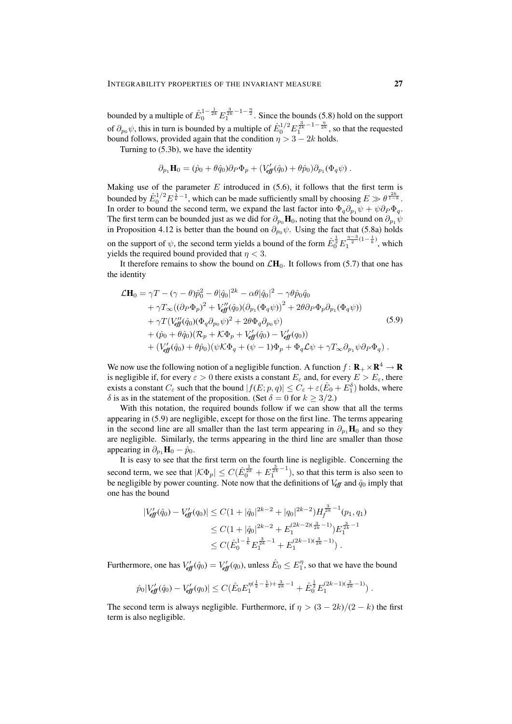bounded by a multiple of  $\hat{E}_0^{1-\frac{1}{2k}}E_1^{\frac{3}{2k}-1-\frac{\eta}{2}}$ . Since the bounds (5.8) hold on the support of  $\partial_{p_0}\psi$ , this in turn is bounded by a multiple of  $\hat{E}_0^{1/2} E_1^{\frac{3}{2k}-1-\frac{\eta}{2k}}$ , so that the requested bound follows, provided again that the condition  $\eta > 3 - 2k$  holds.

Turning to (5.3b), we have the identity

$$
\partial_{p_1} \mathbf{H}_0 = (\hat{p}_0 + \theta \hat{q}_0) \partial_P \Phi_p + (V_{\text{eff}}'(\hat{q}_0) + \theta \hat{p}_0) \partial_{p_1} (\Phi_q \psi) .
$$

Making use of the parameter  $E$  introduced in (5.6), it follows that the first term is bounded by  $\hat{E}_0^{1/2} E^{\frac{1}{k}-1}$ , which can be made sufficiently small by choosing  $E \gg \theta^{\frac{2k}{1-k}}$ . In order to bound the second term, we expand the last factor into  $\Phi_q \partial_{p_1} \psi + \psi \partial_P \Phi_q$ . The first term can be bounded just as we did for  $\partial_{p_0}H_0$ , noting that the bound on  $\partial_{p_1}\psi$ in Proposition 4.12 is better than the bound on  $\partial_{p_0} \psi$ . Using the fact that (5.8a) holds on the support of  $\psi$ , the second term yields a bound of the form  $\hat{E}_0^{\frac{1}{2}} E_1^{\frac{n-3}{2}(1-\frac{1}{k})}$  $\sum_{1}^{\infty}$ <sup>(1– $\frac{k}{k}$ )</sup>, which yields the required bound provided that  $\eta < 3$ .

It therefore remains to show the bound on  $\mathcal{L}H_0$ . It follows from (5.7) that one has the identity

$$
\mathcal{L}\mathbf{H}_{0} = \gamma T - (\gamma - \theta)\hat{p}_{0}^{2} - \theta |\hat{q}_{0}|^{2k} - \alpha\theta |\hat{q}_{0}|^{2} - \gamma\theta \hat{p}_{0}\hat{q}_{0} \n+ \gamma T_{\infty}((\partial_{P}\Phi_{p})^{2} + V_{eff}^{\prime\prime}(\hat{q}_{0})(\partial_{p_{1}}(\Phi_{q}\psi))^{2} + 2\theta\partial_{P}\Phi_{p}\partial_{p_{1}}(\Phi_{q}\psi)) \n+ \gamma T(V_{eff}^{\prime\prime}(\hat{q}_{0})(\Phi_{q}\partial_{p_{0}}\psi)^{2} + 2\theta\Phi_{q}\partial_{p_{0}}\psi) \n+ (\hat{p}_{0} + \theta\hat{q}_{0})(\mathcal{R}_{p} + \mathcal{K}\Phi_{p} + V_{eff}^{\prime}(\hat{q}_{0}) - V_{eff}^{\prime}(q_{0})) \n+ (V_{eff}^{\prime}(\hat{q}_{0}) + \theta\hat{p}_{0})(\psi\mathcal{K}\Phi_{q} + (\psi - 1)\Phi_{p} + \Phi_{q}\mathcal{L}\psi + \gamma T_{\infty}\partial_{p_{1}}\psi\partial_{P}\Phi_{q}) .
$$
\n(5.9)

We now use the following notion of a negligible function. A function  $f: \mathbf{R}_{+} \times \mathbf{R}^{4} \to \mathbf{R}$ is negligible if, for every  $\varepsilon > 0$  there exists a constant  $E_{\varepsilon}$  and, for every  $E > E_{\varepsilon}$ , there exists a constant  $C_{\varepsilon}$  such that the bound  $|f(E; p, q)| \leq C_{\varepsilon} + \varepsilon (E_0 + E_1^{\delta})$  holds, where δ is as in the statement of the proposition. (Set  $\delta = 0$  for  $k \geq 3/2$ .)

With this notation, the required bounds follow if we can show that all the terms appearing in (5.9) are negligible, except for those on the first line. The terms appearing in the second line are all smaller than the last term appearing in  $\partial_{p_1}H_0$  and so they are negligible. Similarly, the terms appearing in the third line are smaller than those appearing in  $\partial_{p_1}H_0 - \hat{p}_0$ .

It is easy to see that the first term on the fourth line is negligible. Concerning the second term, we see that  $|\mathcal{K}\Phi_p| \leq C(\hat{E}_{0}^{\frac{1}{2k}} + E_{1}^{\frac{3}{2k}-1})$ , so that this term is also seen to be negligible by power counting. Note now that the definitions of  $V_{\text{eff}}$  and  $\hat{q}_0$  imply that one has the bound

$$
\begin{aligned} |V'_{\text{eff}}(\hat{q}_0) - V'_{\text{eff}}(q_0)| &\leq C(1 + |\hat{q}_0|^{2k-2} + |q_0|^{2k-2}) H_f^{\frac{3}{2k}-1}(p_1, q_1) \\ &\leq C(1 + |\hat{q}_0|^{2k-2} + E_1^{(2k-2)(\frac{3}{2k}-1)}) E_1^{\frac{3}{2k}-1} \\ &\leq C(\hat{E}_0^{1-\frac{1}{k}} E_1^{\frac{3}{2k}-1} + E_1^{(2k-1)(\frac{3}{2k}-1)}) \,. \end{aligned}
$$

Furthermore, one has  $V'_{\text{eff}}(\hat{q}_0) = V'_{\text{eff}}(q_0)$ , unless  $\hat{E}_0 \leq E_1^{\eta}$ , so that we have the bound

$$
\hat{p}_0|V'_{\text{eff}}(\hat{q}_0) - V'_{\text{eff}}(q_0)| \leq C(\hat{E}_0 E_1^{\eta(\frac{1}{2} - \frac{1}{k}) + \frac{3}{2k} - 1} + \hat{E}_0^{\frac{1}{2}} E_1^{(2k-1)(\frac{3}{2k}-1)}).
$$

The second term is always negligible. Furthermore, if  $\eta > (3 - 2k)/(2 - k)$  the first term is also negligible.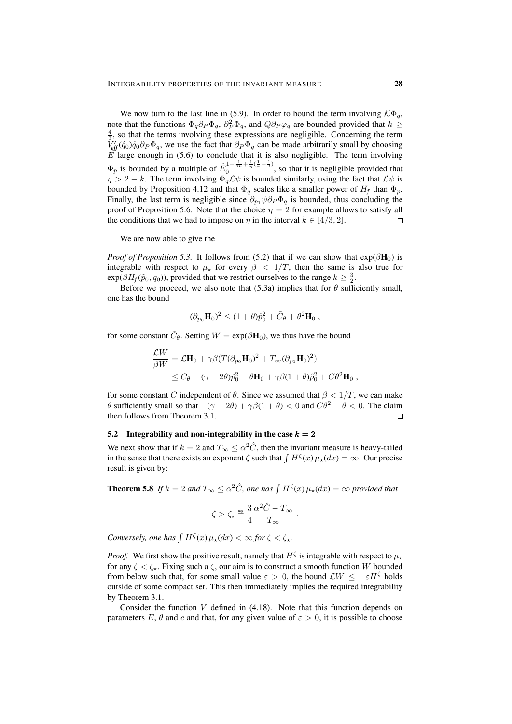We now turn to the last line in (5.9). In order to bound the term involving  $K\Phi_q$ , note that the functions  $\Phi_q \partial_P \Phi_q$ ,  $\partial_P^2 \Phi_q$ , and  $Q \partial_P \varphi_q$  are bounded provided that  $k \geq$  $\frac{4}{3}$ , so that the terms involving these expressions are negligible. Concerning the term  $\tilde{V}_{eff}^I(\hat{q}_0)\hat{q}_0\partial_P\Phi_q$ , we use the fact that  $\partial_P\Phi_q$  can be made arbitrarily small by choosing  $E$  large enough in (5.6) to conclude that it is also negligible. The term involving  $\Phi_p$  is bounded by a multiple of  $\hat{E}_0^{1-\frac{1}{2k}+\frac{1}{\eta}(\frac{1}{k}-\frac{1}{2})}$  $\int_{0}^{\pi} e^{-2k} \frac{\eta^{k}}{\eta^{k}} e^{-2\eta}$ , so that it is negligible provided that  $\eta > 2 - k$ . The term involving  $\Phi_q \mathcal{L} \psi$  is bounded similarly, using the fact that  $\mathcal{L} \psi$  is bounded by Proposition 4.12 and that  $\Phi_q$  scales like a smaller power of  $H_f$  than  $\Phi_p$ . Finally, the last term is negligible since  $\partial_{p_1} \psi \partial_P \Phi_q$  is bounded, thus concluding the proof of Proposition 5.6. Note that the choice  $\eta = 2$  for example allows to satisfy all the conditions that we had to impose on  $\eta$  in the interval  $k \in [4/3, 2]$ .  $\Box$ 

We are now able to give the

*Proof of Proposition 5.3.* It follows from (5.2) that if we can show that  $\exp(\beta \mathbf{H}_0)$  is integrable with respect to  $\mu_{\star}$  for every  $\beta < 1/T$ , then the same is also true for  $exp(\beta H_f(\tilde{p}_0, q_0))$ , provided that we restrict ourselves to the range  $k \geq \frac{3}{2}$ .

Before we proceed, we also note that (5.3a) implies that for  $\theta$  sufficiently small, one has the bound

$$
(\partial_{p_0} \mathbf{H}_0)^2 \le (1 + \theta) \hat{p}_0^2 + \tilde{C}_{\theta} + \theta^2 \mathbf{H}_0 ,
$$

for some constant  $\tilde{C}_{\theta}$ . Setting  $W = \exp(\beta \mathbf{H}_0)$ , we thus have the bound

$$
\frac{\mathcal{L}W}{\beta W} = \mathcal{L}\mathbf{H}_0 + \gamma \beta (T(\partial_{p_0}\mathbf{H}_0)^2 + T_{\infty}(\partial_{p_1}\mathbf{H}_0)^2)
$$
  

$$
\leq C_\theta - (\gamma - 2\theta)\hat{p}_0^2 - \theta\mathbf{H}_0 + \gamma \beta (1 + \theta)\hat{p}_0^2 + C\theta^2\mathbf{H}_0,
$$

for some constant C independent of  $\theta$ . Since we assumed that  $\beta < 1/T$ , we can make θ sufficiently small so that  $-(\gamma - 2θ) + \gamma β(1 + θ) < 0$  and  $Cθ^2 - θ < 0$ . The claim then follows from Theorem 3.1.  $\Box$ 

#### 5.2 Integrability and non-integrability in the case  $k = 2$

We next show that if  $k = 2$  and  $T_{\infty} \leq \alpha^2 \hat{C}$ , then the invariant measure is heavy-tailed in the sense that there exists an exponent  $\zeta$  such that  $\int H^{\zeta}(x) \mu_{\star}(dx) = \infty$ . Our precise result is given by:

**Theorem 5.8** If  $k = 2$  and  $T_{\infty} \le \alpha^2 \hat{C}$ , one has  $\int H^{\zeta}(x) \mu_{\star}(dx) = \infty$  provided that

$$
\zeta > \zeta_\star \stackrel{\mbox{\tiny def}}{=} \frac{3}{4} \frac{\alpha^2 \hat{C} - T_\infty}{T_\infty} \; .
$$

*Conversely, one has*  $\int H^{\zeta}(x) \mu_{\star}(dx) < \infty$  *for*  $\zeta < \zeta_{\star}$ *.* 

*Proof.* We first show the positive result, namely that  $H^{\zeta}$  is integrable with respect to  $\mu_{\star}$ for any  $\zeta \leq \zeta_{\star}$ . Fixing such a  $\zeta$ , our aim is to construct a smooth function W bounded from below such that, for some small value  $\varepsilon > 0$ , the bound  $\mathcal{L}W \le -\varepsilon H\zeta$  holds outside of some compact set. This then immediately implies the required integrability by Theorem 3.1.

Consider the function  $V$  defined in  $(4.18)$ . Note that this function depends on parameters E,  $\theta$  and c and that, for any given value of  $\varepsilon > 0$ , it is possible to choose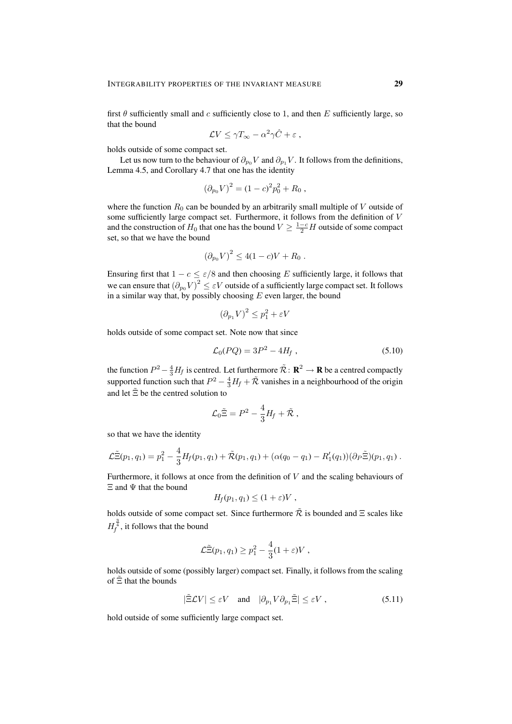first  $\theta$  sufficiently small and c sufficiently close to 1, and then E sufficiently large, so that the bound

$$
\mathcal{L}V \leq \gamma T_{\infty} - \alpha^2 \gamma \hat{C} + \varepsilon ,
$$

holds outside of some compact set.

Let us now turn to the behaviour of  $\partial_{p_0} V$  and  $\partial_{p_1} V$ . It follows from the definitions, Lemma 4.5, and Corollary 4.7 that one has the identity

$$
(\partial_{p_0} V)^2 = (1 - c)^2 p_0^2 + R_0 ,
$$

where the function  $R_0$  can be bounded by an arbitrarily small multiple of V outside of some sufficiently large compact set. Furthermore, it follows from the definition of V and the construction of  $H_0$  that one has the bound  $V \geq \frac{1-c}{2}H$  outside of some compact set, so that we have the bound

$$
(\partial_{p_0} V)^2 \le 4(1 - c)V + R_0.
$$

Ensuring first that  $1 - c \le \varepsilon/8$  and then choosing E sufficiently large, it follows that we can ensure that  $(\partial_{p_0} V)^2 \leq \varepsilon V$  outside of a sufficiently large compact set. It follows in a similar way that, by possibly choosing  $E$  even larger, the bound

$$
\left(\partial_{p_1} V\right)^2 \le p_1^2 + \varepsilon V
$$

holds outside of some compact set. Note now that since

$$
\mathcal{L}_0(PQ) = 3P^2 - 4H_f , \qquad (5.10)
$$

the function  $P^2 - \frac{4}{3}H_f$  is centred. Let furthermore  $\tilde{\mathcal{R}} \colon \mathbf{R}^2 \to \mathbf{R}$  be a centred compactly supported function such that  $P^2 - \frac{4}{3}H_f + \tilde{\mathcal{R}}$  vanishes in a neighbourhood of the origin and let  $\tilde{\Xi}$  be the centred solution to

$$
\mathcal{L}_0 \tilde{\Xi} = P^2 - \frac{4}{3} H_f + \tilde{\mathcal{R}} ,
$$

so that we have the identity

$$
\mathcal{L}\tilde{\Xi}(p_1,q_1) = p_1^2 - \frac{4}{3}H_f(p_1,q_1) + \tilde{\mathcal{R}}(p_1,q_1) + (\alpha(q_0 - q_1) - R_1'(q_1))(\partial_P \tilde{\Xi})(p_1,q_1).
$$

Furthermore, it follows at once from the definition of  $V$  and the scaling behaviours of  $\Xi$  and  $\Psi$  that the bound

$$
H_f(p_1,q_1)\leq (1+\varepsilon)V\;,
$$

holds outside of some compact set. Since furthermore  $\tilde{\mathcal{R}}$  is bounded and  $\Xi$  scales like  $H_f^{\frac{3}{4}}$ , it follows that the bound

$$
\mathcal{L}\tilde{\Xi}(p_1,q_1) \ge p_1^2 - \frac{4}{3}(1+\varepsilon)V,
$$

holds outside of some (possibly larger) compact set. Finally, it follows from the scaling of  $\Xi$  that the bounds

$$
|\tilde{\Xi}\mathcal{L}V| \le \varepsilon V \quad \text{and} \quad |\partial_{p_1}V \partial_{p_1}\tilde{\Xi}| \le \varepsilon V , \tag{5.11}
$$

hold outside of some sufficiently large compact set.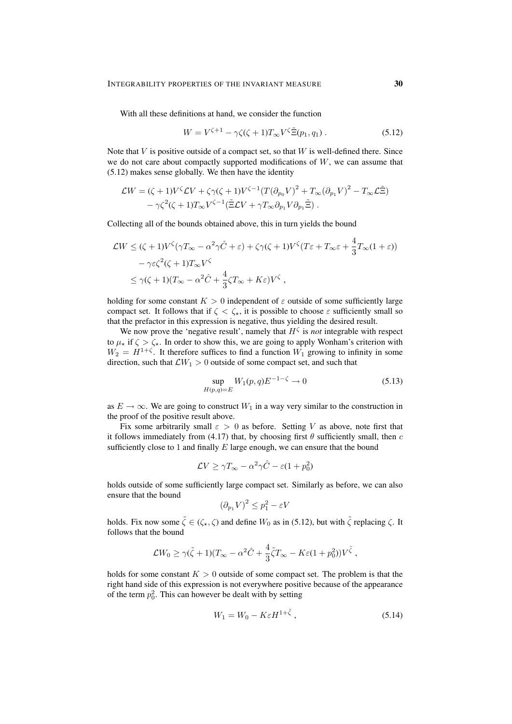With all these definitions at hand, we consider the function

$$
W = V^{\zeta+1} - \gamma \zeta(\zeta+1) T_{\infty} V^{\zeta} \tilde{\Xi}(p_1, q_1).
$$
 (5.12)

Note that  $V$  is positive outside of a compact set, so that  $W$  is well-defined there. Since we do not care about compactly supported modifications of  $W$ , we can assume that (5.12) makes sense globally. We then have the identity

$$
\mathcal{L}W = (\zeta + 1)V^{\zeta}\mathcal{L}V + \zeta\gamma(\zeta + 1)V^{\zeta - 1}(T(\partial_{p_0}V)^2 + T_{\infty}(\partial_{p_1}V)^2 - T_{\infty}\mathcal{L}\tilde{\Xi})
$$
  
-  $\gamma\zeta^2(\zeta + 1)T_{\infty}V^{\zeta - 1}(\tilde{\Xi}\mathcal{L}V + \gamma T_{\infty}\partial_{p_1}V\partial_{p_1}\tilde{\Xi})$ .

Collecting all of the bounds obtained above, this in turn yields the bound

$$
\mathcal{L}W \leq (\zeta + 1)V^{\zeta}(\gamma T_{\infty} - \alpha^2 \gamma \hat{C} + \varepsilon) + \zeta \gamma (\zeta + 1)V^{\zeta} (T\varepsilon + T_{\infty}\varepsilon + \frac{4}{3}T_{\infty}(1 + \varepsilon))
$$
  

$$
- \gamma \varepsilon \zeta^2 (\zeta + 1)T_{\infty}V^{\zeta}
$$
  

$$
\leq \gamma (\zeta + 1)(T_{\infty} - \alpha^2 \hat{C} + \frac{4}{3}\zeta T_{\infty} + K\varepsilon)V^{\zeta},
$$

holding for some constant  $K > 0$  independent of  $\varepsilon$  outside of some sufficiently large compact set. It follows that if  $\zeta \leq \zeta_{\star}$ , it is possible to choose  $\varepsilon$  sufficiently small so that the prefactor in this expression is negative, thus yielding the desired result.

We now prove the 'negative result', namely that  $H^{\zeta}$  is *not* integrable with respect to  $\mu_{\star}$  if  $\zeta > \zeta_{\star}$ . In order to show this, we are going to apply Wonham's criterion with  $W_2 = H^{1+\zeta}$ . It therefore suffices to find a function  $W_1$  growing to infinity in some direction, such that  $\mathcal{L}W_1 > 0$  outside of some compact set, and such that

$$
\sup_{H(p,q)=E} W_1(p,q)E^{-1-\zeta} \to 0 \tag{5.13}
$$

as  $E \to \infty$ . We are going to construct  $W_1$  in a way very similar to the construction in the proof of the positive result above.

Fix some arbitrarily small  $\varepsilon > 0$  as before. Setting V as above, note first that it follows immediately from (4.17) that, by choosing first  $\theta$  sufficiently small, then c sufficiently close to 1 and finally  $E$  large enough, we can ensure that the bound

$$
\mathcal{L}V \ge \gamma T_{\infty} - \alpha^2 \gamma \hat{C} - \varepsilon (1 + p_0^2)
$$

holds outside of some sufficiently large compact set. Similarly as before, we can also ensure that the bound

$$
(\partial_{p_1} V)^2 \le p_1^2 - \varepsilon V
$$

holds. Fix now some  $\tilde{\zeta} \in (\zeta_*, \zeta)$  and define  $W_0$  as in (5.12), but with  $\tilde{\zeta}$  replacing  $\zeta$ . It follows that the bound

$$
\mathcal{L}W_0 \geq \gamma(\tilde{\zeta} + 1)(T_{\infty} - \alpha^2 \hat{C} + \frac{4}{3}\tilde{\zeta}T_{\infty} - K\varepsilon(1 + p_0^2))V^{\tilde{\zeta}},
$$

holds for some constant  $K > 0$  outside of some compact set. The problem is that the right hand side of this expression is not everywhere positive because of the appearance of the term  $p_0^2$ . This can however be dealt with by setting

$$
W_1 = W_0 - K\varepsilon H^{1+\tilde{\zeta}}\,,\tag{5.14}
$$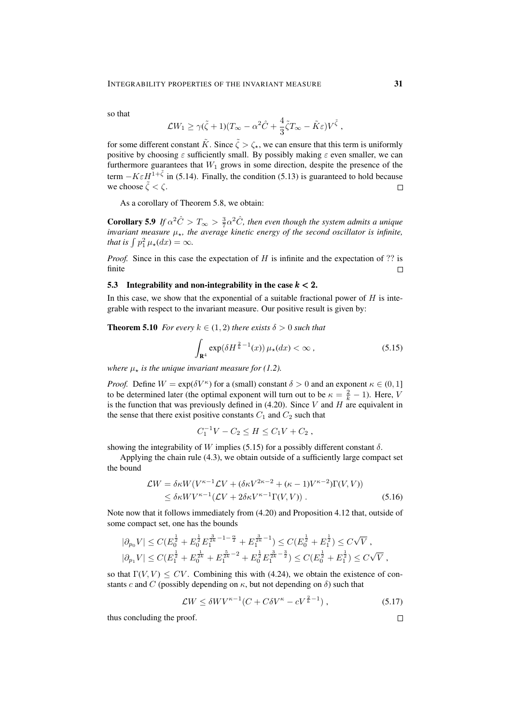so that

$$
\mathcal{L}W_1 \ge \gamma(\tilde{\zeta} + 1)(T_{\infty} - \alpha^2 \hat{C} + \frac{4}{3}\tilde{\zeta}T_{\infty} - \tilde{K}\varepsilon)V^{\tilde{\zeta}} ,
$$

for some different constant  $\tilde{K}$ . Since  $\tilde{\zeta} > \zeta_{\star}$ , we can ensure that this term is uniformly positive by choosing  $\varepsilon$  sufficiently small. By possibly making  $\varepsilon$  even smaller, we can furthermore guarantees that  $W_1$  grows in some direction, despite the presence of the term  $-K \varepsilon H^{1+\tilde{\zeta}}$  in (5.14). Finally, the condition (5.13) is guaranteed to hold because we choose  $\tilde{\zeta} < \zeta$ .  $\Box$ 

As a corollary of Theorem 5.8, we obtain:

**Corollary 5.9** If  $\alpha^2 \hat{C} > T_\infty > \frac{3}{7} \alpha^2 \hat{C}$ , then even though the system admits a unique *invariant measure*  $\mu_{\star}$ , the average kinetic energy of the second oscillator is infinite, *that is*  $\int p_1^2 \mu_{\star}(dx) = \infty$ *.* 

*Proof.* Since in this case the expectation of H is infinite and the expectation of ?? is finite  $\Box$ 

#### 5.3 Integrability and non-integrability in the case  $k < 2$ .

In this case, we show that the exponential of a suitable fractional power of  $H$  is integrable with respect to the invariant measure. Our positive result is given by:

**Theorem 5.10** *For every*  $k \in (1, 2)$  *there exists*  $\delta > 0$  *such that* 

$$
\int_{\mathbf{R}^4} \exp(\delta H^{\frac{2}{k}-1}(x)) \,\mu_\star(dx) < \infty \,,\tag{5.15}
$$

*where*  $\mu_{\star}$  *is the unique invariant measure for (1.2).* 

*Proof.* Define  $W = \exp(\delta V^{\kappa})$  for a (small) constant  $\delta > 0$  and an exponent  $\kappa \in (0, 1]$ to be determined later (the optimal exponent will turn out to be  $\kappa = \frac{2}{k} - 1$ ). Here, V is the function that was previously defined in  $(4.20)$ . Since V and H are equivalent in the sense that there exist positive constants  $C_1$  and  $C_2$  such that

$$
C_1^{-1}V - C_2 \le H \le C_1V + C_2,
$$

showing the integrability of W implies (5.15) for a possibly different constant  $\delta$ .

Applying the chain rule (4.3), we obtain outside of a sufficiently large compact set the bound

$$
\mathcal{L}W = \delta\kappa W(V^{\kappa-1}\mathcal{L}V + (\delta\kappa V^{2\kappa-2} + (\kappa - 1)V^{\kappa-2})\Gamma(V, V))
$$
  
\n
$$
\leq \delta\kappa WV^{\kappa-1}(\mathcal{L}V + 2\delta\kappa V^{\kappa-1}\Gamma(V, V)).
$$
\n(5.16)

Note now that it follows immediately from (4.20) and Proposition 4.12 that, outside of some compact set, one has the bounds

$$
\begin{aligned} |\partial_{p_0} V| &\leq C (E_0^{\frac{1}{2}} + E_0^{\frac{1}{2}} E_1^{\frac{3}{2k} - 1 - \frac{\alpha}{2}} + E_1^{\frac{3}{2k} - 1}) \leq C (E_0^{\frac{1}{2}} + E_1^{\frac{1}{2}}) \leq C \sqrt{V} \;, \\ |\partial_{p_1} V| &\leq C (E_1^{\frac{1}{2}} + E_0^{\frac{1}{2k}} + E_1^{\frac{5}{2k} - 2} + E_0^{\frac{1}{2}} E_1^{\frac{3}{2k} - \frac{3}{2}}) \leq C (E_0^{\frac{1}{2}} + E_1^{\frac{1}{2}}) \leq C \sqrt{V} \;, \end{aligned}
$$

so that  $\Gamma(V, V) \le CV$ . Combining this with (4.24), we obtain the existence of constants c and C (possibly depending on  $\kappa$ , but not depending on  $\delta$ ) such that

$$
\mathcal{L}W \le \delta W V^{\kappa - 1} (C + C\delta V^{\kappa} - cV^{\frac{2}{k} - 1}), \qquad (5.17)
$$

thus concluding the proof.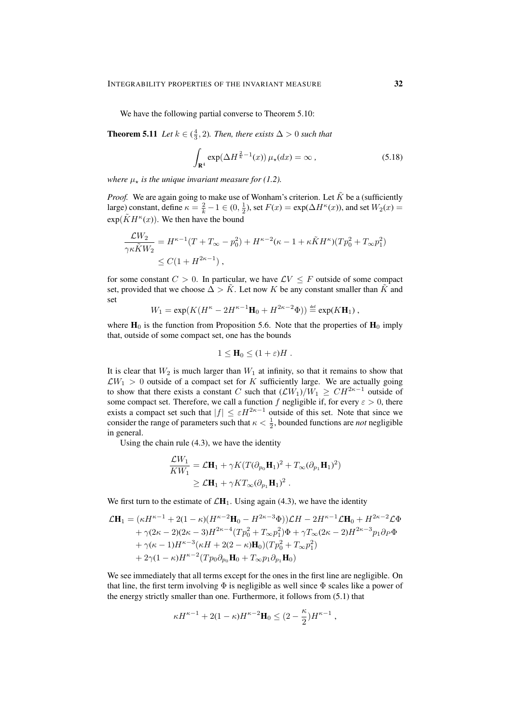We have the following partial converse to Theorem 5.10:

**Theorem 5.11** *Let*  $k \in (\frac{4}{3}, 2)$ *. Then, there exists*  $\Delta > 0$  *such that* 

$$
\int_{\mathbf{R}^4} \exp(\Delta H^{\frac{2}{k}-1}(x)) \,\mu_\star(dx) = \infty \,,\tag{5.18}
$$

*where*  $\mu_{\star}$  *is the unique invariant measure for (1.2).* 

*Proof.* We are again going to make use of Wonham's criterion. Let  $\tilde{K}$  be a (sufficiently large) constant, define  $\kappa = \frac{2}{k} - 1 \in (0, \frac{1}{2})$ , set  $F(x) = \exp(\Delta H^{\kappa}(x))$ , and set  $W_2(x) =$  $\exp(\tilde{K}H^{\kappa}(x))$ . We then have the bound

$$
\frac{\mathcal{L}W_2}{\gamma\kappa \tilde{K}W_2} = H^{\kappa-1}(T + T_{\infty} - p_0^2) + H^{\kappa-2}(\kappa - 1 + \kappa \tilde{K}H^{\kappa})(Tp_0^2 + T_{\infty}p_1^2)
$$
  
\$\leq C(1 + H^{2\kappa-1}),

for some constant  $C > 0$ . In particular, we have  $\mathcal{L}V \leq F$  outside of some compact set, provided that we choose  $\Delta > K$ . Let now K be any constant smaller than K and set

$$
W_1 = \exp(K(H^{\kappa} - 2H^{\kappa-1}\mathbf{H}_0 + H^{2\kappa-2}\Phi)) \stackrel{\text{def}}{=} \exp(K\mathbf{H}_1),
$$

where  $H_0$  is the function from Proposition 5.6. Note that the properties of  $H_0$  imply that, outside of some compact set, one has the bounds

$$
1 \leq \mathbf{H}_0 \leq (1+\varepsilon)H.
$$

It is clear that  $W_2$  is much larger than  $W_1$  at infinity, so that it remains to show that  $\mathcal{L}W_1 > 0$  outside of a compact set for K sufficiently large. We are actually going to show that there exists a constant C such that  $(\mathcal{L}W_1)/W_1 \geq CH^{2\kappa-1}$  outside of some compact set. Therefore, we call a function f negligible if, for every  $\varepsilon > 0$ , there exists a compact set such that  $|f| \leq \varepsilon H^{2\kappa-1}$  outside of this set. Note that since we consider the range of parameters such that  $\kappa < \frac{1}{2}$ , bounded functions are *not* negligible in general.

Using the chain rule (4.3), we have the identity

$$
\frac{\mathcal{L}W_1}{KW_1} = \mathcal{L}\mathbf{H}_1 + \gamma K (T(\partial_{p_0}\mathbf{H}_1)^2 + T_{\infty}(\partial_{p_1}\mathbf{H}_1)^2)
$$
  
\n
$$
\geq \mathcal{L}\mathbf{H}_1 + \gamma KT_{\infty}(\partial_{p_1}\mathbf{H}_1)^2.
$$

We first turn to the estimate of  $\mathcal{L}H_1$ . Using again (4.3), we have the identity

$$
\mathcal{L}\mathbf{H}_{1} = (\kappa H^{\kappa-1} + 2(1 - \kappa)(H^{\kappa-2}\mathbf{H}_{0} - H^{2\kappa-3}\Phi))\mathcal{L}H - 2H^{\kappa-1}\mathcal{L}\mathbf{H}_{0} + H^{2\kappa-2}\mathcal{L}\Phi
$$
  
+ \gamma(2\kappa-2)(2\kappa-3)H^{2\kappa-4}(Tp\_{0}^{2} + T\_{\infty}p\_{1}^{2})\Phi + \gamma T\_{\infty}(2\kappa-2)H^{2\kappa-3}p\_{1}\partial\_{P}\Phi  
+ \gamma(\kappa-1)H^{\kappa-3}(\kappa H + 2(2 - \kappa)\mathbf{H}\_{0})(Tp\_{0}^{2} + T\_{\infty}p\_{1}^{2})  
+ 2\gamma(1 - \kappa)H^{\kappa-2}(Tp\_{0}\partial\_{p\_{0}}\mathbf{H}\_{0} + T\_{\infty}p\_{1}\partial\_{p\_{1}}\mathbf{H}\_{0})

We see immediately that all terms except for the ones in the first line are negligible. On that line, the first term involving  $\Phi$  is negligible as well since  $\Phi$  scales like a power of the energy strictly smaller than one. Furthermore, it follows from (5.1) that

$$
\kappa H^{\kappa-1} + 2(1-\kappa)H^{\kappa-2}\mathbf{H}_0 \leq (2-\frac{\kappa}{2})H^{\kappa-1},
$$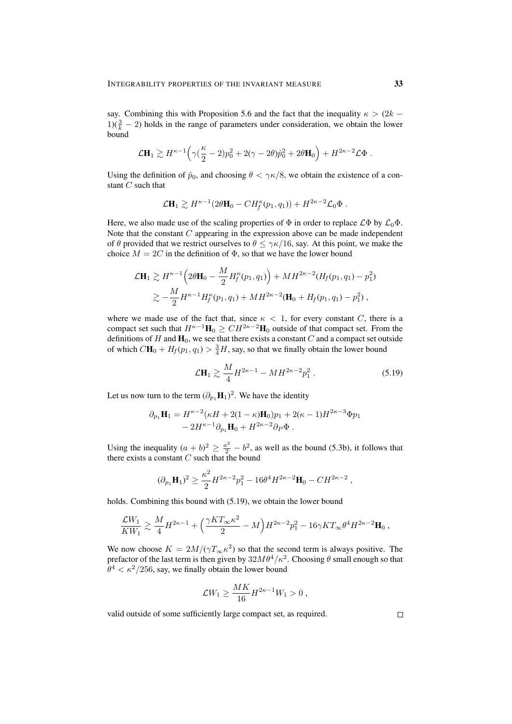say. Combining this with Proposition 5.6 and the fact that the inequality  $\kappa > (2k - 1)$ 1)( $\frac{3}{k}$  – 2) holds in the range of parameters under consideration, we obtain the lower bound

$$
\mathcal{L}\mathbf{H}_1 \gtrsim H^{\kappa-1} \Big( \gamma (\frac{\kappa}{2} - 2) p_0^2 + 2(\gamma - 2\theta) \hat{p}_0^2 + 2\theta \mathbf{H}_0 \Big) + H^{2\kappa-2} \mathcal{L} \Phi.
$$

Using the definition of  $\hat{p}_0$ , and choosing  $\theta < \gamma \kappa/8$ , we obtain the existence of a constant C such that

$$
\mathcal{L}\mathbf{H}_1 \gtrsim H^{\kappa-1}(2\theta\mathbf{H}_0 - CH_f^{\kappa}(p_1, q_1)) + H^{2\kappa-2}\mathcal{L}_0\Phi.
$$

Here, we also made use of the scaling properties of  $\Phi$  in order to replace  $\mathcal{L}\Phi$  by  $\mathcal{L}_0\Phi$ . Note that the constant  $C$  appearing in the expression above can be made independent of  $\theta$  provided that we restrict ourselves to  $\theta \leq \gamma \kappa/16$ , say. At this point, we make the choice  $M = 2C$  in the definition of  $\Phi$ , so that we have the lower bound

$$
\mathcal{L}\mathbf{H}_1 \gtrsim H^{\kappa-1} \Big( 2\theta \mathbf{H}_0 - \frac{M}{2} H_f^{\kappa}(p_1, q_1) \Big) + M H^{2\kappa-2} (H_f(p_1, q_1) - p_1^2)
$$
  

$$
\gtrsim -\frac{M}{2} H^{\kappa-1} H_f^{\kappa}(p_1, q_1) + M H^{2\kappa-2} (\mathbf{H}_0 + H_f(p_1, q_1) - p_1^2) ,
$$

where we made use of the fact that, since  $\kappa < 1$ , for every constant C, there is a compact set such that  $H^{\kappa-1}\mathbf{H}_0 \geq CH^{2\kappa-2}\mathbf{H}_0$  outside of that compact set. From the definitions of H and  $H_0$ , we see that there exists a constant C and a compact set outside of which  $C\mathbf{H}_0 + H_f(p_1, q_1) > \frac{3}{4}H$ , say, so that we finally obtain the lower bound

$$
\mathcal{L}\mathbf{H}_1 \gtrsim \frac{M}{4} H^{2\kappa - 1} - M H^{2\kappa - 2} p_1^2 \,. \tag{5.19}
$$

Let us now turn to the term  $(\partial_{p_1} \mathbf{H}_1)^2$ . We have the identity

$$
\partial_{p_1} \mathbf{H}_1 = H^{\kappa-2} (\kappa H + 2(1 - \kappa) \mathbf{H}_0) p_1 + 2(\kappa - 1) H^{2\kappa - 3} \Phi p_1 - 2H^{\kappa-1} \partial_{p_1} \mathbf{H}_0 + H^{2\kappa-2} \partial_P \Phi.
$$

Using the inequality  $(a + b)^2 \ge \frac{a^2}{2} - b^2$ , as well as the bound (5.3b), it follows that there exists a constant  $C$  such that the bound

$$
(\partial_{p_1} \mathbf{H}_1)^2 \ge \frac{\kappa^2}{2} H^{2\kappa - 2} p_1^2 - 16\theta^4 H^{2\kappa - 2} \mathbf{H}_0 - C H^{2\kappa - 2} ,
$$

holds. Combining this bound with (5.19), we obtain the lower bound

$$
\frac{\mathcal{L}W_1}{KW_1}\gtrsim \frac{M}{4}H^{2\kappa-1}+\Big(\frac{\gamma KT_\infty\kappa^2}{2}-M\Big)H^{2\kappa-2}p_1^2-16\gamma KT_\infty\theta^4H^{2\kappa-2}\mathbf{H}_0\;,
$$

We now choose  $K = 2M/(\gamma T_{\infty} \kappa^2)$  so that the second term is always positive. The prefactor of the last term is then given by  $32M\theta^4/\kappa^2$ . Choosing  $\theta$  small enough so that  $\theta^4 < \kappa^2/256$ , say, we finally obtain the lower bound

$$
\mathcal{L}W_1 \ge \frac{MK}{16}H^{2\kappa - 1}W_1 > 0,
$$

valid outside of some sufficiently large compact set, as required.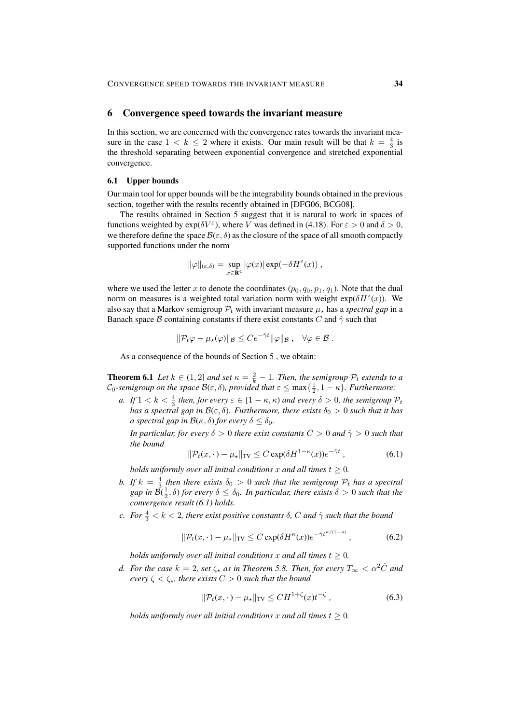#### 6 Convergence speed towards the invariant measure

In this section, we are concerned with the convergence rates towards the invariant measure in the case  $1 < k \leq 2$  where it exists. Our main result will be that  $k = \frac{4}{3}$  is the threshold separating between exponential convergence and stretched exponential convergence.

#### 6.1 Upper bounds

Our main tool for upper bounds will be the integrability bounds obtained in the previous section, together with the results recently obtained in [DFG06, BCG08].

The results obtained in Section 5 suggest that it is natural to work in spaces of functions weighted by  $exp(\delta V^{\epsilon})$ , where V was defined in (4.18). For  $\epsilon > 0$  and  $\delta > 0$ , we therefore define the space  $\mathcal{B}(\varepsilon, \delta)$  as the closure of the space of all smooth compactly supported functions under the norm

$$
\|\varphi\|_{(\varepsilon,\delta)} = \sup_{x \in \mathbf{R}^4} |\varphi(x)| \exp(-\delta H^{\varepsilon}(x)),
$$

where we used the letter x to denote the coordinates  $(p_0, q_0, p_1, q_1)$ . Note that the dual norm on measures is a weighted total variation norm with weight  $exp(\delta H^{\epsilon}(x))$ . We also say that a Markov semigroup  $P_t$  with invariant measure  $\mu_{\star}$  has a *spectral gap* in a Banach space B containing constants if there exist constants C and  $\hat{\gamma}$  such that

$$
\|\mathcal{P}_t\varphi-\mu_\star(\varphi)\|_{\mathcal{B}}\leq Ce^{-\hat{\gamma}t}\|\varphi\|_{\mathcal{B}},\quad \forall \varphi\in\mathcal{B}.
$$

As a consequence of the bounds of Section 5 , we obtain:

**Theorem 6.1** *Let*  $k \in (1,2]$  *and set*  $\kappa = \frac{2}{k} - 1$ *. Then, the semigroup*  $\mathcal{P}_t$  *extends to a*  $\mathcal{C}_0$ -semigroup on the space  $\mathcal{B}(\varepsilon,\delta)$ , provided that  $\varepsilon \leq \max\{\frac{1}{2},1-\kappa\}$ . Furthermore:

*a. If*  $1 < k < \frac{4}{3}$  *then, for every*  $\varepsilon \in [1 - \kappa, \kappa)$  *and every*  $\delta > 0$ *, the semigroup*  $\mathcal{P}_t$ *has a spectral gap in*  $\mathcal{B}(\varepsilon, \delta)$ *. Furthermore, there exists*  $\delta_0 > 0$  *such that it has a spectral gap in*  $\mathcal{B}(\kappa, \delta)$  *for every*  $\delta \leq \delta_0$ *.* 

*In particular, for every*  $\delta > 0$  *there exist constants*  $C > 0$  *and*  $\hat{\gamma} > 0$  *such that the bound*

$$
\|\mathcal{P}_t(x,\cdot) - \mu_\star\|_{\text{TV}} \le C \exp(\delta H^{1-\kappa}(x))e^{-\hat{\gamma}t} \,,\tag{6.1}
$$

*holds uniformly over all initial conditions* x *and all times*  $t \geq 0$ *.* 

- *b.* If  $k = \frac{4}{3}$  then there exists  $\delta_0 > 0$  such that the semigroup  $\mathcal{P}_t$  has a spectral  $gap$  in  $\breve{\mathcal{B}}(\frac{1}{2}, \delta)$  *for every*  $\delta \leq \delta_0$ . In particular, there exists  $\delta > 0$  such that the *convergence result (6.1) holds.*
- *c. For*  $\frac{4}{3} < k < 2$ , *there exist positive constants*  $\delta$ , *C and*  $\hat{\gamma}$  *such that the bound*

$$
\|\mathcal{P}_t(x,\cdot) - \mu_\star\|_{\text{TV}} \le C \exp(\delta H^\kappa(x)) e^{-\hat{\gamma}t^{\kappa/(1-\kappa)}},\tag{6.2}
$$

*holds uniformly over all initial conditions* x *and all times*  $t \geq 0$ *.* 

*d.* For the case  $k = 2$ , set  $\zeta_*$  as in Theorem 5.8. Then, for every  $T_\infty < \alpha^2 \hat{C}$  and *every*  $\zeta < \zeta_*$ *, there exists*  $C > 0$  *such that the bound* 

$$
\|\mathcal{P}_t(x,\cdot) - \mu_\star\|_{\text{TV}} \leq CH^{1+\zeta}(x)t^{-\zeta},\tag{6.3}
$$

*holds uniformly over all initial conditions* x *and all times*  $t \geq 0$ *.*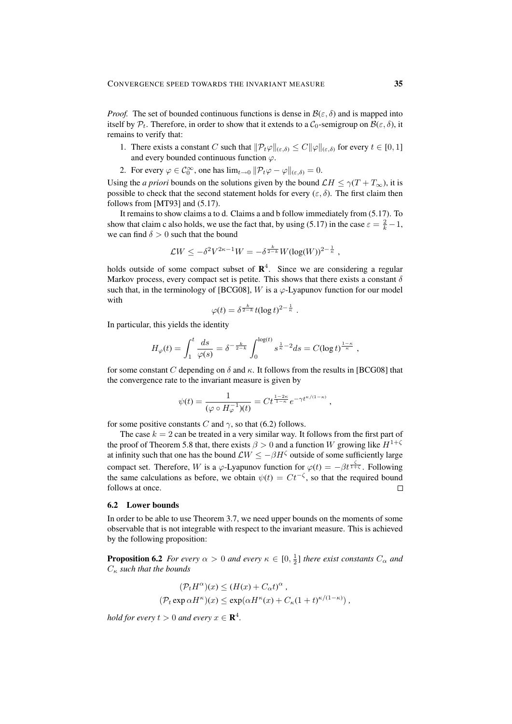*Proof.* The set of bounded continuous functions is dense in  $\mathcal{B}(\varepsilon, \delta)$  and is mapped into itself by  $P_t$ . Therefore, in order to show that it extends to a  $C_0$ -semigroup on  $\mathcal{B}(\varepsilon, \delta)$ , it remains to verify that:

- 1. There exists a constant C such that  $\|\mathcal{P}_t\varphi\|_{(\varepsilon,\delta)} \leq C \|\varphi\|_{(\varepsilon,\delta)}$  for every  $t \in [0,1]$ and every bounded continuous function  $\varphi$ .
- 2. For every  $\varphi \in C_0^{\infty}$ , one has  $\lim_{t \to 0} ||\mathcal{P}_t \varphi \varphi||_{(\varepsilon, \delta)} = 0$ .

Using the *a priori* bounds on the solutions given by the bound  $\mathcal{L}H \leq \gamma(T + T_{\infty})$ , it is possible to check that the second statement holds for every  $(\varepsilon, \delta)$ . The first claim then follows from [MT93] and (5.17).

It remains to show claims a to d. Claims a and b follow immediately from (5.17). To show that claim c also holds, we use the fact that, by using (5.17) in the case  $\varepsilon = \frac{2}{k} - 1$ , we can find  $\delta > 0$  such that the bound

$$
\mathcal{L}W \leq -\delta^2 V^{2\kappa-1}W = -\delta^{\frac{k}{2-k}} W(\log(W))^{2-\frac{1}{\kappa}},
$$

holds outside of some compact subset of  $\mathbb{R}^4$ . Since we are considering a regular Markov process, every compact set is petite. This shows that there exists a constant  $\delta$ such that, in the terminology of [BCG08], W is a  $\varphi$ -Lyapunov function for our model with

$$
\varphi(t) = \delta^{\frac{k}{2-k}} t (\log t)^{2-\frac{1}{\kappa}}.
$$

In particular, this yields the identity

$$
H_{\varphi}(t) = \int_{1}^{t} \frac{ds}{\varphi(s)} = \delta^{-\frac{k}{2-k}} \int_{0}^{\log(t)} s^{\frac{1}{\kappa} - 2} ds = C(\log t)^{\frac{1-\kappa}{\kappa}},
$$

for some constant C depending on  $\delta$  and  $\kappa$ . It follows from the results in [BCG08] that the convergence rate to the invariant measure is given by

$$
\psi(t) = \frac{1}{(\varphi \circ H_{\varphi}^{-1})(t)} = Ct^{\frac{1-2\kappa}{1-\kappa}} e^{-\gamma t^{\kappa/(1-\kappa)}},
$$

for some positive constants C and  $\gamma$ , so that (6.2) follows.

The case  $k = 2$  can be treated in a very similar way. It follows from the first part of the proof of Theorem 5.8 that, there exists  $\beta > 0$  and a function W growing like  $H^{1+\zeta}$ at infinity such that one has the bound  $\mathcal{L}W \le -\beta H^{\zeta}$  outside of some sufficiently large compact set. Therefore, W is a  $\varphi$ -Lyapunov function for  $\varphi(t) = -\beta t^{\frac{\zeta}{1+\zeta}}$ . Following the same calculations as before, we obtain  $\psi(t) = Ct^{-\zeta}$ , so that the required bound follows at once.  $\Box$ 

#### 6.2 Lower bounds

In order to be able to use Theorem 3.7, we need upper bounds on the moments of some observable that is not integrable with respect to the invariant measure. This is achieved by the following proposition:

**Proposition 6.2** *For every*  $\alpha > 0$  *and every*  $\kappa \in [0, \frac{1}{2}]$  *there exist constants*  $C_{\alpha}$  *and*  $C_{\kappa}$  such that the bounds

$$
(\mathcal{P}_t H^{\alpha})(x) \le (H(x) + C_{\alpha}t)^{\alpha} ,
$$
  

$$
(\mathcal{P}_t \exp \alpha H^{\kappa})(x) \le \exp(\alpha H^{\kappa}(x) + C_{\kappa}(1+t)^{\kappa/(1-\kappa)}),
$$

*hold for every*  $t > 0$  and every  $x \in \mathbb{R}^4$ .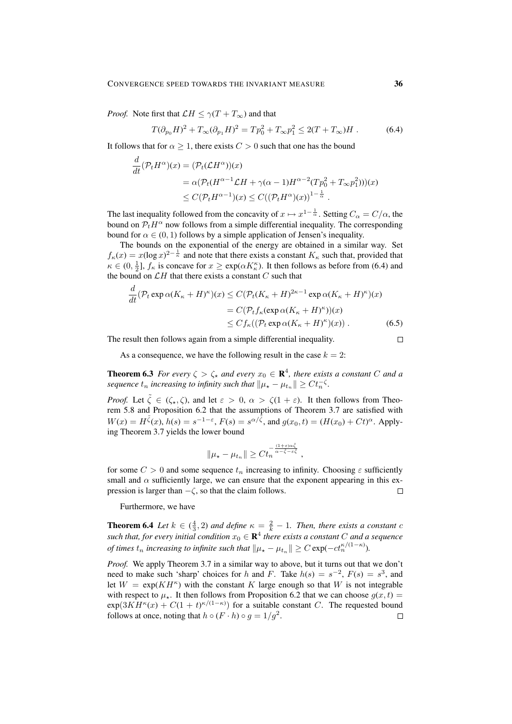*Proof.* Note first that  $\mathcal{L}H \leq \gamma(T + T_{\infty})$  and that

$$
T(\partial_{p_0} H)^2 + T_{\infty}(\partial_{p_1} H)^2 = T p_0^2 + T_{\infty} p_1^2 \le 2(T + T_{\infty})H.
$$
 (6.4)

It follows that for  $\alpha \geq 1$ , there exists  $C > 0$  such that one has the bound

$$
\frac{d}{dt}(\mathcal{P}_t H^{\alpha})(x) = (\mathcal{P}_t (\mathcal{L} H^{\alpha}))(x)
$$
  
\n
$$
= \alpha (\mathcal{P}_t (H^{\alpha-1} \mathcal{L} H + \gamma (\alpha - 1) H^{\alpha-2} (T p_0^2 + T_{\infty} p_1^2)))(x)
$$
  
\n
$$
\leq C(\mathcal{P}_t H^{\alpha-1})(x) \leq C((\mathcal{P}_t H^{\alpha})(x))^{1-\frac{1}{\alpha}}.
$$

The last inequality followed from the concavity of  $x \mapsto x^{1-\frac{1}{\alpha}}$ . Setting  $C_{\alpha} = C/\alpha$ , the bound on  $P_tH^\alpha$  now follows from a simple differential inequality. The corresponding bound for  $\alpha \in (0, 1)$  follows by a simple application of Jensen's inequality.

The bounds on the exponential of the energy are obtained in a similar way. Set  $f_{\kappa}(x) = x(\log x)^{2-\frac{1}{\kappa}}$  and note that there exists a constant  $K_{\kappa}$  such that, provided that  $\kappa \in (0, \frac{1}{2}], f_{\kappa}$  is concave for  $x \ge \exp(\alpha K_{\kappa}^{\kappa})$ . It then follows as before from (6.4) and the bound on  $\mathcal{L}H$  that there exists a constant  $C$  such that

$$
\frac{d}{dt}(\mathcal{P}_t \exp \alpha (K_{\kappa} + H)^{\kappa})(x) \le C(\mathcal{P}_t (K_{\kappa} + H)^{2\kappa - 1} \exp \alpha (K_{\kappa} + H)^{\kappa})(x)
$$

$$
= C(\mathcal{P}_t f_{\kappa} (\exp \alpha (K_{\kappa} + H)^{\kappa})(x))
$$

$$
\le C f_{\kappa}((\mathcal{P}_t \exp \alpha (K_{\kappa} + H)^{\kappa})(x)). \tag{6.5}
$$

The result then follows again from a simple differential inequality.

As a consequence, we have the following result in the case  $k = 2$ :

**Theorem 6.3** For every  $\zeta > \zeta_*$  and every  $x_0 \in \mathbb{R}^4$ , there exists a constant C and a *sequence*  $t_n$  *increasing to infinity such that*  $\|\mu_{\star} - \mu_{t_n}\| \geq C t_n^{-\zeta}$ .

*Proof.* Let  $\tilde{\zeta} \in (\zeta_*, \zeta)$ , and let  $\varepsilon > 0$ ,  $\alpha > \zeta(1 + \varepsilon)$ . It then follows from Theorem 5.8 and Proposition 6.2 that the assumptions of Theorem 3.7 are satisfied with  $W(x) = H^{\tilde{\zeta}}(x), h(s) = s^{-1-\epsilon}, F(s) = s^{\alpha/\tilde{\zeta}}, \text{ and } g(x_0, t) = (H(x_0) + Ct)^{\alpha}.$  Applying Theorem 3.7 yields the lower bound

$$
\|\mu_{\star} - \mu_{t_n}\| \geq C t_n^{-\frac{(1+\varepsilon)\alpha \tilde{\zeta}}{\alpha - \tilde{\zeta} - \varepsilon \tilde{\zeta}}},
$$

for some  $C > 0$  and some sequence  $t_n$  increasing to infinity. Choosing  $\varepsilon$  sufficiently small and  $\alpha$  sufficiently large, we can ensure that the exponent appearing in this expression is larger than  $-\zeta$ , so that the claim follows.  $\Box$ 

Furthermore, we have

**Theorem 6.4** *Let*  $k \in (\frac{4}{3}, 2)$  *and define*  $\kappa = \frac{2}{k} - 1$ *. Then, there exists a constant c* such that, for every initial condition  $x_0 \in \mathbf{R}^4$  there exists a constant C and a sequence *of times*  $t_n$  *increasing to infinite such that*  $\|\mu_{\star} - \mu_{t_n}\| \geq C \exp(-ct_n^{\kappa/(1-\kappa)})$ *.* 

*Proof.* We apply Theorem 3.7 in a similar way to above, but it turns out that we don't need to make such 'sharp' choices for h and F. Take  $h(s) = s^{-2}$ ,  $F(s) = s^3$ , and let  $W = \exp(KH^{\kappa})$  with the constant K large enough so that W is not integrable with respect to  $\mu_{\star}$ . It then follows from Proposition 6.2 that we can choose  $q(x, t)$  =  $\exp(3KH^{\kappa}(x) + C(1+t)^{\kappa/(1-\kappa)})$  for a suitable constant C. The requested bound follows at once, noting that  $h \circ (F \cdot h) \circ g = 1/g^2$ .  $\Box$ 

 $\Box$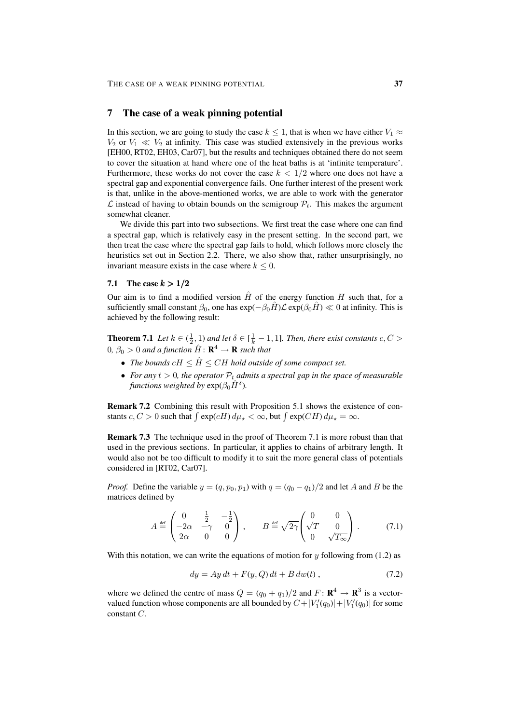### 7 The case of a weak pinning potential

In this section, we are going to study the case  $k \leq 1$ , that is when we have either  $V_1 \approx$  $V_2$  or  $V_1 \ll V_2$  at infinity. This case was studied extensively in the previous works [EH00, RT02, EH03, Car07], but the results and techniques obtained there do not seem to cover the situation at hand where one of the heat baths is at 'infinite temperature'. Furthermore, these works do not cover the case  $k < 1/2$  where one does not have a spectral gap and exponential convergence fails. One further interest of the present work is that, unlike in the above-mentioned works, we are able to work with the generator  $\mathcal L$  instead of having to obtain bounds on the semigroup  $\mathcal P_t$ . This makes the argument somewhat cleaner.

We divide this part into two subsections. We first treat the case where one can find a spectral gap, which is relatively easy in the present setting. In the second part, we then treat the case where the spectral gap fails to hold, which follows more closely the heuristics set out in Section 2.2. There, we also show that, rather unsurprisingly, no invariant measure exists in the case where  $k \leq 0$ .

#### 7.1 The case  $k > 1/2$

Our aim is to find a modified version  $\hat{H}$  of the energy function H such that, for a sufficiently small constant  $\beta_0$ , one has  $\exp(-\beta_0H)\mathcal{L} \exp(\beta_0H) \ll 0$  at infinity. This is achieved by the following result:

**Theorem 7.1** *Let*  $k \in (\frac{1}{2}, 1)$  *and let*  $\delta \in [\frac{1}{k} - 1, 1]$ *. Then, there exist constants*  $c, C$  >  $0, \beta_0 > 0$  and a function  $\hat{H} \colon \mathbf{R}^4 \to \mathbf{R}$  such that

- The bounds  $cH \leq \hat{H} \leq CH$  hold outside of some compact set.
- *For any*  $t > 0$ *, the operator*  $P_t$  *admits a spectral gap in the space of measurable functions weighted by*  $exp(\beta_0 \hat{H}^{\delta})$ .

Remark 7.2 Combining this result with Proposition 5.1 shows the existence of constants  $c, C > 0$  such that  $\int \exp(cH) d\mu_{\star} < \infty$ , but  $\int \exp(CH) d\mu_{\star} = \infty$ .

Remark 7.3 The technique used in the proof of Theorem 7.1 is more robust than that used in the previous sections. In particular, it applies to chains of arbitrary length. It would also not be too difficult to modify it to suit the more general class of potentials considered in [RT02, Car07].

*Proof.* Define the variable  $y = (q, p_0, p_1)$  with  $q = (q_0 - q_1)/2$  and let A and B be the matrices defined by

$$
A \stackrel{\text{def}}{=} \begin{pmatrix} 0 & \frac{1}{2} & -\frac{1}{2} \\ -2\alpha & -\gamma & 0 \\ 2\alpha & 0 & 0 \end{pmatrix}, \qquad B \stackrel{\text{def}}{=} \sqrt{2\gamma} \begin{pmatrix} 0 & 0 \\ \sqrt{T} & 0 \\ 0 & \sqrt{T_{\infty}} \end{pmatrix}. \tag{7.1}
$$

With this notation, we can write the equations of motion for y following from  $(1.2)$  as

$$
dy = Ay dt + F(y, Q) dt + B dw(t), \qquad (7.2)
$$

where we defined the centre of mass  $Q = (q_0 + q_1)/2$  and  $F: \mathbf{R}^4 \to \mathbf{R}^3$  is a vectorvalued function whose components are all bounded by  $C + |V_1'(q_0)| + |V_1'(q_0)|$  for some constant C.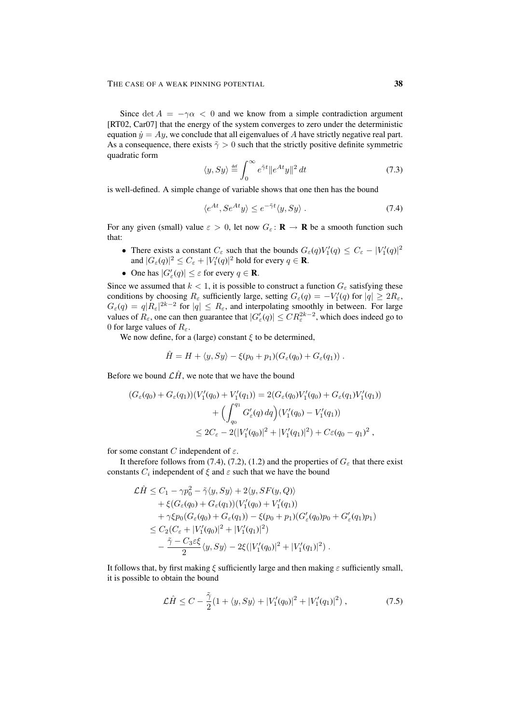Since det  $A = -\gamma \alpha < 0$  and we know from a simple contradiction argument [RT02, Car07] that the energy of the system converges to zero under the deterministic equation  $\dot{y} = Ay$ , we conclude that all eigenvalues of A have strictly negative real part. As a consequence, there exists  $\tilde{\gamma} > 0$  such that the strictly positive definite symmetric quadratic form

$$
\langle y, Sy \rangle \stackrel{\text{def}}{=} \int_0^\infty e^{\tilde{\gamma}t} \|e^{At}y\|^2 dt \tag{7.3}
$$

is well-defined. A simple change of variable shows that one then has the bound

$$
\langle e^{At}, Se^{At}y \rangle \le e^{-\tilde{\gamma}t} \langle y, Sy \rangle. \tag{7.4}
$$

For any given (small) value  $\varepsilon > 0$ , let now  $G_{\varepsilon} : \mathbf{R} \to \mathbf{R}$  be a smooth function such that:

- There exists a constant  $C_{\varepsilon}$  such that the bounds  $G_{\varepsilon}(q)V'_{1}(q) \leq C_{\varepsilon} |V'_{1}(q)|^{2}$ and  $|G_\varepsilon(q)|^2 \leq C_\varepsilon + |V_1'(q)|^2$  hold for every  $q \in \mathbf{R}$ .
- One has  $|G'_{\varepsilon}(q)| \leq \varepsilon$  for every  $q \in \mathbf{R}$ .

Since we assumed that  $k < 1$ , it is possible to construct a function  $G_{\varepsilon}$  satisfying these conditions by choosing  $R_{\varepsilon}$  sufficiently large, setting  $G_{\varepsilon}(q) = -V'_1(q)$  for  $|q| \geq 2R_{\varepsilon}$ ,  $G_{\varepsilon}(q) = q |R_{\varepsilon}|^{2k-2}$  for  $|q| \le R_{\varepsilon}$ , and interpolating smoothly in between. For large values of  $R_{\varepsilon}$ , one can then guarantee that  $|G'_{\varepsilon}(q)| \leq CR_{\varepsilon}^{2k-2}$ , which does indeed go to 0 for large values of  $R_{\varepsilon}$ .

We now define, for a (large) constant  $\xi$  to be determined,

$$
\hat{H} = H + \langle y, Sy \rangle - \xi(p_0 + p_1)(G_{\varepsilon}(q_0) + G_{\varepsilon}(q_1)) \ .
$$

Before we bound  $\mathcal{L}\hat{H}$ , we note that we have the bound

$$
(G_{\varepsilon}(q_0) + G_{\varepsilon}(q_1))(V'_1(q_0) + V'_1(q_1)) = 2(G_{\varepsilon}(q_0)V'_1(q_0) + G_{\varepsilon}(q_1)V'_1(q_1))
$$
  
+ 
$$
\Big(\int_{q_0}^{q_1} G'_{\varepsilon}(q) dq\Big)(V'_1(q_0) - V'_1(q_1))
$$
  

$$
\leq 2C_{\varepsilon} - 2(|V'_1(q_0)|^2 + |V'_1(q_1)|^2) + C\varepsilon(q_0 - q_1)^2,
$$

for some constant C independent of  $\varepsilon$ .

It therefore follows from (7.4), (7.2), (1.2) and the properties of  $G_{\varepsilon}$  that there exist constants  $C_i$  independent of  $\xi$  and  $\varepsilon$  such that we have the bound

$$
\mathcal{L}\hat{H} \leq C_1 - \gamma p_0^2 - \tilde{\gamma}\langle y, Sy \rangle + 2\langle y, SF(y, Q) \rangle \n+ \xi(G_{\varepsilon}(q_0) + G_{\varepsilon}(q_1))(V'_1(q_0) + V'_1(q_1)) \n+ \gamma\xi p_0(G_{\varepsilon}(q_0) + G_{\varepsilon}(q_1)) - \xi(p_0 + p_1)(G'_{\varepsilon}(q_0)p_0 + G'_{\varepsilon}(q_1)p_1) \n\leq C_2(C_{\varepsilon} + |V'_1(q_0)|^2 + |V'_1(q_1)|^2) \n- \frac{\tilde{\gamma} - C_3\varepsilon\xi}{2}\langle y, Sy \rangle - 2\xi(|V'_1(q_0)|^2 + |V'_1(q_1)|^2).
$$

It follows that, by first making  $\xi$  sufficiently large and then making  $\varepsilon$  sufficiently small, it is possible to obtain the bound

$$
\mathcal{L}\hat{H} \le C - \frac{\tilde{\gamma}}{2} (1 + \langle y, Sy \rangle + |V_1'(q_0)|^2 + |V_1'(q_1)|^2) , \qquad (7.5)
$$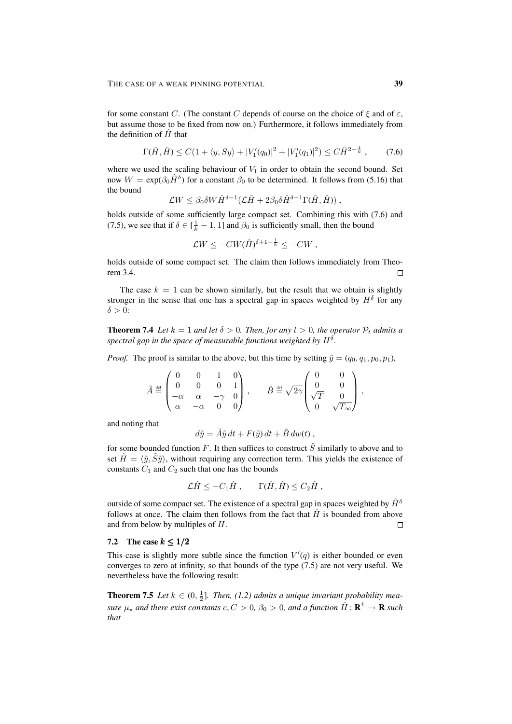for some constant C. (The constant C depends of course on the choice of  $\xi$  and of  $\varepsilon$ , but assume those to be fixed from now on.) Furthermore, it follows immediately from the definition of  $H$  that

$$
\Gamma(\hat{H}, \hat{H}) \le C(1 + \langle y, Sy \rangle + |V_1'(q_0)|^2 + |V_1'(q_1)|^2) \le C\hat{H}^{2-\frac{1}{k}},\tag{7.6}
$$

where we used the scaling behaviour of  $V_1$  in order to obtain the second bound. Set now  $W = \exp(\beta_0 \hat{H}^{\delta})$  for a constant  $\beta_0$  to be determined. It follows from (5.16) that the bound

$$
\mathcal{L}W \leq \beta_0 \delta W \hat{H}^{\delta-1} (\mathcal{L}\hat{H} + 2\beta_0 \delta \hat{H}^{\delta-1} \Gamma(\hat{H}, \hat{H})) ,
$$

holds outside of some sufficiently large compact set. Combining this with (7.6) and (7.5), we see that if  $\delta \in [\frac{1}{k} - 1, 1]$  and  $\beta_0$  is sufficiently small, then the bound

$$
\mathcal{L}W \le -CW(\hat{H})^{\delta+1-\frac{1}{k}} \le -CW,
$$

holds outside of some compact set. The claim then follows immediately from Theorem 3.4.  $\Box$ 

The case  $k = 1$  can be shown similarly, but the result that we obtain is slightly stronger in the sense that one has a spectral gap in spaces weighted by  $H^{\delta}$  for any  $\delta > 0$ :

**Theorem 7.4** *Let*  $k = 1$  *and let*  $\delta > 0$ *. Then, for any*  $t > 0$ *, the operator*  $P_t$  *admits a* spectral gap in the space of measurable functions weighted by  $H^\delta.$ 

*Proof.* The proof is similar to the above, but this time by setting  $\tilde{y} = (q_0, q_1, p_0, p_1)$ ,

$$
\tilde{A} \stackrel{\text{def}}{=} \begin{pmatrix} 0 & 0 & 1 & 0 \\ 0 & 0 & 0 & 1 \\ -\alpha & \alpha & -\gamma & 0 \\ \alpha & -\alpha & 0 & 0 \end{pmatrix}, \qquad \tilde{B} \stackrel{\text{def}}{=} \sqrt{2\gamma} \begin{pmatrix} 0 & 0 \\ 0 & 0 \\ \sqrt{T} & 0 \\ 0 & \sqrt{T_{\infty}} \end{pmatrix},
$$

and noting that

$$
d\tilde{y} = \tilde{A}\tilde{y} dt + F(\tilde{y}) dt + \tilde{B} dw(t) ,
$$

for some bounded function F. It then suffices to construct  $\tilde{S}$  similarly to above and to set  $\hat{H} = \langle \tilde{y}, \tilde{S}\tilde{y} \rangle$ , without requiring any correction term. This yields the existence of constants  $C_1$  and  $C_2$  such that one has the bounds

$$
\mathcal{L}\hat{H} \le -C_1\hat{H}, \qquad \Gamma(\hat{H}, \hat{H}) \le C_2\hat{H},
$$

outside of some compact set. The existence of a spectral gap in spaces weighted by  $\hat{H}^{\delta}$ follows at once. The claim then follows from the fact that  $\hat{H}$  is bounded from above and from below by multiples of H.  $\Box$ 

## 7.2 The case  $k \leq 1/2$

This case is slightly more subtle since the function  $V'(q)$  is either bounded or even converges to zero at infinity, so that bounds of the type (7.5) are not very useful. We nevertheless have the following result:

**Theorem 7.5** *Let*  $k \in (0, \frac{1}{2}]$ *. Then,* (1.2) *admits a unique invariant probability measure*  $\mu_{\star}$  and there exist constants  $c, C > 0$ ,  $\beta_0 > 0$ , and a function  $\hat{H} \colon \mathbf{R}^4 \to \mathbf{R}$  such *that*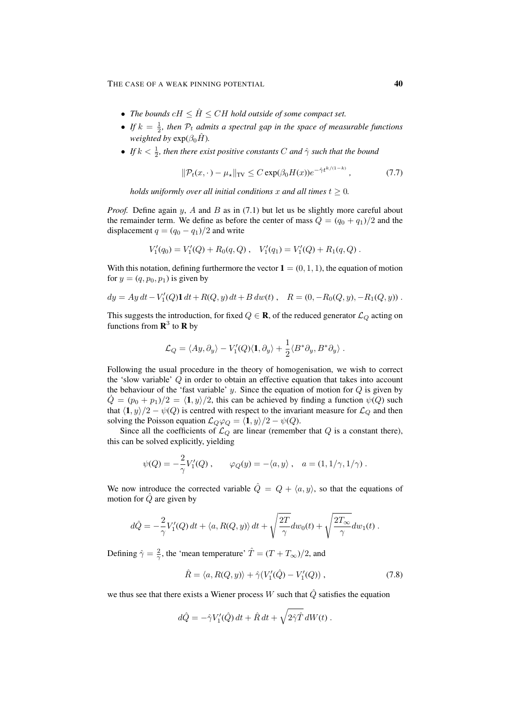- The bounds  $cH \leq \hat{H} \leq CH$  hold outside of some compact set.
- If  $k = \frac{1}{2}$ , then  $\mathcal{P}_t$  admits a spectral gap in the space of measurable functions *weighted by*  $exp(\beta_0 \hat{H})$ *.*
- *If*  $k < \frac{1}{2}$ , then there exist positive constants C and  $\hat{\gamma}$  such that the bound

$$
\|\mathcal{P}_t(x,\cdot) - \mu_\star\|_{\text{TV}} \le C \exp(\beta_0 H(x)) e^{-\hat{\gamma} t^{k/(1-k)}},\tag{7.7}
$$

*holds uniformly over all initial conditions* x and all times  $t \geq 0$ .

*Proof.* Define again  $y$ ,  $A$  and  $B$  as in (7.1) but let us be slightly more careful about the remainder term. We define as before the center of mass  $Q = (q_0 + q_1)/2$  and the displacement  $q = (q_0 - q_1)/2$  and write

$$
V'_1(q_0) = V'_1(Q) + R_0(q, Q) , V'_1(q_1) = V'_1(Q) + R_1(q, Q) .
$$

With this notation, defining furthermore the vector  $\mathbf{1} = (0, 1, 1)$ , the equation of motion for  $y = (q, p_0, p_1)$  is given by

$$
dy = Ay dt - V'_1(Q)\mathbf{1} dt + R(Q, y) dt + B dw(t) , \quad R = (0, -R_0(Q, y), -R_1(Q, y)) .
$$

This suggests the introduction, for fixed  $Q \in \mathbf{R}$ , of the reduced generator  $\mathcal{L}_Q$  acting on functions from  $\mathbf{R}^3$  to  $\mathbf{R}$  by

$$
\mathcal{L}_Q = \langle Ay, \partial_y \rangle - V_1'(Q) \langle \mathbf{1}, \partial_y \rangle + \frac{1}{2} \langle B^* \partial_y, B^* \partial_y \rangle.
$$

Following the usual procedure in the theory of homogenisation, we wish to correct the 'slow variable' Q in order to obtain an effective equation that takes into account the behaviour of the 'fast variable' y. Since the equation of motion for  $Q$  is given by  $\hat{Q} = (p_0 + p_1)/2 = \langle 1, y \rangle/2$ , this can be achieved by finding a function  $\psi(Q)$  such that  $\langle 1, y \rangle/2 - \psi(Q)$  is centred with respect to the invariant measure for  $\mathcal{L}_Q$  and then solving the Poisson equation  $\mathcal{L}_Q \varphi_Q = \langle \mathbf{1}, y \rangle/2 - \psi(Q)$ .

Since all the coefficients of  $\mathcal{L}_Q$  are linear (remember that Q is a constant there), this can be solved explicitly, yielding

$$
\psi(Q) = -\frac{2}{\gamma} V_1'(Q) , \qquad \varphi_Q(y) = -\langle a, y \rangle , \quad a = (1, 1/\gamma, 1/\gamma) .
$$

We now introduce the corrected variable  $\hat{Q} = Q + \langle a, y \rangle$ , so that the equations of motion for  $\hat{Q}$  are given by

$$
d\hat{Q} = -\frac{2}{\gamma} V_1'(Q) dt + \langle a, R(Q, y) \rangle dt + \sqrt{\frac{2T}{\gamma}} dw_0(t) + \sqrt{\frac{2T_{\infty}}{\gamma}} dw_1(t) .
$$

Defining  $\hat{\gamma} = \frac{2}{\gamma}$ , the 'mean temperature'  $\hat{T} = (T + T_{\infty})/2$ , and

$$
\hat{R} = \langle a, R(Q, y) \rangle + \hat{\gamma} (V_1'(\hat{Q}) - V_1'(Q)), \qquad (7.8)
$$

we thus see that there exists a Wiener process W such that  $\hat{Q}$  satisfies the equation

$$
d\hat{Q} = -\hat{\gamma}V_1'(\hat{Q}) dt + \hat{R} dt + \sqrt{2\hat{\gamma}\hat{T}} dW(t) .
$$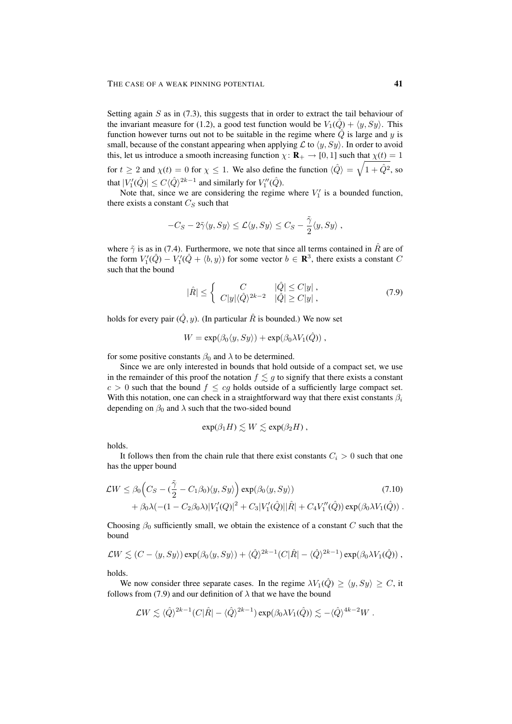Setting again  $S$  as in (7.3), this suggests that in order to extract the tail behaviour of the invariant measure for (1.2), a good test function would be  $V_1(\hat{Q}) + \langle y, Sy \rangle$ . This function however turns out not to be suitable in the regime where  $\hat{Q}$  is large and y is small, because of the constant appearing when applying  $\mathcal L$  to  $\langle y, Sy \rangle$ . In order to avoid this, let us introduce a smooth increasing function  $\chi: \mathbf{R}_{+} \to [0, 1]$  such that  $\chi(t) = 1$ for  $t \ge 2$  and  $\chi(t) = 0$  for  $\chi \le 1$ . We also define the function  $\langle \hat{Q} \rangle = \sqrt{1 + \hat{Q}^2}$ , so that  $|V_1'(\hat{Q})| \le C \langle \hat{Q} \rangle^{2k-1}$  and similarly for  $V_1''(\hat{Q})$ .

Note that, since we are considering the regime where  $V_1'$  is a bounded function, there exists a constant  $C_S$  such that

$$
-C_S - 2\tilde{\gamma}\langle y, Sy \rangle \leq \mathcal{L}\langle y, Sy \rangle \leq C_S - \frac{\tilde{\gamma}}{2}\langle y, Sy \rangle,
$$

where  $\tilde{\gamma}$  is as in (7.4). Furthermore, we note that since all terms contained in  $\hat{R}$  are of the form  $V_1'(\hat{Q}) - V_1'(\hat{Q} + \langle b, y \rangle)$  for some vector  $b \in \mathbb{R}^3$ , there exists a constant C such that the bound

$$
|\hat{R}| \leq \begin{cases} C & |\hat{Q}| \leq C|y|, \\ C|y|\langle \hat{Q}\rangle^{2k-2} & |\hat{Q}| \geq C|y|, \end{cases}
$$
 (7.9)

holds for every pair  $(\hat{Q}, y)$ . (In particular  $\hat{R}$  is bounded.) We now set

$$
W = \exp(\beta_0 \langle y, Sy \rangle) + \exp(\beta_0 \lambda V_1(\hat{Q}))
$$

for some positive constants  $\beta_0$  and  $\lambda$  to be determined.

Since we are only interested in bounds that hold outside of a compact set, we use in the remainder of this proof the notation  $f \lesssim g$  to signify that there exists a constant  $c > 0$  such that the bound  $f \le cg$  holds outside of a sufficiently large compact set. With this notation, one can check in a straightforward way that there exist constants  $\beta_i$ depending on  $\beta_0$  and  $\lambda$  such that the two-sided bound

$$
\exp(\beta_1 H) \lesssim W \lesssim \exp(\beta_2 H) ,
$$

holds.

It follows then from the chain rule that there exist constants  $C_i > 0$  such that one has the upper bound

$$
\mathcal{L}W \le \beta_0 \Big( C_S - (\frac{\tilde{\gamma}}{2} - C_1 \beta_0) \langle y, Sy \rangle \Big) \exp(\beta_0 \langle y, Sy \rangle) + \beta_0 \lambda (-(1 - C_2 \beta_0 \lambda) |V_1'(Q)|^2 + C_3 |V_1'(\hat{Q})| |\hat{R}| + C_4 V_1''(\hat{Q}) \exp(\beta_0 \lambda V_1(\hat{Q})) .
$$
\n(7.10)

Choosing  $\beta_0$  sufficiently small, we obtain the existence of a constant C such that the bound

$$
\mathcal{L}W \lesssim (C - \langle y, Sy \rangle) \exp(\beta_0 \langle y, Sy \rangle) + \langle \hat{Q} \rangle^{2k-1} (C|\hat{R}| - \langle \hat{Q} \rangle^{2k-1}) \exp(\beta_0 \lambda V_1(\hat{Q})) ,
$$

holds.

We now consider three separate cases. In the regime  $\lambda V_1(\hat{Q}) \ge \langle y, Sy \rangle \ge C$ , it follows from (7.9) and our definition of  $\lambda$  that we have the bound

$$
\mathcal{L}W \lesssim \langle \hat{Q} \rangle^{2k-1} (C|\hat{R}| - \langle \hat{Q} \rangle^{2k-1}) \exp(\beta_0 \lambda V_1(\hat{Q})) \lesssim -\langle \hat{Q} \rangle^{4k-2} W.
$$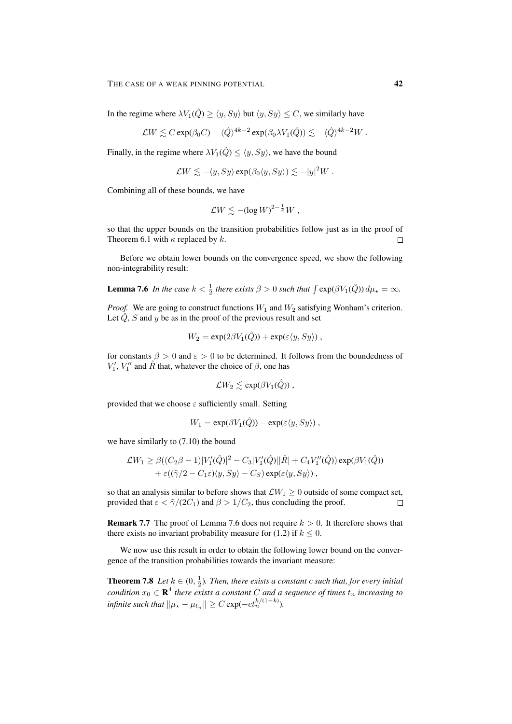In the regime where  $\lambda V_1(\hat{Q}) \ge \langle y, Sy \rangle$  but  $\langle y, Sy \rangle \le C$ , we similarly have

$$
\mathcal{L}W \lesssim C \exp(\beta_0 C) - \langle \hat{Q} \rangle^{4k-2} \exp(\beta_0 \lambda V_1(\hat{Q})) \lesssim -\langle \hat{Q} \rangle^{4k-2} W \ .
$$

Finally, in the regime where  $\lambda V_1(\hat{Q}) \leq \langle y, Sy \rangle$ , we have the bound

$$
\mathcal{L}W \lesssim -\langle y, Sy \rangle \exp(\beta_0 \langle y, Sy \rangle) \lesssim -|y|^2 W
$$
.

Combining all of these bounds, we have

$$
\mathcal{L}W \lesssim -(\log W)^{2-\frac{1}{k}}W ,
$$

so that the upper bounds on the transition probabilities follow just as in the proof of Theorem 6.1 with  $\kappa$  replaced by  $k$ .  $\Box$ 

Before we obtain lower bounds on the convergence speed, we show the following non-integrability result:

**Lemma 7.6** In the case 
$$
k < \frac{1}{2}
$$
 there exists  $\beta > 0$  such that  $\int \exp(\beta V_1(\hat{Q})) d\mu_{\star} = \infty$ .

*Proof.* We are going to construct functions  $W_1$  and  $W_2$  satisfying Wonham's criterion. Let  $\hat{Q}$ , S and y be as in the proof of the previous result and set

$$
W_2 = \exp(2\beta V_1(\hat{Q})) + \exp(\varepsilon \langle y, Sy \rangle),
$$

for constants  $\beta > 0$  and  $\varepsilon > 0$  to be determined. It follows from the boundedness of  $V_1', V_1''$  and  $\hat{R}$  that, whatever the choice of  $\beta$ , one has

$$
\mathcal{L}W_2 \lesssim \exp(\beta V_1(\hat{Q})) \ ,
$$

provided that we choose  $\varepsilon$  sufficiently small. Setting

$$
W_1 = \exp(\beta V_1(\hat{Q})) - \exp(\varepsilon \langle y, Sy \rangle),
$$

we have similarly to (7.10) the bound

$$
\mathcal{L}W_1 \geq \beta((C_2\beta - 1)|V'_1(\hat{Q})|^2 - C_3|V'_1(\hat{Q})||\hat{R}| + C_4V''_1(\hat{Q})) \exp(\beta V_1(\hat{Q}))
$$
  
+  $\varepsilon((\tilde{\gamma}/2 - C_1\varepsilon)\langle y, Sy \rangle - C_S) \exp(\varepsilon \langle y, Sy \rangle)$ ,

so that an analysis similar to before shows that  $\mathcal{L}W_1 \geq 0$  outside of some compact set, provided that  $\varepsilon < \tilde{\gamma}/(2C_1)$  and  $\beta > 1/C_2$ , thus concluding the proof.  $\Box$ 

**Remark 7.7** The proof of Lemma 7.6 does not require  $k > 0$ . It therefore shows that there exists no invariant probability measure for (1.2) if  $k \leq 0$ .

We now use this result in order to obtain the following lower bound on the convergence of the transition probabilities towards the invariant measure:

**Theorem 7.8** Let  $k \in (0, \frac{1}{2})$ . Then, there exists a constant c such that, for every initial  $condition x_0 \in \mathbf{R}^4$  there exists a constant C and a sequence of times  $t_n$  increasing to *infinite such that*  $\|\mu_{\star} - \mu_{t_n}\| \geq C \exp(-ct_n^{k/(1-k)})$ .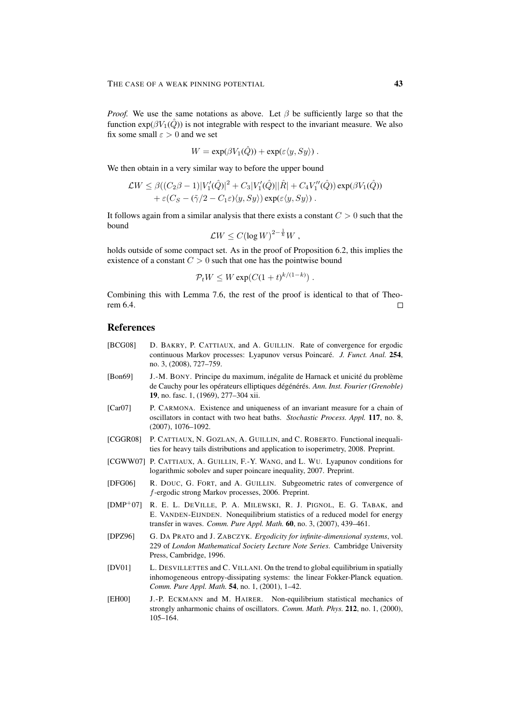*Proof.* We use the same notations as above. Let  $\beta$  be sufficiently large so that the function  $exp(\beta V_1(\hat{Q}))$  is not integrable with respect to the invariant measure. We also fix some small  $\varepsilon > 0$  and we set

$$
W = \exp(\beta V_1(\hat{Q})) + \exp(\varepsilon \langle y, Sy \rangle)
$$

We then obtain in a very similar way to before the upper bound

$$
\mathcal{L}W \leq \beta((C_2\beta - 1)|V'_1(\hat{Q})|^2 + C_3|V'_1(\hat{Q})||\hat{R}| + C_4V''_1(\hat{Q})) \exp(\beta V_1(\hat{Q}))
$$
  
+  $\varepsilon(C_S - (\tilde{\gamma}/2 - C_1\varepsilon)\langle y, Sy \rangle) \exp(\varepsilon \langle y, Sy \rangle).$ 

It follows again from a similar analysis that there exists a constant  $C > 0$  such that the bound

$$
\mathcal{L}W \leq C(\log W)^{2-\frac{1}{k}}W,
$$

holds outside of some compact set. As in the proof of Proposition 6.2, this implies the existence of a constant  $C > 0$  such that one has the pointwise bound

$$
\mathcal{P}_t W \le W \exp(C(1+t)^{k/(1-k)}).
$$

Combining this with Lemma 7.6, the rest of the proof is identical to that of Theorem 6.4.  $\Box$ 

## References

- [BCG08] D. BAKRY, P. CATTIAUX, and A. GUILLIN. Rate of convergence for ergodic continuous Markov processes: Lyapunov versus Poincare.´ *J. Funct. Anal.* 254, no. 3, (2008), 727–759.
- [Bon69] J.-M. BONY. Principe du maximum, inégalite de Harnack et unicité du problème de Cauchy pour les opérateurs elliptiques dégénérés. Ann. Inst. Fourier (Grenoble) 19, no. fasc. 1, (1969), 277–304 xii.
- [Car07] P. CARMONA. Existence and uniqueness of an invariant measure for a chain of oscillators in contact with two heat baths. *Stochastic Process. Appl.* 117, no. 8, (2007), 1076–1092.
- [CGGR08] P. CATTIAUX, N. GOZLAN, A. GUILLIN, and C. ROBERTO. Functional inequalities for heavy tails distributions and application to isoperimetry, 2008. Preprint.
- [CGWW07] P. CATTIAUX, A. GUILLIN, F.-Y. WANG, and L. WU. Lyapunov conditions for logarithmic sobolev and super poincare inequality, 2007. Preprint.
- [DFG06] R. DOUC, G. FORT, and A. GUILLIN. Subgeometric rates of convergence of f-ergodic strong Markov processes, 2006. Preprint.
- [DMP<sup>+</sup>07] R. E. L. DEVILLE, P. A. MILEWSKI, R. J. PIGNOL, E. G. TABAK, and E. VANDEN-EIJNDEN. Nonequilibrium statistics of a reduced model for energy transfer in waves. *Comm. Pure Appl. Math.* 60, no. 3, (2007), 439–461.
- [DPZ96] G. DA PRATO and J. ZABCZYK. *Ergodicity for infinite-dimensional systems*, vol. 229 of *London Mathematical Society Lecture Note Series*. Cambridge University Press, Cambridge, 1996.
- [DV01] L. DESVILLETTES and C. VILLANI. On the trend to global equilibrium in spatially inhomogeneous entropy-dissipating systems: the linear Fokker-Planck equation. *Comm. Pure Appl. Math.* 54, no. 1, (2001), 1–42.
- [EH00] J.-P. ECKMANN and M. HAIRER. Non-equilibrium statistical mechanics of strongly anharmonic chains of oscillators. *Comm. Math. Phys.* 212, no. 1, (2000), 105–164.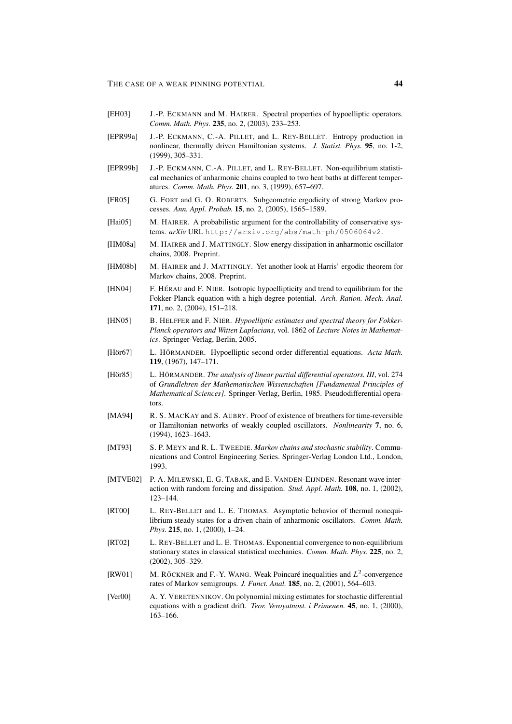- [EH03] J.-P. ECKMANN and M. HAIRER. Spectral properties of hypoelliptic operators. *Comm. Math. Phys.* 235, no. 2, (2003), 233–253.
- [EPR99a] J.-P. ECKMANN, C.-A. PILLET, and L. REY-BELLET. Entropy production in nonlinear, thermally driven Hamiltonian systems. *J. Statist. Phys.* 95, no. 1-2, (1999), 305–331.
- [EPR99b] J.-P. ECKMANN, C.-A. PILLET, and L. REY-BELLET. Non-equilibrium statistical mechanics of anharmonic chains coupled to two heat baths at different temperatures. *Comm. Math. Phys.* 201, no. 3, (1999), 657–697.
- [FR05] G. FORT and G. O. ROBERTS. Subgeometric ergodicity of strong Markov processes. *Ann. Appl. Probab.* 15, no. 2, (2005), 1565–1589.
- [Hai05] M. HAIRER. A probabilistic argument for the controllability of conservative systems. *arXiv* URL http://arxiv.org/abs/math-ph/0506064v2.
- [HM08a] M. HAIRER and J. MATTINGLY. Slow energy dissipation in anharmonic oscillator chains, 2008. Preprint.
- [HM08b] M. HAIRER and J. MATTINGLY. Yet another look at Harris' ergodic theorem for Markov chains, 2008. Preprint.
- [HN04] F. HÉRAU and F. NIER. Isotropic hypoellipticity and trend to equilibrium for the Fokker-Planck equation with a high-degree potential. *Arch. Ration. Mech. Anal.* 171, no. 2, (2004), 151–218.
- [HN05] B. HELFFER and F. NIER. *Hypoelliptic estimates and spectral theory for Fokker-Planck operators and Witten Laplacians*, vol. 1862 of *Lecture Notes in Mathematics*. Springer-Verlag, Berlin, 2005.
- [Hör67] L. HÖRMANDER. Hypoelliptic second order differential equations. Acta Math. 119, (1967), 147–171.
- [Hör85] L. HÖRMANDER. *The analysis of linear partial differential operators. III*, vol. 274 of *Grundlehren der Mathematischen Wissenschaften [Fundamental Principles of Mathematical Sciences]*. Springer-Verlag, Berlin, 1985. Pseudodifferential operators.
- [MA94] R. S. MACKAY and S. AUBRY. Proof of existence of breathers for time-reversible or Hamiltonian networks of weakly coupled oscillators. *Nonlinearity* 7, no. 6, (1994), 1623–1643.
- [MT93] S. P. MEYN and R. L. TWEEDIE. *Markov chains and stochastic stability*. Communications and Control Engineering Series. Springer-Verlag London Ltd., London, 1993.
- [MTVE02] P. A. MILEWSKI, E. G. TABAK, and E. VANDEN-EIJNDEN. Resonant wave interaction with random forcing and dissipation. *Stud. Appl. Math.* 108, no. 1, (2002), 123–144.
- [RT00] L. REY-BELLET and L. E. THOMAS. Asymptotic behavior of thermal nonequilibrium steady states for a driven chain of anharmonic oscillators. *Comm. Math. Phys.* **215**, no. 1, (2000), 1-24.
- [RT02] L. REY-BELLET and L. E. THOMAS. Exponential convergence to non-equilibrium stationary states in classical statistical mechanics. *Comm. Math. Phys.* 225, no. 2, (2002), 305–329.
- [RW01] M. RÖCKNER and F.-Y. WANG. Weak Poincaré inequalities and  $L^2$ -convergence rates of Markov semigroups. *J. Funct. Anal.* 185, no. 2, (2001), 564–603.
- [Ver00] A. Y. VERETENNIKOV. On polynomial mixing estimates for stochastic differential equations with a gradient drift. *Teor. Veroyatnost. i Primenen.* 45, no. 1, (2000), 163–166.